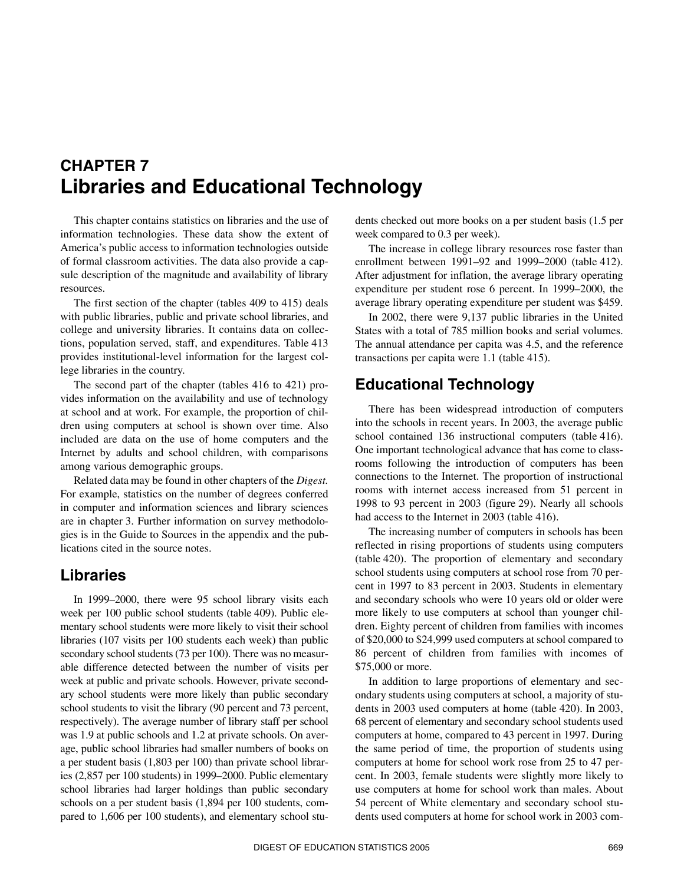# <span id="page-0-1"></span>**CHAPTER 7 Libraries and Educational Technology**

This chapter contains statistics on libraries and the use of information technologies. These data show the extent of America's public access to information technologies outside of formal classroom activities. The data also provide a capsule description of the magnitude and availability of library resources.

The first section of the chapter (tables 409 to 415) deals with public libraries, public and private school libraries, and college and university libraries. It contains data on collections, population served, staff, and expenditures. Table 413 provides institutional-level information for the largest college libraries in the country.

The second part of the chapter (tables 416 to 421) provides information on the availability and use of technology at school and at work. For example, the proportion of children using computers at school is shown over time. Also included are data on the use of home computers and the Internet by adults and school children, with comparisons among various demographic groups.

Related data may be found in other chapters of the *Digest.* For example, statistics on the number of degrees conferred in computer and information sciences and library sciences are in chapter 3. Further information on survey methodologies is in the Guide to Sources in the appendix and the publications cited in the source notes.

## **Libraries**

In 1999–2000, there were 95 school library visits each week per 100 public school students (table 409). Public elementary school students were more likely to visit their school libraries (107 visits per 100 students each week) than public secondary school students (73 per 100). There was no measurable difference detected between the number of visits per week at public and private schools. However, private secondary school students were more likely than public secondary school students to visit the library (90 percent and 73 percent, respectively). The average number of library staff per school was 1.9 at public schools and 1.2 at private schools. On average, public school libraries had smaller numbers of books on a per student basis (1,803 per 100) than private school libraries (2,857 per 100 students) in 1999–2000. Public elementary school libraries had larger holdings than public secondary schools on a per student basis (1,894 per 100 students, compared to 1,606 per 100 students), and elementary school stu<span id="page-0-0"></span>dents checked out more books on a per student basis (1.5 per week compared to 0.3 per week).

The increase in college library resources rose faster than enrollment between 1991–92 and 1999–2000 (table 412). After adjustment for inflation, the average library operating expenditure per student rose 6 percent. In 1999–2000, the average library operating expenditure per student was \$459.

In 2002, there were 9,137 public libraries in the United States with a total of 785 million books and serial volumes. The annual attendance per capita was 4.5, and the reference transactions per capita were 1.1 (table 415).

# **Educational Technology**

There has been widespread introduction of computers into the schools in recent years. In 2003, the average public school contained 136 instructional computers (table 416). One important technological advance that has come to classrooms following the introduction of computers has been connections to the Internet. The proportion of instructional rooms with internet access increased from 51 percent in 1998 to 93 percent in 2003 (figure 29). Nearly all schools had access to the Internet in 2003 (table 416).

The increasing number of computers in schools has been reflected in rising proportions of students using computers (table 420). The proportion of elementary and secondary school students using computers at school rose from 70 percent in 1997 to 83 percent in 2003. Students in elementary and secondary schools who were 10 years old or older were more likely to use computers at school than younger children. Eighty percent of children from families with incomes of \$20,000 to \$24,999 used computers at school compared to 86 percent of children from families with incomes of \$75,000 or more.

In addition to large proportions of elementary and secondary students using computers at school, a majority of students in 2003 used computers at home (table 420). In 2003, 68 percent of elementary and secondary school students used computers at home, compared to 43 percent in 1997. During the same period of time, the proportion of students using computers at home for school work rose from 25 to 47 percent. In 2003, female students were slightly more likely to use computers at home for school work than males. About 54 percent of White elementary and secondary school students used computers at home for school work in 2003 com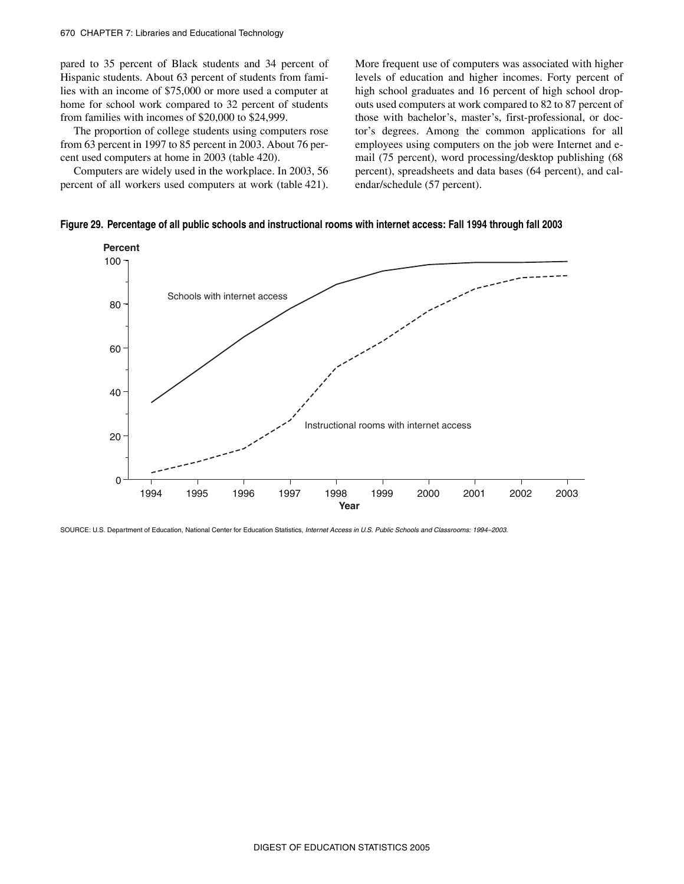pared to 35 percent of Black students and 34 percent of Hispanic students. About 63 percent of students from families with an income of \$75,000 or more used a computer at home for school work compared to 32 percent of students from families with incomes of \$20,000 to \$24,999.

The proportion of college students using computers rose from 63 percent in 1997 to 85 percent in 2003. About 76 percent used computers at home in 2003 (table 420).

Computers are widely used in the workplace. In 2003, 56 percent of all workers used computers at work (table 421).

More frequent use of computers was associated with higher levels of education and higher incomes. Forty percent of high school graduates and 16 percent of high school dropouts used computers at work compared to 82 to 87 percent of those with bachelor's, master's, first-professional, or doctor's degrees. Among the common applications for all employees using computers on the job were Internet and email (75 percent), word processing/desktop publishing (68 percent), spreadsheets and data bases (64 percent), and calendar/schedule (57 percent).

**Figure 29. Percentage of all public schools and instructional rooms with internet access: Fall 1994 through fall 2003**



SOURCE: U.S. Department of Education, National Center for Education Statistics, *Internet Access in U.S. Public Schools and Classrooms: 1994–2003*.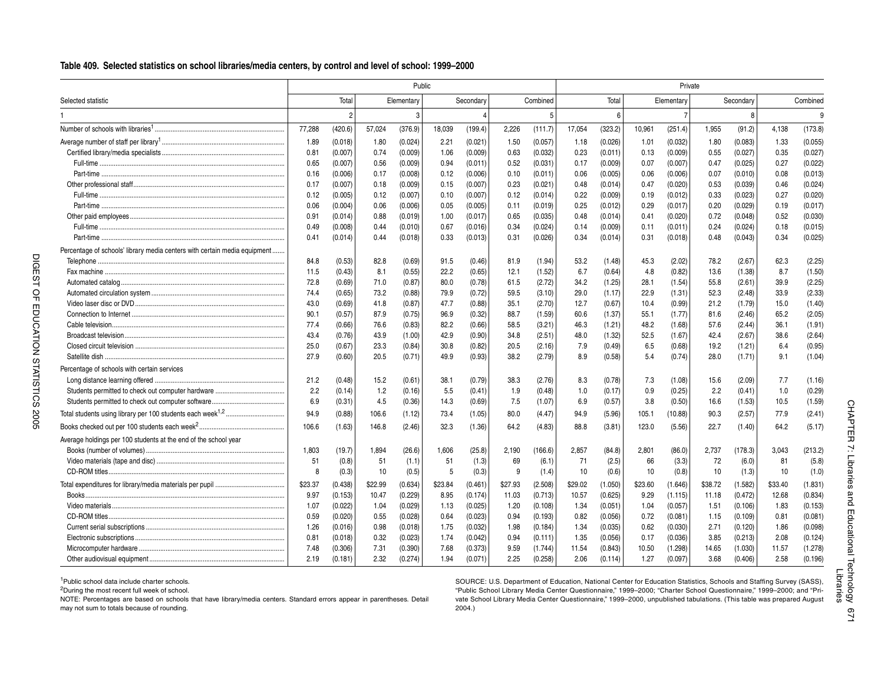#### **i LTable 409. Selected statistics on school libraries/media centers, by control and level of school: 1999–2000**

|                                                                           |              |         |         | Public     |         |           |         |          |         |         |         | Private    |         |           |         |          |
|---------------------------------------------------------------------------|--------------|---------|---------|------------|---------|-----------|---------|----------|---------|---------|---------|------------|---------|-----------|---------|----------|
| Selected statistic                                                        |              | Total   |         | Elementary |         | Secondary |         | Combined |         | Total   |         | Elementary |         | Secondary |         | Combined |
|                                                                           |              |         |         |            |         | 4         |         | 5        |         | 6       |         |            |         | 8         |         | 9        |
| Number of schools with libraries <sup>1</sup>                             | 77,288       | (420.6) | 57,024  | (376.9)    | 18,039  | (199.4)   | 2,226   | (111.7)  | 17,054  | (323.2) | 10,961  | (251.4)    | 1,955   | (91.2)    | 4,138   | (173.8)  |
|                                                                           | 1.89         | (0.018) | 1.80    | (0.024)    | 2.21    | (0.021)   | 1.50    | (0.057)  | 1.18    | (0.026) | 1.01    | (0.032)    | 1.80    | (0.083)   | 1.33    | (0.055)  |
|                                                                           | 0.81         | (0.007) | 0.74    | (0.009)    | 1.06    | (0.009)   | 0.63    | (0.032)  | 0.23    | (0.011) | 0.13    | (0.009)    | 0.55    | (0.027)   | 0.35    | (0.027)  |
|                                                                           | 0.65         | (0.007) | 0.56    | (0.009)    | 0.94    | (0.011)   | 0.52    | (0.031)  | 0.17    | (0.009) | 0.07    | (0.007)    | 0.47    | (0.025)   | 0.27    | (0.022)  |
|                                                                           | 0.16         | (0.006) | 0.17    | (0.008)    | 0.12    | (0.006)   | 0.10    | (0.011)  | 0.06    | (0.005) | 0.06    | (0.006)    | 0.07    | (0.010)   | 0.08    | (0.013)  |
|                                                                           | 0.17         | (0.007) | 0.18    | (0.009)    | 0.15    | (0.007)   | 0.23    | (0.021)  | 0.48    | (0.014) | 0.47    | (0.020)    | 0.53    | (0.039)   | 0.46    | (0.024)  |
|                                                                           | 0.12         | (0.005) | 0.12    | (0.007)    | 0.10    | (0.007)   | 0.12    | (0.014)  | 0.22    | (0.009) | 0.19    | (0.012)    | 0.33    | (0.023)   | 0.27    | (0.020)  |
|                                                                           | 0.06         | (0.004) | 0.06    | (0.006)    | 0.05    | (0.005)   | 0.11    | (0.019)  | 0.25    | (0.012) | 0.29    | (0.017)    | 0.20    | (0.029)   | 0.19    | (0.017)  |
|                                                                           | 0.91         | (0.014) | 0.88    | (0.019)    | 1.00    | (0.017)   | 0.65    | (0.035)  | 0.48    | (0.014) | 0.41    | (0.020)    | 0.72    | (0.048)   | 0.52    | (0.030)  |
|                                                                           | 0.49         | (0.008) | 0.44    | (0.010)    | 0.67    | (0.016)   | 0.34    | (0.024)  | 0.14    | (0.009) | 0.11    | (0.011)    | 0.24    | (0.024)   | 0.18    | (0.015)  |
|                                                                           | 0.41         | (0.014) | 0.44    | (0.018)    | 0.33    | (0.013)   | 0.31    | (0.026)  | 0.34    | (0.014) | 0.31    | (0.018)    | 0.48    | (0.043)   | 0.34    | (0.025)  |
| Percentage of schools' library media centers with certain media equipment |              |         |         |            |         |           |         |          |         |         |         |            |         |           |         |          |
|                                                                           | 84.8         | (0.53)  | 82.8    | (0.69)     | 91.5    | (0.46)    | 81.9    | (1.94)   | 53.2    | (1.48)  | 45.3    | (2.02)     | 78.2    | (2.67)    | 62.3    | (2.25)   |
|                                                                           | 11.5         | (0.43)  | 8.1     | (0.55)     | 22.2    | (0.65)    | 12.1    | (1.52)   | 6.7     | (0.64)  | 4.8     | (0.82)     | 13.6    | (1.38)    | 8.7     | (1.50)   |
|                                                                           | 72.8         | (0.69)  | 71.0    | (0.87)     | 80.0    | (0.78)    | 61.5    | (2.72)   | 34.2    | (1.25)  | 28.1    | (1.54)     | 55.8    | (2.61)    | 39.9    | (2.25)   |
|                                                                           | 74.4         | (0.65)  | 73.2    | (0.88)     | 79.9    | (0.72)    | 59.5    | (3.10)   | 29.0    | (1.17)  | 22.9    | (1.31)     | 52.3    | (2.48)    | 33.9    | (2.33)   |
|                                                                           | 43.0         | (0.69)  | 41.8    | (0.87)     | 47.7    | (0.88)    | 35.1    | (2.70)   | 12.7    | (0.67)  | 10.4    | (0.99)     | 21.2    | (1.79)    | 15.0    | (1.40)   |
|                                                                           | 90.1         | (0.57)  | 87.9    | (0.75)     | 96.9    | (0.32)    | 88.7    | (1.59)   | 60.6    | (1.37)  | 55.1    | (1.77)     | 81.6    | (2.46)    | 65.2    | (2.05)   |
| Cable television                                                          | 77.4         | (0.66)  | 76.6    | (0.83)     | 82.2    | (0.66)    | 58.5    | (3.21)   | 46.3    | (1.21)  | 48.2    | (1.68)     | 57.6    | (2.44)    | 36.1    | (1.91)   |
|                                                                           | 43.4         | (0.76)  | 43.9    | (1.00)     | 42.9    | (0.90)    | 34.8    | (2.51)   | 48.0    | (1.32)  | 52.5    | (1.67)     | 42.4    | (2.67)    | 38.6    | (2.64)   |
|                                                                           | 25.0         | (0.67)  | 23.3    | (0.84)     | 30.8    | (0.82)    | 20.5    | (2.16)   | 7.9     | (0.49)  | 6.5     | (0.68)     | 19.2    | (1.21)    | 6.4     | (0.95)   |
|                                                                           | 27.9         | (0.60)  | 20.5    | (0.71)     | 49.9    | (0.93)    | 38.2    | (2.79)   | 8.9     | (0.58)  | 5.4     | (0.74)     | 28.0    | (1.71)    | 9.1     | (1.04)   |
| Percentage of schools with certain services                               |              |         |         |            |         |           |         |          |         |         |         |            |         |           |         |          |
|                                                                           | 21.2         | (0.48)  | 15.2    | (0.61)     | 38.1    | (0.79)    | 38.3    | (2.76)   | 8.3     | (0.78)  | 7.3     | (1.08)     | 15.6    | (2.09)    | 7.7     | (1.16)   |
|                                                                           | 2.2          | (0.14)  | 1.2     | (0.16)     | 5.5     | (0.41)    | 1.9     | (0.48)   | 1.0     | (0.17)  | 0.9     | (0.25)     | 2.2     | (0.41)    | 1.0     | (0.29)   |
|                                                                           | 6.9          | (0.31)  | 4.5     | (0.36)     | 14.3    | (0.69)    | 7.5     | (1.07)   | 6.9     | (0.57)  | 3.8     | (0.50)     | 16.6    | (1.53)    | 10.5    | (1.59)   |
|                                                                           | 94.9         | (0.88)  | 106.6   | (1.12)     | 73.4    | (1.05)    | 80.0    | (4.47)   | 94.9    | (5.96)  | 105.1   | (10.88)    | 90.3    | (2.57)    | 77.9    | (2.41)   |
| Books checked out per 100 students each week <sup>2</sup> .               | 106.6        | (1.63)  | 146.8   | (2.46)     | 32.3    | (1.36)    | 64.2    | (4.83)   | 88.8    | (3.81)  | 123.0   | (5.56)     | 22.7    | (1.40)    | 64.2    | (5.17)   |
| Average holdings per 100 students at the end of the school year           |              |         |         |            |         |           |         |          |         |         |         |            |         |           |         |          |
|                                                                           | 1,803        | (19.7)  | 1,894   | (26.6)     | 1,606   | (25.8)    | 2,190   | (166.6)  | 2,857   | (84.8)  | 2,801   | (86.0)     | 2,737   | (178.3)   | 3,043   | (213.2)  |
|                                                                           | 51           | (0.8)   | 51      | (1.1)      | 51      | (1.3)     | 69      | (6.1)    | 71      | (2.5)   | 66      | (3.3)      | 72      | (6.0)     | 81      | (5.8)    |
|                                                                           | $\mathsf{R}$ | (0.3)   | 10      | (0.5)      | 5       | (0.3)     | 9       | (1.4)    | 10      | (0.6)   | 10      | (0.8)      | 10      | (1.3)     | 10      | (1.0)    |
|                                                                           | \$23.37      | (0.438) | \$22.99 | (0.634)    | \$23.84 | (0.461)   | \$27.93 | (2.508)  | \$29.02 | (1.050) | \$23.60 | (1.646)    | \$38.72 | (1.582)   | \$33.40 | (1.831)  |
|                                                                           | 9.97         | (0.153) | 10.47   | (0.229)    | 8.95    | (0.174)   | 11.03   | (0.713)  | 10.57   | (0.625) | 9.29    | (1.115)    | 11.18   | (0.472)   | 12.68   | (0.834)  |
|                                                                           | 1.07         | (0.022) | 1.04    | (0.029)    | 1.13    | (0.025)   | 1.20    | (0.108)  | 1.34    | (0.051) | 1.04    | (0.057)    | 1.51    | (0.106)   | 1.83    | (0.153)  |
|                                                                           | 0.59         | (0.020) | 0.55    | (0.028)    | 0.64    | (0.023)   | 0.94    | (0.193)  | 0.82    | (0.056) | 0.72    | (0.081)    | 1.15    | (0.109)   | 0.81    | (0.081)  |
|                                                                           | 1.26         | (0.016) | 0.98    | (0.018)    | 1.75    | (0.032)   | 1.98    | (0.184)  | 1.34    | (0.035) | 0.62    | (0.030)    | 2.71    | (0.120)   | 1.86    | (0.098)  |
|                                                                           | 0.81         | (0.018) | 0.32    | (0.023)    | 1.74    | (0.042)   | 0.94    | (0.111)  | 1.35    | (0.056) | 0.17    | (0.036)    | 3.85    | (0.213)   | 2.08    | (0.124)  |
|                                                                           | 7.48         | (0.306) | 7.31    | (0.390)    | 7.68    | (0.373)   | 9.59    | (1.744)  | 11.54   | (0.843) | 10.50   | (1.298)    | 14.65   | (1.030)   | 11.57   | (1.278)  |
|                                                                           | 2.19         | (0.181) | 2.32    | (0.274)    | 1.94    | (0.071)   | 2.25    | (0.258)  | 2.06    | (0.114) | 1.27    | (0.097)    | 3.68    | (0.406)   | 2.58    | (0.196)  |

<sup>1</sup>Public school data include charter schools.

2During the most recent full week of school.

NOTE: Percentages are based on schools that have library/media centers. Standard errors appear in parentheses. Detail may not sum to totals because of rounding.

SOURCE: U.S. Department of Education, National Center for Education Statistics, Schools and Staffing Survey (SASS), "Public School Library Media Center Questionnaire," 1999–2000; "Charter School Questionnaire," 1999–2000; and "Private School Library Media Center Questionnaire," 1999–2000, unpublished tabulations. (This table was prepared August 2004.)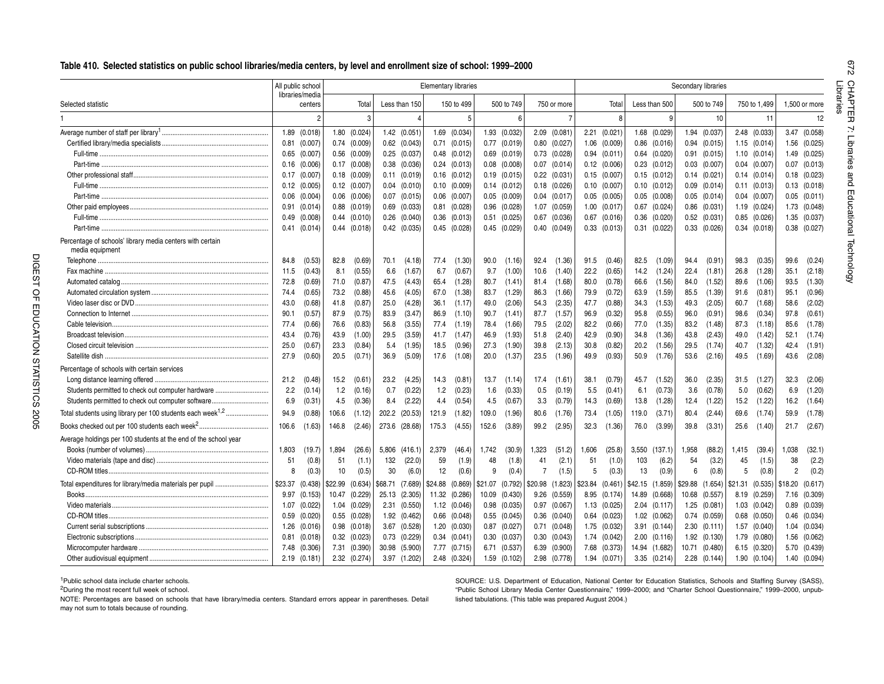#### **Table 410. Selected statistics on public school libraries/media centers, by level and enrollment size of school: 1999–2000**

|                                                                              |         | All public school          |         |                  |         |                  | <b>Elementary libraries</b> |                  |         |                  |                |                  |         |                  |         |                  | Secondary libraries |                  |         |                  |                  |         |
|------------------------------------------------------------------------------|---------|----------------------------|---------|------------------|---------|------------------|-----------------------------|------------------|---------|------------------|----------------|------------------|---------|------------------|---------|------------------|---------------------|------------------|---------|------------------|------------------|---------|
| Selected statistic                                                           |         | libraries/media<br>centers |         | Total            |         | Less than 150    |                             | 150 to 499       |         | 500 to 749       |                | 750 or more      |         | Total            |         | Less than 500    |                     | 500 to 749       |         | 750 to 1.499     | 1.500 or more    |         |
|                                                                              |         | $\mathfrak{p}$             |         | 3                |         | $\overline{A}$   |                             | 5                |         | 6                |                |                  |         | 8                |         | 9                |                     | 10               |         | 11               |                  |         |
|                                                                              |         | 1.89 (0.018)               |         | 1.80 (0.024)     |         | $1.42$ $(0.051)$ |                             | 1.69 (0.034)     |         | 1.93 (0.032)     |                | $2.09$ $(0.081)$ |         | $2.21$ $(0.021)$ |         | 1.68 (0.029)     |                     | 1.94 (0.037)     |         | 2.48 (0.033)     | 3.47             | (0.058) |
|                                                                              | 0.81    | (0.007)                    |         | $0.74$ $(0.009)$ | 0.62    | (0.043)          |                             | $0.71$ $(0.015)$ |         | $0.77$ $(0.019)$ |                | $0.80$ $(0.027)$ | 1.06    | (0.009)          |         | $0.86$ $(0.016)$ |                     | $0.94$ $(0.015)$ |         | $1.15$ $(0.014)$ | 1.56 (0.025)     |         |
|                                                                              | 0.65    | (0.007)                    |         | $0.56$ $(0.009)$ | 0.25    | (0.037)          |                             | $0.48$ $(0.012)$ |         | $0.69$ $(0.019)$ |                | $0.73$ $(0.028)$ |         | $0.94$ $(0.011)$ |         | $0.64$ $(0.020)$ |                     | $0.91$ $(0.015)$ |         | $1.10$ $(0.014)$ | 1.49 (0.025)     |         |
|                                                                              | 0.16    | (0.006)                    |         | $0.17$ $(0.008)$ | 0.38    | (0.036)          |                             | $0.24$ $(0.013)$ |         | $0.08$ $(0.008)$ |                | $0.07$ $(0.014)$ |         | $0.12$ $(0.006)$ |         | $0.23$ $(0.012)$ |                     | $0.03$ $(0.007)$ |         | $0.04$ $(0.007)$ | $0.07$ $(0.013)$ |         |
|                                                                              | 0.17    | (0.007)                    |         | $0.18$ $(0.009)$ | 0.11    | (0.019)          |                             | $0.16$ $(0.012)$ |         | $0.19$ $(0.015)$ |                | $0.22$ $(0.031)$ |         | $0.15$ $(0.007)$ |         | $0.15$ $(0.012)$ |                     | $0.14$ $(0.021)$ |         | $0.14$ $(0.014)$ | $0.18$ $(0.023)$ |         |
|                                                                              |         | $0.12$ $(0.005)$           |         | $0.12$ $(0.007)$ | 0.04    | (0.010)          |                             | $0.10$ $(0.009)$ |         | $0.14$ $(0.012)$ |                | $0.18$ $(0.026)$ |         | $0.10$ $(0.007)$ |         | $0.10$ $(0.012)$ |                     | $0.09$ $(0.014)$ |         | $0.11$ $(0.013)$ | $0.13$ $(0.018)$ |         |
|                                                                              |         | $0.06$ $(0.004)$           |         | $0.06$ $(0.006)$ | 0.07    | (0.015)          |                             | $0.06$ $(0.007)$ |         | $0.05$ $(0.009)$ |                | $0.04$ $(0.017)$ |         | $0.05$ $(0.005)$ |         | $0.05$ $(0.008)$ |                     | $0.05$ $(0.014)$ |         | $0.04$ $(0.007)$ | $0.05$ $(0.011)$ |         |
|                                                                              | 0.91    | (0.014)                    |         | $0.88$ $(0.019)$ | 0.69    | (0.033)          |                             | $0.81$ $(0.028)$ |         | $0.96$ $(0.028)$ | 1.07           | (0.059)          |         | $1.00$ $(0.017)$ | 0.67    | (0.024)          |                     | $0.86$ $(0.031)$ |         | $1.19$ $(0.024)$ | 1.73 (0.048)     |         |
|                                                                              | 0.49    | (0.008)                    |         | $0.44$ $(0.010)$ | 0.26    | (0.040)          |                             | $0.36$ $(0.013)$ |         | $0.51$ $(0.025)$ | 0.67           | (0.036)          |         | $0.67$ $(0.016)$ | 0.36    | (0.020)          |                     | $0.52$ $(0.031)$ |         | $0.85$ $(0.026)$ | 1.35 (0.037)     |         |
|                                                                              | 0.41    | (0.014)                    |         | $0.44$ $(0.018)$ | 0.42    | (0.035)          |                             | $0.45$ $(0.028)$ |         | $0.45$ $(0.029)$ |                | $0.40$ $(0.049)$ |         | $0.33$ $(0.013)$ |         | $0.31$ $(0.022)$ |                     | $0.33$ $(0.026)$ |         | $0.34$ $(0.018)$ | $0.38$ $(0.027)$ |         |
| Percentage of schools' library media centers with certain<br>media equipment |         |                            |         |                  |         |                  |                             |                  |         |                  |                |                  |         |                  |         |                  |                     |                  |         |                  |                  |         |
|                                                                              | 84.8    | (0.53)                     | 82.8    | (0.69)           | 70.1    | (4.18)           | 77.4                        | (1.30)           | 90.0    | (1.16)           | 92.4           | (1.36)           | 91.5    | (0.46)           | 82.5    | (1.09)           | 94.4                | (0.91)           | 98.3    | (0.35)           | 99.6             | (0.24)  |
|                                                                              | 11.5    | (0.43)                     | 8.1     | (0.55)           | 6.6     | (1.67)           | 6.7                         | (0.67)           | 9.7     | (1.00)           | 10.6           | (1.40)           | 22.2    | (0.65)           | 14.2    | (1.24)           | 22.4                | (1.81)           | 26.8    | (1.28)           | 35.1             | (2.18)  |
|                                                                              | 72.8    | (0.69)                     | 71.0    | (0.87)           | 47.5    | (4.43)           | 65.4                        | (1.28)           | 80.7    | (1.41)           | 81.4           | (1.68)           | 80.0    | (0.78)           | 66.6    | (1.56)           | 84.0                | (1.52)           | 89.6    | (1.06)           | 93.5             | (1.30)  |
|                                                                              | 74.4    | (0.65)                     | 73.2    | (0.88)           | 45.6    | (4.05)           | 67.0                        | (1.38)           | 83.7    | (1.29)           | 86.3           | (1.66)           | 79.9    | (0.72)           | 63.9    | (1.59)           | 85.5                | (1.39)           | 91.6    | (0.81)           | 95.1             | (0.96)  |
|                                                                              | 43.0    | (0.68)                     | 41.8    | (0.87)           | 25.0    | (4.28)           | 36.1                        | (1.17)           | 49.0    | (2.06)           | 54.3           | (2.35)           | 47.7    | (0.88)           | 34.3    | (1.53)           | 49.3                | (2.05)           | 60.7    | (1.68)           | 58.6             | (2.02)  |
|                                                                              | 90.1    | (0.57)                     | 87.9    | (0.75)           | 83.9    | (3.47)           | 86.9                        | (1.10)           | 90.7    | (1.41)           | 87.7           | (1.57)           | 96.9    | (0.32)           | 95.8    | (0.55)           | 96.0                | (0.91)           | 98.6    | (0.34)           | 97.8             | (0.61)  |
|                                                                              | 77.4    | (0.66)                     | 76.6    | (0.83)           | 56.8    | (3.55)           | 77.4                        | (1.19)           | 78.4    | (1.66)           | 79.5           | (2.02)           | 82.2    | (0.66)           | 77.0    | (1.35)           | 83.2                | (1.48)           | 87.3    | (1.18)           | 85.6             | (1.78)  |
|                                                                              | 43.4    | (0.76)                     | 43.9    | (1.00)           | 29.5    | (3.59)           | 41.7                        | (1.47)           | 46.9    | (1.93)           | 51.8           | (2.40)           | 42.9    | (0.90)           | 34.8    | (1.36)           | 43.8                | (2.43)           | 49.0    | (1.42)           | 52.1             | (1.74)  |
|                                                                              | 25.0    | (0.67)                     | 23.3    | (0.84)           | 5.4     | (1.95)           | 18.5                        | (0.96)           | 27.3    | (1.90)           | 39.8           | (2.13)           | 30.8    | (0.82)           | 20.2    | (1.56)           | 29.5                | (1.74)           | 40.7    | (1.32)           | 42.4             | (1.91)  |
|                                                                              | 27.9    | (0.60)                     | 20.5    | (0.71)           | 36.9    | (5.09)           | 17.6                        | (1.08)           | 20.0    | (1.37)           | 23.5           | (1.96)           | 49.9    | (0.93)           | 50.9    | (1.76)           | 53.6                | (2.16)           | 49.5    | (1.69)           | 43.6             | (2.08)  |
| Percentage of schools with certain services                                  |         |                            |         |                  |         |                  |                             |                  |         |                  |                |                  |         |                  |         |                  |                     |                  |         |                  |                  |         |
|                                                                              | 21.2    | (0.48)                     | 15.2    | (0.61)           | 23.2    | (4.25)           | 14.3                        | (0.81)           | 13.7    | (1.14)           | 17.4           | (1.61)           | 38.1    | (0.79)           | 45.7    | (1.52)           | 36.0                | (2.35)           | 31.5    | (1.27)           | 32.3             | (2.06)  |
| Students permitted to check out computer hardware                            | 2.2     | (0.14)                     | 1.2     | (0.16)           | 0.7     | (0.22)           | 1.2                         | (0.23)           | 1.6     | (0.33)           | 0.5            | (0.19)           | 5.5     | (0.41)           | 6.1     | (0.73)           | 3.6                 | (0.78)           | 5.0     | (0.62)           | 6.9              | (1.20)  |
| Students permitted to check out computer software                            | 6.9     | (0.31)                     | 4.5     | (0.36)           | 8.4     | (2.22)           | 4.4                         | (0.54)           | 4.5     | (0.67)           | 3.3            | (0.79)           | 14.3    | (0.69)           | 13.8    | (1.28)           | 12.4                | (1.22)           | 15.2    | (1.22)           | 16.2             | (1.64)  |
|                                                                              |         |                            |         |                  |         |                  |                             |                  |         |                  |                |                  |         |                  |         |                  |                     |                  |         |                  |                  |         |
| Total students using library per 100 students each week <sup>1,2</sup>       | 94.9    | (0.88)                     | 106.6   | (1.12)           | 202.2   | (20.53)          | 121.9                       | (1.82)           | 109.0   | (1.96)           | 80.6           | (1.76)           | 73.4    | (1.05)           | 119.0   | (3.71)           | 80.4                | (2.44)           | 69.6    | (1.74)           | 59.9             | (1.78)  |
|                                                                              | 106.6   | (1.63)                     | 146.8   | (2.46)           | 273.6   | (28.68)          | 175.3                       | (4.55)           | 152.6   | (3.89)           | 99.2           | (2.95)           | 32.3    | (1.36)           | 76.0    | (3.99)           | 39.8                | (3.31)           | 25.6    | (1.40)           | 21.7             | (2.67)  |
| Average holdings per 100 students at the end of the school year              |         |                            |         |                  |         |                  |                             |                  |         |                  |                |                  |         |                  |         |                  |                     |                  |         |                  |                  |         |
|                                                                              | 1,803   | (19.7)                     | 1,894   | (26.6)           | 5,806   | (416.1)          | 2,379                       | (46.4)           | 1,742   | (30.9)           | 1,323          | (51.2)           | 1,606   | (25.8)           | 3,550   | (137.1)          | 1,958               | (88.2)           | 1,415   | (39.4)           | 1,038            | (32.1)  |
|                                                                              | 51      | (0.8)                      | 51      | (1.1)            | 132     | (22.0)           | 59                          | (1.9)            | 48      | (1.8)            | 41             | (2.1)            | 51      | (1.0)            | 103     | (6.2)            | 54                  | (3.2)            | 45      | (1.5)            | 38               |         |
|                                                                              | 8       | (0.3)                      | 10      | (0.5)            | 30      | (6.0)            | 12                          | (0.6)            | 9       | (0.4)            | $\overline{7}$ | (1.5)            | 5       | (0.3)            | 13      | (0.9)            | 6                   | (0.8)            | 5       | (0.8)            | $\overline{2}$   |         |
|                                                                              | \$23.37 | (0.438)                    | \$22.99 | (0.634)          | \$68.71 | (7.689)          | \$24.88                     | (0.869)          | \$21.07 | (0.792)          | \$20.98        | (1.823)          | \$23.84 | (0.461)          | \$42.15 | (1.859)          | \$29.88             | (1.654)          | \$21.31 | (0.535)          | \$18.20          | (0.617) |
| Books                                                                        | 9.97    | (0.153)                    |         | 10.47 (0.229)    | 25.13   | (2.305)          |                             | 11.32 (0.286)    |         | 10.09 (0.430)    | 9.26           | (0.559)          |         | 8.95 (0.174)     |         | 14.89 (0.668)    |                     | 10.68 (0.557)    |         | 8.19 (0.259)     | 7.16 (0.309)     |         |
|                                                                              | 1.07    | (0.022)                    |         | 1.04 (0.029)     | 2.31    | (0.550)          |                             | $1.12$ $(0.046)$ |         | $0.98$ $(0.035)$ |                | $0.97$ $(0.067)$ |         | $1.13$ $(0.025)$ |         | $2.04$ $(0.117)$ |                     | 1.25 (0.081)     |         | $1.03$ $(0.042)$ | $0.89$ $(0.039)$ |         |
|                                                                              | 0.59    | (0.020)                    |         | $0.55$ $(0.028)$ | 1.92    | (0.462)          |                             | $0.66$ $(0.048)$ |         | $0.55$ $(0.045)$ |                | $0.36$ $(0.040)$ |         | $0.64$ $(0.023)$ |         | $1.02$ $(0.062)$ |                     | $0.74$ $(0.059)$ |         | $0.68$ $(0.050)$ | $0.46$ $(0.034)$ |         |
|                                                                              | 1.26    | (0.016)                    |         | $0.98$ $(0.018)$ | 3.67    | (0.528)          |                             | 1.20 (0.030)     |         | $0.87$ $(0.027)$ | 0.71           | (0.048)          |         | 1.75 (0.032)     |         | $3.91$ $(0.144)$ |                     | $2.30$ $(0.111)$ |         | 1.57 (0.040)     | 1.04 (0.034)     |         |
|                                                                              | 0.81    | (0.018)                    |         | $0.32$ $(0.023)$ | 0.73    | (0.229)          |                             | $0.34$ $(0.041)$ |         | $0.30$ $(0.037)$ | 0.30           | (0.043)          |         | 1.74 (0.042)     |         | $2.00$ $(0.116)$ |                     | 1.92 (0.130)     |         | 1.79 (0.080)     | 1.56 (0.062)     |         |
|                                                                              |         | 7.48 (0.306)               |         | 7.31 (0.390)     | 30.98   | (5.900)          |                             | 7.77 (0.715)     |         | 6.71 (0.537)     | 6.39           | (0.900)          |         | 7.68 (0.373)     |         | 14.94 (1.682)    |                     | 10.71 (0.480)    |         | 6.15 (0.320)     | 5.70             | (0.439) |
|                                                                              |         | $2.19$ (0.181)             |         | 2.32 (0.274)     |         | 3.97 (1.202)     |                             | 2.48 (0.324)     |         | 1.59 (0.102)     |                | 2.98 (0.778)     |         | 1.94 (0.071)     |         | 3.35(0.214)      |                     | $2.28$ $(0.144)$ |         | 1.90(0.104)      | 1.40 (0.094)     |         |
|                                                                              |         |                            |         |                  |         |                  |                             |                  |         |                  |                |                  |         |                  |         |                  |                     |                  |         |                  |                  |         |

<sup>2</sup>During the most recent full week of school.

SOURCE: U.S. Department of Education, National Center for Education Statistics, Schools and Staffing Survey (SASS), "Public School Library Media Center Questionnaire," 1999–2000; and "Charter School Questionnaire," 1999–2000, unpublished tabulations. (This table was prepared August 2004.)

NOTE: Percentages are based on schools that have library/media centers. Standard errors appear in parentheses. Detail may not sum to totals because of rounding.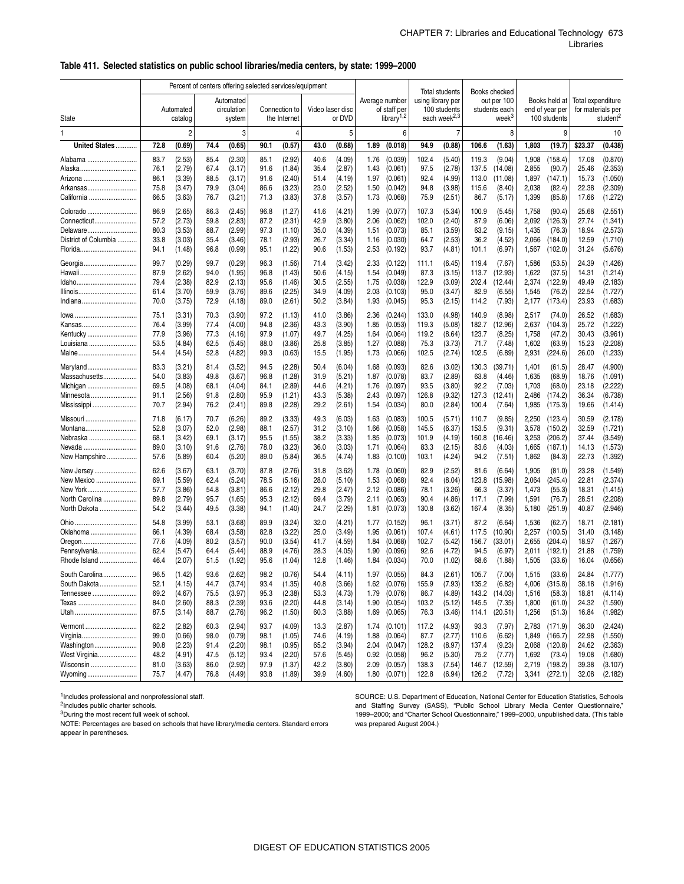#### \_ **Table 411. Selected statistics on public school libraries/media centers, by state: 1999–2000**

|                                  |              |                      | Percent of centers offering selected services/equipment |                       |              |                               |                  |                  |              |                                        |                   | <b>Total students</b>                    |                | Books checked                      |                |                                 |                   |                    |
|----------------------------------|--------------|----------------------|---------------------------------------------------------|-----------------------|--------------|-------------------------------|------------------|------------------|--------------|----------------------------------------|-------------------|------------------------------------------|----------------|------------------------------------|----------------|---------------------------------|-------------------|--------------------|
|                                  |              |                      |                                                         | Automated             |              |                               |                  |                  |              | Average number                         | using library per |                                          |                | out per 100                        |                | Books held at                   | Total expenditure |                    |
| State                            |              | Automated<br>catalog |                                                         | circulation<br>system |              | Connection to<br>the Internet | Video laser disc | or DVD           |              | of staff per<br>library <sup>1,2</sup> |                   | 100 students<br>each week <sup>2,3</sup> |                | students each<br>week <sup>3</sup> |                | end of year per<br>100 students | for materials per | student            |
| 1                                |              | $\overline{c}$       |                                                         | 3                     |              | 4                             |                  | 5                |              | 6                                      |                   |                                          |                | 8                                  |                | 9                               |                   | 10                 |
| United States                    | 72.8         | (0.69)               | 74.4                                                    | (0.65)                | 90.1         | (0.57)                        | 43.0             | (0.68)           | 1.89         | (0.018)                                | 94.9              | (0.88)                                   | 106.6          | (1.63)                             | 1,803          | (19.7)                          | \$23.37           | (0.438)            |
| Alabama                          | 83.7         | (2.53)               | 85.4                                                    | (2.30)                | 85.1         | (2.92)                        | 40.6             | (4.09)           | 1.76         | (0.039)                                | 102.4             | (5.40)                                   | 119.3          | (9.04)                             | 1,908          | (158.4)                         | 17.08             | (0.870)            |
| Alaska                           | 76.1         | (2.79)               | 67.4                                                    | (3.17)                | 91.6         | (1.84)                        | 35.4             | (2.87)           | 1.43         | (0.061)                                | 97.5              | (2.78)                                   | 137.5          | (14.08)                            | 2,855          | (90.7)                          | 25.46             | (2.353)            |
| Arizona<br>Arkansas              | 86.1<br>75.8 | (3.39)<br>(3.47)     | 88.5<br>79.9                                            | (3.17)<br>(3.04)      | 91.6<br>86.6 | (2.40)<br>(3.23)              | 51.4<br>23.0     | (4.19)<br>(2.52) | 1.97<br>1.50 | (0.061)<br>(0.042)                     | 92.4<br>94.8      | (4.99)<br>(3.98)                         | 113.0<br>115.6 | (11.08)<br>(8.40)                  | 1,897<br>2,038 | (147.1)<br>(82.4)               | 15.73<br>22.38    | (1.050)<br>(2.309) |
| California                       | 66.5         | (3.63)               | 76.7                                                    | (3.21)                | 71.3         | (3.83)                        | 37.8             | (3.57)           | 1.73         | (0.068)                                | 75.9              | (2.51)                                   | 86.7           | (5.17)                             | 1,399          | (85.8)                          | 17.66             | (1.272)            |
| Colorado                         | 86.9         | (2.65)               | 86.3                                                    | (2.45)                | 96.8         | (1.27)                        | 41.6             | (4.21)           | 1.99         | (0.077)                                | 107.3             | (5.34)                                   | 100.9          | (5.45)                             | 1,758          | (90.4)                          | 25.68             | (2.551)            |
| Connecticut                      | 57.2         | (2.73)               | 59.8                                                    | (2.83)                | 87.2         | (2.31)                        | 42.9             | (3.80)           | 2.06         | (0.062)                                | 102.0             | (2.40)                                   | 87.9           | (6.06)                             | 2,092          | (126.3)                         | 27.74             | (1.341)            |
| Delaware<br>District of Columbia | 80.3<br>33.8 | (3.53)<br>(3.03)     | 88.7<br>35.4                                            | (2.99)<br>(3.46)      | 97.3<br>78.1 | (1.10)<br>(2.93)              | 35.0<br>26.7     | (4.39)<br>(3.34) | 1.51<br>1.16 | (0.073)<br>(0.030)                     | 85.1<br>64.7      | (3.59)<br>(2.53)                         | 63.2<br>36.2   | (9.15)<br>(4.52)                   | 1,435<br>2,066 | (76.3)<br>(184.0)               | 18.94<br>12.59    | (2.573)<br>(1.710) |
| Florida                          | 94.1         | (1.48)               | 96.8                                                    | (0.99)                | 95.1         | (1.22)                        | 90.6             | (1.53)           | 2.53         | (0.192)                                | 93.7              | (4.81)                                   | 101.1          | (6.97)                             | 1,567          | (102.0)                         | 31.24             | (5.676)            |
| Georgia                          | 99.7         | (0.29)               | 99.7                                                    | (0.29)                | 96.3         | (1.56)                        | 71.4             | (3.42)           | 2.33         | (0.122)                                | 111.1             | (6.45)                                   | 119.4          | (7.67)                             | 1,586          | (53.5)                          | 24.39             | (1.426)            |
|                                  | 87.9         | (2.62)               | 94.0                                                    | (1.95)                | 96.8         | (1.43)                        | 50.6             | (4.15)           | 1.54         | (0.049)                                | 87.3              | (3.15)                                   | 113.7          | (12.93)                            | 1,622          | (37.5)                          | 14.31             | (1.214)            |
| ldaho                            | 79.4         | (2.38)               | 82.9                                                    | (2.13)                | 95.6         | (1.46)                        | 30.5             | (2.55)           | 1.75         | (0.038)                                | 122.9             | (3.09)                                   | 202.4          | (12.44)                            | 2,374          | (122.9)                         | 49.49             | (2.183)            |
| Illinois<br>Indiana              | 61.4<br>70.0 | (3.70)<br>(3.75)     | 59.9<br>72.9                                            | (3.76)<br>(4.18)      | 89.6<br>89.0 | (2.25)<br>(2.61)              | 34.9<br>50.2     | (4.09)<br>(3.84) | 2.03<br>1.93 | (0.103)<br>(0.045)                     | 95.0<br>95.3      | (3.47)<br>(2.15)                         | 82.9<br>114.2  | (6.55)<br>(7.93)                   | 1,545<br>2,177 | (76.2)<br>(173.4)               | 22.54<br>23.93    | (1.727)<br>(1.683) |
|                                  |              |                      |                                                         |                       |              |                               |                  |                  |              |                                        |                   |                                          |                |                                    |                |                                 |                   |                    |
| lowa<br>Kansas                   | 75.1<br>76.4 | (3.31)<br>(3.99)     | 70.3<br>77.4                                            | (3.90)<br>(4.00)      | 97.2<br>94.8 | (1.13)<br>(2.36)              | 41.0<br>43.3     | (3.86)<br>(3.90) | 2.36<br>1.85 | (0.244)<br>(0.053)                     | 133.0<br>119.3    | (4.98)<br>(5.08)                         | 140.9<br>182.7 | (8.98)<br>(12.96)                  | 2,517<br>2,637 | (74.0)<br>(104.3)               | 26.52<br>25.72    | (1.683)<br>(1.222) |
| Kentucky                         | 77.9         | (3.96)               | 77.3                                                    | (4.16)                | 97.9         | (1.07)                        | 49.7             | (4.25)           | 1.64         | (0.064)                                | 119.2             | (8.64)                                   | 123.7          | (8.25)                             | 1,758          | (47.2)                          | 30.43             | (3.961)            |
| Louisiana                        | 53.5         | (4.84)               | 62.5                                                    | (5.45)                | 88.0         | (3.86)                        | 25.8             | (3.85)           | 1.27         | (0.088)                                | 75.3              | (3.73)                                   | 71.7           | (7.48)                             | 1,602          | (63.9)                          | 15.23             | (2.208)            |
| Maine                            | 54.4         | (4.54)               | 52.8                                                    | (4.82)                | 99.3         | (0.63)                        | 15.5             | (1.95)           | 1.73         | (0.066)                                | 102.5             | (2.74)                                   | 102.5          | (6.89)                             | 2,931          | (224.6)                         | 26.00             | (1.233)            |
| Maryland                         | 83.3         | (3.21)               | 81.4                                                    | (3.52)                | 94.5         | (2.28)                        | 50.4             | (6.04)           | 1.68         | (0.093)                                | 82.6              | (3.02)                                   | 130.3          | (39.71)                            | 1,401          | (61.5)                          | 28.47             | (4.900)            |
| Massachusetts<br>Michigan        | 54.0<br>69.5 | (3.83)<br>(4.08)     | 49.8<br>68.1                                            | (3.67)<br>(4.04)      | 96.8<br>84.1 | (1.28)<br>(2.89)              | 31.9<br>44.6     | (5.21)<br>(4.21) | 1.87<br>1.76 | (0.078)<br>(0.097)                     | 83.7<br>93.5      | (2.89)<br>(3.80)                         | 63.8<br>92.2   | (4.46)<br>(7.03)                   | 1,635<br>1,703 | (68.9)<br>(68.0)                | 18.76<br>23.18    | (1.091)<br>(2.222) |
| Minnesota                        | 91.1         | (2.56)               | 91.8                                                    | (2.80)                | 95.9         | (1.21)                        | 43.3             | (5.38)           | 2.43         | (0.097)                                | 126.8             | (9.32)                                   | 127.3          | (12.41)                            | 2,486          | (174.2)                         | 36.34             | (6.738)            |
| Mississippi                      | 70.7         | (2.94)               | 76.2                                                    | (2.41)                | 89.8         | (2.28)                        | 29.2             | (2.61)           | 1.54         | (0.034)                                | 80.0              | (2.84)                                   | 100.4          | (7.64)                             | 1,985          | (175.3)                         | 19.66             | (1.414)            |
| Missouri                         | 71.8         | (6.17)               | 70.7                                                    | (6.26)                | 89.2         | (3.33)                        | 49.3             | (6.03)           | 1.63         | (0.083)                                | 100.5             | (5.71)                                   | 110.7          | (9.85)                             | 2,250          | (123.4)                         | 30.59             | (2.178)            |
| Montana                          | 52.8         | (3.07)               | 52.0                                                    | (2.98)                | 88.1         | (2.57)                        | 31.2             | (3.10)           | 1.66         | (0.058)                                | 145.5             | (6.37)                                   | 153.5          | (9.31)                             | 3,578          | (150.2)                         | 32.59             | (1.721)            |
| Nebraska<br>Nevada               | 68.1<br>89.0 | (3.42)<br>(3.10)     | 69.1<br>91.6                                            | (3.17)<br>(2.76)      | 95.5<br>78.0 | (1.55)<br>(3.23)              | 38.2<br>36.0     | (3.33)<br>(3.03) | 1.85<br>1.71 | (0.073)<br>(0.064)                     | 101.9<br>83.3     | (4.19)<br>(2.15)                         | 160.8<br>83.6  | (16.46)<br>(4.03)                  | 3,253<br>1,665 | (206.2)<br>(187.1)              | 37.44<br>14.13    | (3.549)<br>(1.573) |
| New Hampshire                    | 57.6         | (5.89)               | 60.4                                                    | (5.20)                | 89.0         | (5.84)                        | 36.5             | (4.74)           | 1.83         | (0.100)                                | 103.1             | (4.24)                                   | 94.2           | (7.51)                             | 1,862          | (84.3)                          | 22.73             | (1.392)            |
| New Jersey                       | 62.6         | (3.67)               | 63.1                                                    | (3.70)                | 87.8         | (2.76)                        | 31.8             | (3.62)           | 1.78         | (0.060)                                | 82.9              | (2.52)                                   | 81.6           | (6.64)                             | 1,905          | (81.0)                          | 23.28             | (1.549)            |
| New Mexico                       | 69.1         | (5.59)               | 62.4                                                    | (5.24)                | 78.5         | (5.16)                        | 28.0             | (5.10)           | 1.53         | (0.068)                                | 92.4              | (8.04)                                   | 123.8          | (15.98)                            | 2,064          | (245.4)                         | 22.81             | (2.374)            |
| New York                         | 57.7<br>89.8 | (3.86)<br>(2.79)     | 54.8<br>95.7                                            | (3.81)                | 86.6<br>95.3 | (2.12)                        | 29.8<br>69.4     | (2.47)<br>(3.79) | 2.12<br>2.11 | (0.086)                                | 78.1<br>90.4      | (3.26)                                   | 66.3<br>117.1  | (3.37)<br>(7.99)                   | 1,473          | (55.3)                          | 18.31<br>28.51    | (1.415)<br>(2.208) |
| North Carolina<br>North Dakota   | 54.2         | (3.44)               | 49.5                                                    | (1.65)<br>(3.38)      | 94.1         | (2.12)<br>(1.40)              | 24.7             | (2.29)           | 1.81         | (0.063)<br>(0.073)                     | 130.8             | (4.86)<br>(3.62)                         | 167.4          | (8.35)                             | 1,591<br>5,180 | (76.7)<br>(251.9)               | 40.87             | (2.946)            |
| Ohio                             | 54.8         | (3.99)               | 53.1                                                    | (3.68)                | 89.9         | (3.24)                        | 32.0             | (4.21)           | 1.77         | (0.152)                                | 96.1              | (3.71)                                   | 87.2           | (6.64)                             | 1,536          | (62.7)                          | 18.71             | (2.181)            |
| Oklahoma                         | 66.1         | (4.39)               | 68.4                                                    | (3.58)                | 82.8         | (3.22)                        | 25.0             | (3.49)           | 1.95         | (0.061)                                | 107.4             | (4.61)                                   | 117.5          | (10.90)                            | 2,257          | (100.5)                         | 31.40             | (3.148)            |
| Oregon                           | 77.6         | (4.09)               | 80.2                                                    | (3.57)                | 90.0         | (3.54)                        | 41.7             | (4.59)           | 1.84         | (0.068)                                | 102.7             | (5.42)                                   | 156.7          | (33.01)                            | 2,655          | (204.4)                         | 18.97             | (1.267)            |
| Pennsylvania<br>Rhode Island     | 62.4<br>46.4 | (5.47)<br>(2.07)     | 64.4                                                    | (5.44)<br>(1.92)      | 88.9<br>95.6 | (4.76)<br>(1.04)              | 28.3<br>12.8     | (4.05)<br>(1.46) | 1.90<br>1.84 | (0.096)<br>(0.034)                     | 92.6<br>70.0      | (4.72)<br>(1.02)                         | 94.5<br>68.6   | (6.97)<br>(1.88)                   | 2,011<br>1,505 | (192.1)<br>(33.6)               | 21.88<br>16.04    | (1.759)<br>(0.656) |
|                                  |              |                      | 51.5                                                    |                       |              |                               |                  |                  |              |                                        |                   |                                          |                |                                    |                |                                 |                   |                    |
| South Carolina<br>South Dakota   | 96.5<br>52.1 | (1.42)<br>(4.15)     | 93.6<br>44.7                                            | (2.62)<br>(3.74)      | 98.2<br>93.4 | (0.76)<br>(1.35)              | 54.4<br>40.8     | (4.11)<br>(3.66) | 1.97<br>1.62 | (0.055)<br>(0.076)                     | 84.3<br>155.9     | (2.61)<br>(7.93)                         | 105.7<br>135.2 | (7.00)<br>(6.82)                   | 1,515<br>4,006 | (33.6)<br>(315.8)               | 24.84<br>38.18    | (1.777)<br>(1.916) |
| Tennessee                        | 69.2         | (4.67)               | 75.5                                                    | (3.97)                | 95.3         | (2.38)                        | 53.3             | (4.73)           | 1.79         | (0.076)                                | 86.7              | (4.89)                                   |                | 143.2 (14.03)                      | 1,516          | (58.3)                          | 18.81             | (4.114)            |
| Texas                            | 84.0         | (2.60)               | 88.3                                                    | (2.39)                | 93.6         | (2.20)                        | 44.8             | (3.14)           | 1.90         | (0.054)                                | 103.2             | (5.12)                                   | 145.5          | (7.35)                             | 1,800          | (61.0)                          | 24.32             | (1.590)            |
| Utah                             | 87.5         | (3.14)               | 88.7                                                    | (2.76)                | 96.2         | (1.50)                        | 60.3             | (3.88)           | 1.69         | (0.065)                                | 76.3              | (3.46)                                   | 114.1          | (20.51)                            | 1,256          | (51.3)                          | 16.84             | (1.982)            |
| Vermont                          | 62.2         | (2.82)               | 60.3                                                    | (2.94)                | 93.7         | (4.09)                        | 13.3             | (2.87)           | 1.74         | (0.101)                                | 117.2             | (4.93)                                   | 93.3           | (7.97)                             | 2,783          | (171.9)                         | 36.30             | (2.424)            |
| Virginia                         | 99.0<br>90.8 | (0.66)               | 98.0                                                    | (0.79)<br>(2.20)      | 98.1         | (1.05)                        | 74.6             | (4.19)<br>(3.94) | 1.88<br>2.04 | (0.064)<br>(0.047)                     | 87.7<br>128.2     | (2.77)                                   | 110.6<br>137.4 | (6.62)                             | 1,849          | (166.7)                         | 22.98             | (1.550)            |
| Washington<br>West Virginia      | 48.2         | (2.23)<br>(4.91)     | 91.4<br>47.5                                            | (5.12)                | 98.1<br>93.4 | (0.95)<br>(2.20)              | 65.2<br>57.6     | (5.45)           | 0.92         | (0.058)                                | 96.2              | (8.97)<br>(5.30)                         | 75.2           | (9.23)<br>(7.77)                   | 2,068<br>1,692 | (120.8)<br>(73.4)               | 24.62<br>19.08    | (2.363)<br>(1.680) |
| Wisconsin                        | 81.0         | (3.63)               | 86.0                                                    | (2.92)                | 97.9         | (1.37)                        | 42.2             | (3.80)           | 2.09         | (0.057)                                | 138.3             | (7.54)                                   | 146.7          | (12.59)                            | 2,719          | (198.2)                         | 39.38             | (3.107)            |
| Wyoming                          | 75.7         | (4.47)               | 76.8                                                    | (4.49)                | 93.8         | (1.89)                        | 39.9             | (4.60)           |              | $1.80$ $(0.071)$                       | 122.8             | (6.94)                                   | 126.2          | (7.72)                             | 3,341          | (272.1)                         | 32.08             | (2.182)            |

<sup>1</sup>Includes professional and nonprofessional staff.

2Includes public charter schools.

3During the most recent full week of school.

NOTE: Percentages are based on schools that have library/media centers. Standard errors appear in parentheses.

SOURCE: U.S. Department of Education, National Center for Education Statistics, Schools and Staffing Survey (SASS), "Public School Library Media Center Questionnaire," 1999–2000; and "Charter School Questionnaire," 1999–2000, unpublished data. (This table was prepared August 2004.)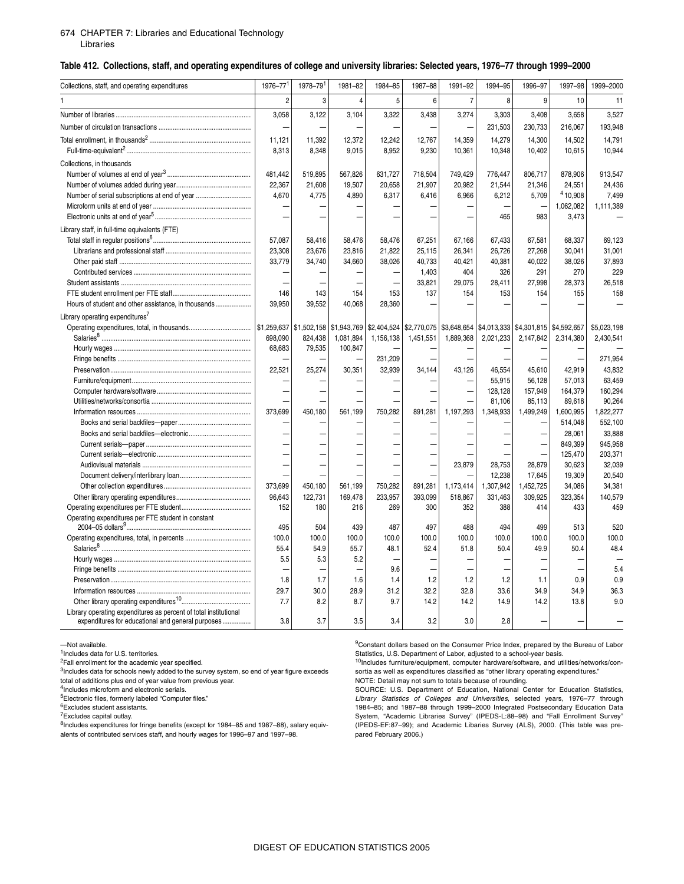#### 674 CHAPTER 7: [Libraries and Educational Technology](#page-0-1) Libraries

#### \_ **Table 412. Collections, staff, and operating expenditures of college and university libraries: Selected years, 1976–77 through 1999–2000**

| Collections, staff, and operating expenditures                                                                        | 1976-77        | 1978-79     | 1981-82     | 1984-85                  | 1987-88   | 1991-92        | 1994-95   | 1996-97                                                             | 1997-98   | 1999-2000   |
|-----------------------------------------------------------------------------------------------------------------------|----------------|-------------|-------------|--------------------------|-----------|----------------|-----------|---------------------------------------------------------------------|-----------|-------------|
|                                                                                                                       | $\overline{2}$ | 3           | 4           | 5                        | 6         | $\overline{7}$ | 8         | 9                                                                   | 10        | 11          |
|                                                                                                                       | 3,058          | 3,122       | 3,104       | 3,322                    | 3,438     | 3,274          | 3,303     | 3,408                                                               | 3,658     | 3,527       |
|                                                                                                                       |                |             |             |                          |           |                | 231,503   | 230,733                                                             | 216,067   | 193,948     |
|                                                                                                                       |                |             |             |                          |           |                |           |                                                                     |           |             |
|                                                                                                                       | 11,121         | 11,392      | 12,372      | 12,242                   | 12,767    | 14,359         | 14,279    | 14,300                                                              | 14,502    | 14,791      |
|                                                                                                                       | 8,313          | 8,348       | 9,015       | 8,952                    | 9,230     | 10,361         | 10,348    | 10,402                                                              | 10,615    | 10,944      |
| Collections, in thousands                                                                                             |                |             |             |                          |           |                |           |                                                                     |           |             |
|                                                                                                                       | 481,442        | 519,895     | 567,826     | 631,727                  | 718,504   | 749,429        | 776,447   | 806,717                                                             | 878,906   | 913,547     |
|                                                                                                                       | 22,367         | 21,608      | 19,507      | 20,658                   | 21,907    | 20,982         | 21,544    | 21,346                                                              | 24,551    | 24,436      |
| Number of serial subscriptions at end of year                                                                         | 4,670          | 4,775       | 4,890       | 6,317                    | 6,416     | 6,966          | 6,212     | 5,709                                                               | 4 10,908  | 7,499       |
|                                                                                                                       |                |             |             |                          |           |                |           |                                                                     | 1,062,082 | 1,111,389   |
|                                                                                                                       |                |             |             |                          |           |                | 465       | 983                                                                 | 3,473     |             |
| Library staff, in full-time equivalents (FTE)                                                                         |                |             |             |                          |           |                |           |                                                                     |           |             |
|                                                                                                                       | 57,087         | 58.416      | 58,476      | 58,476                   | 67,251    | 67,166         | 67,433    | 67,581                                                              | 68.337    | 69,123      |
|                                                                                                                       | 23,308         | 23,676      | 23,816      | 21,822                   | 25,115    | 26,341         | 26,726    | 27,268                                                              | 30,041    | 31,001      |
|                                                                                                                       | 33,779         | 34,740      | 34,660      | 38,026                   | 40,733    | 40,421         | 40,381    | 40,022                                                              | 38,026    | 37,893      |
|                                                                                                                       |                |             |             | $\overline{\phantom{0}}$ | 1,403     | 404            | 326       | 291                                                                 | 270       | 229         |
|                                                                                                                       |                |             |             |                          | 33.821    | 29,075         | 28.411    | 27,998                                                              | 28,373    | 26,518      |
|                                                                                                                       | 146            | 143         | 154         | 153                      | 137       | 154            | 153       | 154                                                                 | 155       | 158         |
|                                                                                                                       | 39,950         | 39,552      | 40,068      | 28,360                   |           |                |           |                                                                     |           |             |
| Library operating expenditures <sup>7</sup>                                                                           |                |             |             |                          |           |                |           |                                                                     |           |             |
|                                                                                                                       |                | \$1,502,158 | \$1,943,769 | \$2,404,524              |           |                |           | \$2,770,075   \$3,648,654   \$4,013,333   \$4,301,815   \$4,592,657 |           | \$5,023,198 |
|                                                                                                                       | 698,090        | 824,438     | 1,081,894   | 1,156,138                | 1,451,551 | 1,889,368      | 2,021,233 | 2,147,842                                                           | 2,314,380 | 2,430,541   |
|                                                                                                                       | 68,683         | 79,535      | 100,847     |                          |           |                |           |                                                                     |           |             |
|                                                                                                                       |                |             |             | 231,209                  |           |                |           |                                                                     |           | 271,954     |
|                                                                                                                       | 22,521         | 25,274      | 30,351      | 32,939                   | 34,144    | 43,126         | 46,554    | 45,610                                                              | 42,919    | 43,832      |
|                                                                                                                       |                |             |             |                          |           |                | 55,915    | 56,128                                                              | 57,013    | 63,459      |
|                                                                                                                       |                |             |             |                          |           |                | 128,128   | 157,949                                                             | 164,379   | 160,294     |
|                                                                                                                       |                |             |             |                          |           |                | 81,106    | 85,113                                                              | 89,618    | 90,264      |
|                                                                                                                       | 373,699        | 450,180     | 561,199     | 750,282                  | 891,281   | 1,197,293      | 1,348,933 | 1,499,249                                                           | 1,600,995 | 1,822,277   |
|                                                                                                                       |                |             |             |                          |           |                |           |                                                                     | 514,048   | 552,100     |
|                                                                                                                       |                |             |             |                          |           |                |           |                                                                     | 28,061    | 33,888      |
|                                                                                                                       |                |             |             |                          |           |                |           | ÷                                                                   | 849,399   | 945,958     |
|                                                                                                                       |                |             |             |                          |           |                |           |                                                                     | 125,470   | 203,371     |
|                                                                                                                       |                |             |             |                          |           | 23,879         | 28,753    | 28,879                                                              | 30,623    | 32,039      |
|                                                                                                                       |                |             |             |                          |           |                | 12,238    | 17.645                                                              | 19.309    | 20.540      |
|                                                                                                                       | 373,699        | 450,180     | 561,199     | 750,282                  | 891,281   | 1,173,414      | 1,307,942 | 1,452,725                                                           | 34,086    | 34,381      |
|                                                                                                                       | 96,643         | 122,731     | 169,478     | 233,957                  | 393.099   | 518,867        | 331,463   | 309,925                                                             | 323,354   | 140,579     |
|                                                                                                                       | 152            | 180         | 216         | 269                      | 300       | 352            | 388       | 414                                                                 | 433       | 459         |
| Operating expenditures per FTE student in constant                                                                    | 495            | 504         | 439         | 487                      | 497       | 488            | 494       | 499                                                                 | 513       | 520         |
|                                                                                                                       | 100.0          | 100.0       | 100.0       | 100.0                    | 100.0     | 100.0          | 100.0     | 100.0                                                               | 100.0     | 100.0       |
|                                                                                                                       | 55.4           | 54.9        | 55.7        | 48.1                     | 52.4      | 51.8           | 50.4      | 49.9                                                                | 50.4      | 48.4        |
|                                                                                                                       | 5.5            | 5.3         | 5.2         |                          |           |                |           |                                                                     |           |             |
|                                                                                                                       |                |             |             | 9.6                      |           |                |           |                                                                     |           | 5.4         |
|                                                                                                                       | 1.8            | 1.7         | 1.6         | 1.4                      | 1.2       | 1.2            | 1.2       | 1.1                                                                 | 0.9       | 0.9         |
|                                                                                                                       | 29.7           | 30.0        | 28.9        | 31.2                     | 32.2      | 32.8           | 33.6      | 34.9                                                                | 34.9      | 36.3        |
|                                                                                                                       | 7.7            | 8.2         | 8.7         | 9.7                      | 14.2      | 14.2           | 14.9      | 14.2                                                                | 13.8      | 9.0         |
| Library operating expenditures as percent of total institutional<br>expenditures for educational and general purposes | 3.8            | 3.7         | 3.5         | 3.4                      | 3.2       | 3.0            | 2.8       |                                                                     |           |             |

—Not available.

1Includes data for U.S. territories.

<sup>2</sup>Fall enrollment for the academic year specified.

<sup>3</sup>Includes data for schools newly added to the survey system, so end of year figure exceeds

total of additions plus end of year value from previous year.

<sup>4</sup>Includes microform and electronic serials.

5Electronic files, formerly labeled "Computer files." 6Excludes student assistants.

7Excludes capital outlay.

8Includes expenditures for fringe benefits (except for 1984–85 and 1987–88), salary equivalents of contributed services staff, and hourly wages for 1996–97 and 1997–98.

<sup>9</sup>Constant dollars based on the Consumer Price Index, prepared by the Bureau of Labor Statistics, U.S. Department of Labor, adjusted to a school-year basis.

 $10$ Includes furniture/equipment, computer hardware/software, and utilities/networks/consortia as well as expenditures classified as "other library operating expenditures." NOTE: Detail may not sum to totals because of rounding.

SOURCE: U.S. Department of Education, National Center for Education Statistics, *Library Statistics of Colleges and Universities*, selected years, 1976–77 through 1984–85; and 1987–88 through 1999–2000 Integrated Postsecondary Education Data System, "Academic Libraries Survey" (IPEDS-L:88–98) and "Fall Enrollment Survey" (IPEDS-EF:87–99); and Academic Libaries Survey (ALS), 2000. (This table was prepared February 2006.)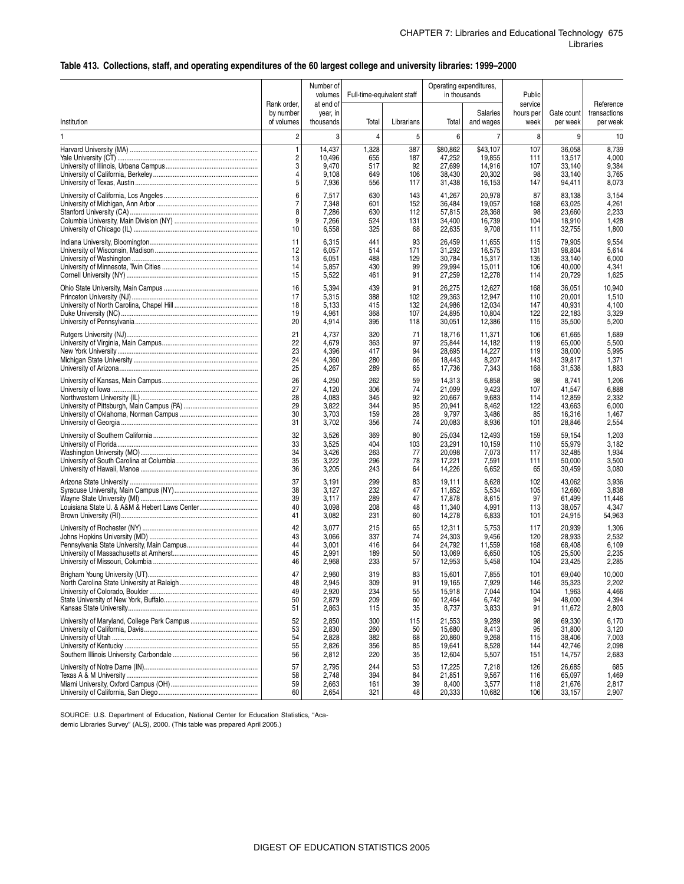### **Table 413. Collections, staff, and operating expenditures of the 60 largest college and university libraries: 1999–2000**

|                               | Rank order,             | Number of<br>volumes<br>at end of | Full-time-equivalent staff |            | Operating expenditures,<br>in thousands |                       | Public<br>service |                        | Reference                |
|-------------------------------|-------------------------|-----------------------------------|----------------------------|------------|-----------------------------------------|-----------------------|-------------------|------------------------|--------------------------|
| Institution                   | by number<br>of volumes | year, in<br>thousands             | Total                      | Librarians | Total                                   | Salaries<br>and wages | hours per<br>week | Gate count<br>per week | transactions<br>per week |
| 1                             | $\overline{c}$          | 3                                 | 4                          | 5          | 6                                       | 7                     | 8                 | 9                      | 10                       |
|                               | $\mathbf{1}$            | 14,437                            | 1,328                      | 387        | \$80.862                                | \$43,107              | 107               | 36,058                 | 8,739                    |
|                               | $\overline{c}$          | 10.496                            | 655                        | 187        | 47,252                                  | 19,855                | 111               | 13,517                 | 4,000                    |
|                               | 3                       | 9.470                             | 517                        | 92         | 27,699                                  | 14,916                | 107               | 33,140                 | 9,384                    |
|                               | 4                       | 9.108                             | 649                        | 106        | 38,430                                  | 20,302                | 98                | 33,140                 | 3,765                    |
|                               | 5                       | 7,936                             | 556                        | 117        | 31,438                                  | 16,153                | 147               | 94,411                 | 8,073                    |
|                               | 6                       | 7,517                             | 630                        | 143        | 41,267                                  | 20,978                | 87                | 83,138                 | 3,154                    |
|                               | 7                       | 7,348                             | 601                        | 152        | 36,484                                  | 19,057                | 168               | 63,025                 | 4,261                    |
|                               | 8                       | 7,286                             | 630                        | 112        | 57,815                                  | 28,368                | 98                | 23,660                 | 2,233                    |
|                               | 9                       | 7,266                             | 524                        | 131        | 34,400                                  | 16,739                | 104               | 18,910                 | 1,428                    |
|                               | 10                      | 6,558                             | 325                        | 68         | 22,635                                  | 9,708                 | 111               | 32,755                 | 1,800                    |
|                               | 11                      | 6,315                             | 441                        | 93         | 26,459                                  | 11,655                | 115               | 79,905                 | 9,554                    |
|                               | 12                      | 6,057                             | 514                        | 171        | 31,292                                  | 16,575                | 131               | 98,804                 | 5,614                    |
|                               | 13                      | 6,051                             | 488                        | 129        | 30,784                                  | 15,317                | 135               | 33,140                 | 6,000                    |
|                               | 14                      | 5,857                             | 430                        | 99         | 29,994                                  | 15,011                | 106               | 40,000                 | 4,341                    |
|                               | 15                      | 5,522                             | 461                        | 91         | 27,259                                  | 12,278                | 114               | 20,729                 | 1,625                    |
|                               | 16                      | 5,394                             | 439                        | 91         | 26,275                                  | 12,627                | 168               | 36,051                 | 10,940                   |
|                               | 17                      | 5,315                             | 388                        | 102        | 29,363                                  | 12,947                | 110               | 20,001                 | 1,510                    |
|                               | 18                      | 5,133                             | 415                        | 132        | 24,986                                  | 12,034                | 147               | 40,931                 | 4,100                    |
|                               | 19                      | 4,961                             | 368                        | 107        | 24,895                                  | 10,804                | 122               | 22,183                 | 3,329                    |
|                               | 20                      | 4,914                             | 395                        | 118        | 30,051                                  | 12,386                | 115               | 35,500                 | 5,200                    |
|                               | 21                      | 4,737                             | 320                        | 71         | 18,716                                  | 11,371                | 106               | 61,665                 | 1,689                    |
|                               | 22                      | 4,679                             | 363                        | 97         | 25,844                                  | 14,182                | 119               | 65,000                 | 5,500                    |
|                               | 23                      | 4,396                             | 417                        | 94         | 28,695                                  | 14,227                | 119               | 38,000                 | 5,995                    |
|                               | 24                      | 4,360                             | 280                        | 66         | 18,443                                  | 8,207                 | 143               | 39,817                 | 1,371                    |
|                               | 25                      | 4,267                             | 289                        | 65         | 17,736                                  | 7,343                 | 168               | 31,538                 | 1,883                    |
|                               | 26                      | 4,250                             | 262                        | 59         | 14,313                                  | 6,858                 | 98                | 8,741                  | 1,206                    |
|                               | 27                      | 4,120                             | 306                        | 74         | 21,099                                  | 9,423                 | 107               | 41,547                 | 6,888                    |
|                               | 28                      | 4,083                             | 345                        | 92         | 20,667                                  | 9,683                 | 114               | 12,859                 | 2,332                    |
|                               | 29                      | 3,822                             | 344                        | 95         | 20,941                                  | 8,462                 | 122               | 43,663                 | 6,000                    |
|                               | 30                      | 3,703                             | 159                        | 28         | 9,797                                   | 3,486                 | 85                | 16,316                 | 1,467                    |
|                               | 31                      | 3,702                             | 356                        | 74         | 20,083                                  | 8,936                 | 101               | 28,846                 | 2,554                    |
|                               | 32                      | 3,526                             | 369                        | 80         | 25,034                                  | 12,493                | 159               | 59,154                 | 1,203                    |
|                               | 33                      | 3.525                             | 404                        | 103        | 23,291                                  | 10,159                | 110               | 55,979                 | 3,182                    |
|                               | 34                      | 3,426                             | 263                        | 77         | 20,098                                  | 7,073                 | 117               | 32,485                 | 1,934                    |
|                               | 35                      | 3,222                             | 296                        | 78         | 17,221                                  | 7,591                 | 111               | 50,000                 | 3,500                    |
|                               | 36                      | 3,205                             | 243                        | 64         | 14,226                                  | 6,652                 | 65                | 30,459                 | 3,080                    |
|                               | 37                      | 3,191                             | 299                        | 83         | 19,111                                  | 8,628                 | 102               | 43,062                 | 3,936                    |
|                               | 38                      | 3,127                             | 232                        | 47         | 11,852                                  | 5,534                 | 105               | 12,660                 | 3,838                    |
|                               | 39                      | 3,117                             | 289                        | 47         | 17,878                                  | 8,615                 | 97                | 61,499                 | 11,446                   |
|                               | 40                      | 3,098                             | 208                        | 48         | 11,340                                  | 4,991                 | 113               | 38,057                 | 4,347                    |
|                               | 41                      | 3,082                             | 231                        | 60         | 14,278                                  | 6,833                 | 101               | 24,915                 | 54,963                   |
|                               | 42                      | 3,077                             | 215                        | 65         | 12,311                                  | 5,753                 | 117               | 20,939                 | 1,306                    |
|                               | 43                      | 3,066                             | 337                        | 74         | 24,303                                  | 9,456                 | 120               | 28,933                 | 2,532                    |
|                               | 44                      | 3,001                             | 416                        | 64         | 24,792                                  | 11,559                | 168               | 68,408                 | 6,109                    |
|                               | 45                      | 2,991                             | 189                        | 50         | 13,069                                  | 6,650                 | 105               | 25,500                 | 2,235                    |
|                               | 46                      | 2,968                             | 233                        | 57         | 12,953                                  | 5,458                 | 104               | 23,425                 | 2,285                    |
| Brigham Young University (UT) | 47                      | 2,960                             | 319                        | R3         | 15,601                                  | 7,855                 | 101               | 69,040                 | 10,000                   |
|                               | 48                      | 2,945                             | 309                        | 91         | 19,165                                  | 7,929                 | 146               | 35,323                 | 2,202                    |
|                               | 49                      | 2,920                             | 234                        | 55         | 15,918                                  | 7,044                 | 104               | 1,963                  | 4,466                    |
|                               | 50                      | 2,879                             | 209                        | 60         | 12,464                                  | 6,742                 | 94                | 48,000                 | 4,394                    |
|                               | 51                      | 2,863                             | 115                        | 35         | 8,737                                   | 3,833                 | 91                | 11,672                 | 2,803                    |
|                               | 52                      | 2,850                             | 300                        | 115        | 21,553                                  | 9,289                 | 98                | 69,330                 | 6,170                    |
|                               | 53                      | 2,830                             | 260                        | 50         | 15,680                                  | 8,413                 | 95                | 31,800                 | 3,120                    |
|                               | 54                      | 2,828                             | 382                        | 68         | 20,860                                  | 9,268                 | 115               | 38,406                 | 7,003                    |
|                               | 55                      | 2,826                             | 356                        | 85         | 19,641                                  | 8,528                 | 144               | 42,746                 | 2,098                    |
|                               | 56                      | 2,812                             | 220                        | 35         | 12,604                                  | 5,507                 | 151               | 14,757                 | 2,683                    |
|                               | 57                      | 2,795                             | 244                        | 53         | 17,225                                  | 7,218                 | 126               | 26,685                 | 685                      |
|                               | 58                      | 2,748                             | 394                        | 84         | 21,851                                  | 9,567                 | 116               | 65,097                 | 1,469                    |
|                               | 59                      | 2,663                             | 161                        | 39         | 8,400                                   | 3,577                 | 118               | 21,676                 | 2,817                    |
|                               | 60                      | 2,654                             | 321                        | 48         | 20,333                                  | 10,682                | 106               | 33,157                 | 2,907                    |

SOURCE: U.S. Department of Education, National Center for Education Statistics, "Academic Libraries Survey" (ALS), 2000. (This table was prepared April 2005.)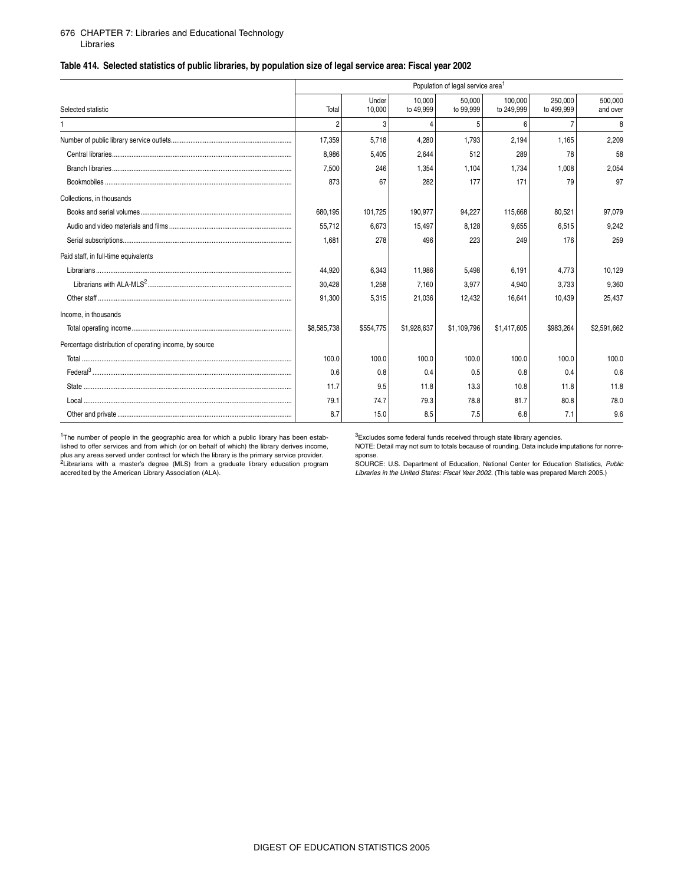#### 676 CHAPTER 7: [Libraries and Educational Technology](#page-0-1) Libraries

### **Table 414. Selected statistics of public libraries, by population size of legal service area: Fiscal year 2002**

|                                                        |                |                 |                     | Population of legal service area <sup>1</sup> |                       |                       |                     |
|--------------------------------------------------------|----------------|-----------------|---------------------|-----------------------------------------------|-----------------------|-----------------------|---------------------|
| Selected statistic                                     | Total          | Under<br>10,000 | 10.000<br>to 49,999 | 50.000<br>to 99,999                           | 100,000<br>to 249,999 | 250.000<br>to 499,999 | 500.000<br>and over |
|                                                        | $\mathfrak{p}$ | 3               | $\overline{4}$      | 5                                             | 6                     | $\overline{7}$        | 8                   |
|                                                        | 17.359         | 5.718           | 4.280               | 1.793                                         | 2.194                 | 1.165                 | 2,209               |
|                                                        | 8.986          | 5,405           | 2,644               | 512                                           | 289                   | 78                    | 58                  |
|                                                        | 7.500          | 246             | 1,354               | 1.104                                         | 1.734                 | 1.008                 | 2,054               |
|                                                        | 873            | 67              | 282                 | 177                                           | 171                   | 79                    | 97                  |
| Collections, in thousands                              |                |                 |                     |                                               |                       |                       |                     |
|                                                        | 680,195        | 101,725         | 190,977             | 94,227                                        | 115,668               | 80.521                | 97,079              |
|                                                        | 55,712         | 6.673           | 15.497              | 8,128                                         | 9.655                 | 6.515                 | 9,242               |
|                                                        | 1.681          | 278             | 496                 | 223                                           | 249                   | 176                   | 259                 |
| Paid staff, in full-time equivalents                   |                |                 |                     |                                               |                       |                       |                     |
|                                                        | 44.920         | 6,343           | 11.986              | 5,498                                         | 6.191                 | 4.773                 | 10,129              |
|                                                        | 30,428         | 1,258           | 7.160               | 3,977                                         | 4,940                 | 3.733                 | 9,360               |
|                                                        | 91,300         | 5,315           | 21,036              | 12,432                                        | 16,641                | 10,439                | 25,437              |
| Income, in thousands                                   |                |                 |                     |                                               |                       |                       |                     |
|                                                        | \$8,585,738    | \$554,775       | \$1,928,637         | \$1,109,796                                   | \$1,417,605           | \$983,264             | \$2,591,662         |
| Percentage distribution of operating income, by source |                |                 |                     |                                               |                       |                       |                     |
|                                                        | 100.0          | 100.0           | 100.0               | 100.0                                         | 100.0                 | 100.0                 | 100.0               |
|                                                        | 0.6            | 0.8             | 0.4                 | 0.5                                           | 0.8                   | 0.4                   | 0.6                 |
|                                                        | 11.7           | 9.5             | 11.8                | 13.3                                          | 10.8                  | 11.8                  | 11.8                |
|                                                        | 79.1           | 74.7            | 79.3                | 78.8                                          | 81.7                  | 80.8                  | 78.0                |
|                                                        | 8.7            | 15.0            | 8.5                 | 7.5                                           | 6.8                   | 7.1                   | 9.6                 |

<sup>1</sup>The number of people in the geographic area for which a public library has been established to offer services and from which (or on behalf of which) the library derives income, plus any areas served under contract for which the library is the primary service provider.<br><sup>2</sup>Librarians with a master's degree (MLS) from a graduate library education program accredited by the American Library Association (ALA).

<sup>3</sup>Excludes some federal funds received through state library agencies.

NOTE: Detail may not sum to totals because of rounding. Data include imputations for nonre-

sponse. SOURCE: U.S. Department of Education, National Center for Education Statistics, *Public Libraries in the United States: Fiscal Year 2002*. (This table was prepared March 2005.)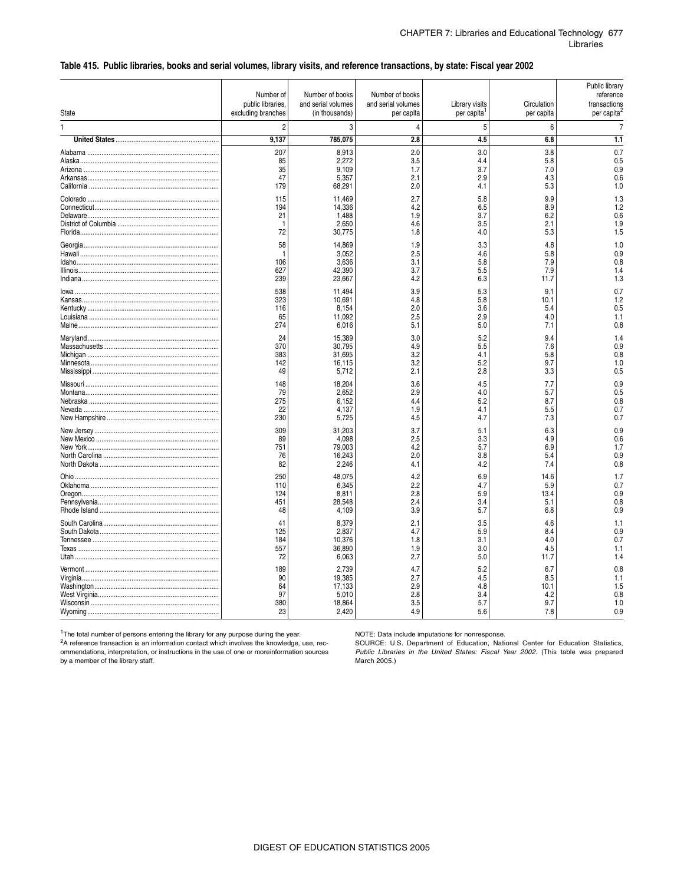#### \_ **Table 415. Public libraries, books and serial volumes, library visits, and reference transactions, by state: Fiscal year 2002**

| State | Number of<br>public libraries,<br>excluding branches | Number of books<br>and serial volumes<br>(in thousands) | Number of books<br>and serial volumes<br>per capita | Library visits<br>per capita    | Circulation<br>per capita         | Public library<br>reference<br>transactions<br>per capita <sup>2</sup> |
|-------|------------------------------------------------------|---------------------------------------------------------|-----------------------------------------------------|---------------------------------|-----------------------------------|------------------------------------------------------------------------|
| 1     | $\overline{2}$                                       | 3                                                       | 4                                                   | 5                               | 6                                 | 7                                                                      |
|       | 9.137                                                | 785,075                                                 | 2.8                                                 | 4.5                             | 6.8                               | 1.1                                                                    |
|       | 207                                                  | 8,913                                                   | 2.0                                                 | 3.0                             | 3.8                               | 0.7                                                                    |
|       | 85                                                   | 2,272                                                   | 3.5                                                 | 4.4                             | 5.8                               | 0.5                                                                    |
|       | 35                                                   | 9.109                                                   | 1.7                                                 | 3.7                             | 7.0                               | 0.9                                                                    |
|       | 47                                                   | 5,357                                                   | 2.1                                                 | 2.9                             | 4.3                               | 0.6                                                                    |
|       | 179                                                  | 68,291                                                  | 2.0                                                 | 4.1                             | 5.3                               | 1.0                                                                    |
|       | 115                                                  | 11,469                                                  | 2.7                                                 | 5.8                             | 9.9                               | 1.3                                                                    |
|       | 194                                                  | 14.336                                                  | 4.2                                                 | 6.5                             | 8.9                               | 1.2                                                                    |
|       | 21                                                   | 1,488                                                   | 1.9                                                 | 3.7                             | 6.2                               | 0.6                                                                    |
|       | -1                                                   | 2.650                                                   | 4.6                                                 | 3.5                             | 2.1                               | 1.9                                                                    |
|       | 72                                                   | 30,775                                                  | 1.8                                                 | 4.0                             | 5.3                               | 1.5                                                                    |
|       | 58                                                   | 14.869                                                  | 1.9                                                 | 3.3                             | 4.8                               | 1.0                                                                    |
|       | -1                                                   | 3,052                                                   | 2.5                                                 | 4.6                             | 5.8                               | 0.9                                                                    |
|       | 106                                                  | 3.636                                                   | 3.1                                                 | 5.8                             | 7.9                               | 0.8                                                                    |
|       | 627                                                  | 42.390                                                  | 3.7                                                 | 5.5                             | 7.9                               | 1.4                                                                    |
|       | 239                                                  | 23,667                                                  | 4.2                                                 | 6.3                             | 11.7                              | 1.3                                                                    |
|       | 538                                                  | 11.494                                                  | 3.9                                                 | 5.3                             | 9.1                               | 0.7                                                                    |
|       | 323                                                  | 10,691                                                  | 4.8                                                 | 5.8                             | 10.1                              | 1.2                                                                    |
|       | 116                                                  | 8,154                                                   | 2.0                                                 | 3.6                             | 5.4                               | 0.5                                                                    |
|       | 65                                                   | 11,092                                                  | 2.5                                                 | 2.9                             | 4.0                               | 1.1                                                                    |
|       | 274                                                  | 6,016                                                   | 5.1                                                 | 5.0                             | 7.1                               | 0.8                                                                    |
|       | 24                                                   | 15,389                                                  | 3.0                                                 | 5.2                             | 9.4                               | 1.4                                                                    |
|       | 370                                                  | 30.795                                                  | 4.9                                                 | 5.5                             | 7.6                               | 0.9                                                                    |
|       | 383                                                  | 31.695                                                  | 3.2                                                 | 4.1                             | 5.8                               | 0.8                                                                    |
|       | 142                                                  | 16,115                                                  | 3.2                                                 | 5.2                             | 9.7                               | 1.0                                                                    |
|       | 49                                                   | 5,712                                                   | 2.1                                                 | 2.8                             | 3.3                               | 0.5                                                                    |
|       | 148                                                  | 18,204                                                  | 3.6                                                 | 4.5                             | 7.7                               | 0.9                                                                    |
|       | 79                                                   | 2,652                                                   | 2.9                                                 | 4.0                             | 5.7                               | 0.5                                                                    |
|       | 275                                                  | 6,152                                                   | 4.4                                                 | 5.2                             | 8.7                               | 0.8                                                                    |
|       | 22                                                   | 4.137                                                   | 1.9                                                 | 4.1                             | 5.5                               | 0.7                                                                    |
|       | 230                                                  | 5,725                                                   | 4.5                                                 | 4.7                             | 7.3                               | 0.7                                                                    |
|       | 309                                                  | 31.203                                                  | 3.7                                                 | 5.1                             | 6.3                               | 0.9                                                                    |
|       | 89                                                   | 4.098                                                   | 2.5                                                 | 3.3                             | 4.9                               | 0.6                                                                    |
|       | 751                                                  | 79.003                                                  | 4.2                                                 | 5.7                             | 6.9                               | 1.7                                                                    |
|       | 76                                                   | 16,243                                                  | 2.0                                                 | 3.8                             | 5.4                               | 0.9                                                                    |
|       | 82                                                   | 2,246                                                   | 4.1                                                 | 4.2                             | 7.4                               | 0.8                                                                    |
| Ohio  | 250<br>110<br>124<br>451<br>48                       | 48.075<br>6,345<br>8,811<br>28,548<br>4,109             | 4.2<br>2.2<br>2.8<br>2.4<br>3.9                     | 6.9<br>4.7<br>5.9<br>3.4<br>5.7 | 14.6<br>5.9<br>13.4<br>5.1<br>6.8 | 1.7<br>0.7<br>0.9<br>0.8<br>0.9                                        |
|       | 41                                                   | 8,379                                                   | 2.1                                                 | 3.5                             | 4.6                               | 1.1                                                                    |
|       | 125                                                  | 2.837                                                   | 4.7                                                 | 5.9                             | 8.4                               | 0.9                                                                    |
|       | 184                                                  | 10,376                                                  | 1.8                                                 | 3.1                             | 4.0                               | 0.7                                                                    |
|       | 557                                                  | 36,890                                                  | 1.9                                                 | 3.0                             | 4.5                               | 1.1                                                                    |
|       | 72                                                   | 6.063                                                   | 2.7                                                 | 5.0                             | 11.7                              | 1.4                                                                    |
|       | 189                                                  | 2.739                                                   | 4.7                                                 | 5.2                             | 6.7                               | 0.8                                                                    |
|       | 90                                                   | 19,385                                                  | 2.7                                                 | 4.5                             | 8.5                               | 1.1                                                                    |
|       | 64                                                   | 17,133                                                  | 2.9                                                 | 4.8                             | 10.1                              | 1.5                                                                    |
|       | 97                                                   | 5.010                                                   | 2.8                                                 | 3.4                             | 4.2                               | 0.8                                                                    |
|       | 380                                                  | 18,864                                                  | 3.5                                                 | 5.7                             | 9.7                               | 1.0                                                                    |
|       | 23                                                   | 2.420                                                   | 4.9                                                 | 5.6                             | 7.8                               | 0.9                                                                    |

<sup>1</sup>The total number of persons entering the library for any purpose during the year.  $2A$  reference transaction is an information contact which involves the knowledge, use, recommendations, interpretation, or instructions in the use of one or moreinformation sources by a member of the library staff.

NOTE: Data include imputations for nonresponse.

SOURCE: U.S. Department of Education, National Center for Education Statistics, *Public Libraries in the United States: Fiscal Year 2002*. (This table was prepared March 2005.)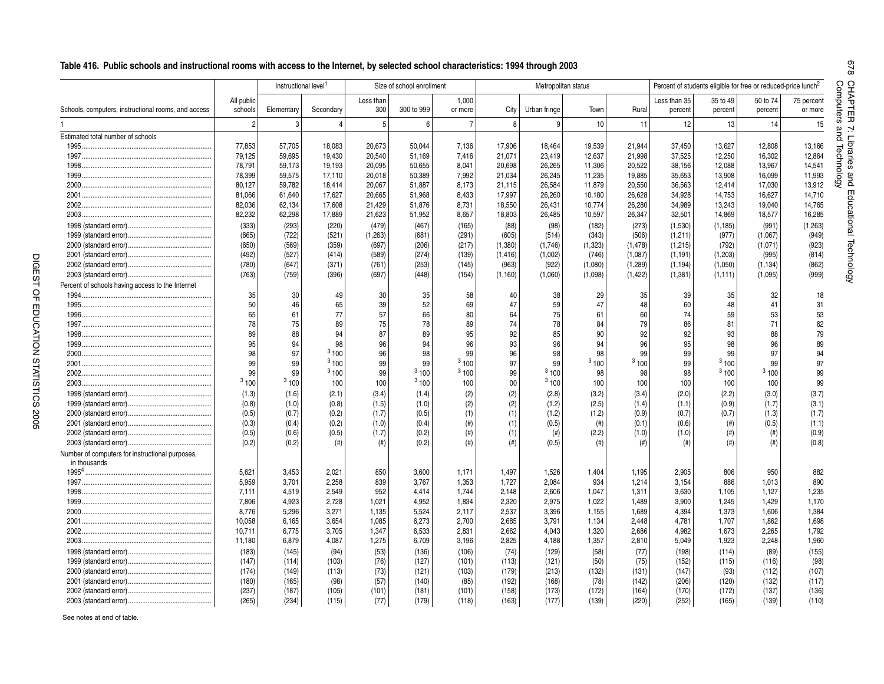|                                                                 |                       | Instructional level <sup>1</sup> |                |                  | Size of school enrollment |                  |                | Metropolitan status |                |          | Percent of students eligible for free or reduced-price lunch <sup>2</sup> |                     |                     |                       |
|-----------------------------------------------------------------|-----------------------|----------------------------------|----------------|------------------|---------------------------|------------------|----------------|---------------------|----------------|----------|---------------------------------------------------------------------------|---------------------|---------------------|-----------------------|
| Schools, computers, instructional rooms, and access             | All public<br>schools | Elementary                       | Secondary      | Less than<br>300 | 300 to 999                | 1,000<br>or more | City           | Urban fringe        | Town           | Rural    | Less than 35<br>percent                                                   | 35 to 49<br>percent | 50 to 74<br>percent | 75 percent<br>or more |
|                                                                 | $\overline{2}$        | 3                                | $\overline{4}$ | 5 <sup>5</sup>   | 6                         | $\overline{7}$   | 8              | 9                   | 10             | 11       | 12                                                                        | 13                  | 14                  | 15                    |
| Estimated total number of schools                               |                       |                                  |                |                  |                           |                  |                |                     |                |          |                                                                           |                     |                     |                       |
|                                                                 | 77,853                | 57,705                           | 18,083         | 20,673           | 50,044                    | 7,136            | 17,906         | 18,464              | 19,539         | 21,944   | 37,450                                                                    | 13,627              | 12,808              | 13,166                |
|                                                                 | 79,125                | 59,695                           | 19,430         | 20,540           | 51,169                    | 7,416            | 21,071         | 23,419              | 12,637         | 21,998   | 37,525                                                                    | 12,250              | 16,302              | 12,864                |
|                                                                 | 78,791                | 59,173                           | 19,193         | 20,095           | 50.655                    | 8,041            | 20,698         | 26,265              | 11,306         | 20,522   | 38,156                                                                    | 12,088              | 13,967              | 14,541                |
|                                                                 | 78,399                | 59,575                           | 17,110         | 20,018           | 50,389                    | 7,992            | 21,034         | 26,245              | 11,235         | 19,885   | 35,653                                                                    | 13,908              | 16,099              | 11,993                |
|                                                                 | 80,127                | 59,782                           | 18,414         | 20,067           | 51,887                    | 8,173            | 21,115         | 26,584              | 11,879         | 20,550   | 36,563                                                                    | 12,414              | 17,030              | 13,912                |
|                                                                 | 81,066                | 61,640                           | 17,627         | 20,665           | 51,968                    | 8,433            | 17,997         | 26,260              | 10,180         | 26,628   | 34,928                                                                    | 14,753              | 16,627              | 14,710                |
|                                                                 | 82,036                | 62,134                           | 17,608         | 21,429           | 51,876                    | 8,731            | 18,550         | 26,431              | 10,774         | 26,280   | 34,989                                                                    | 13,243              | 19,040              | 14,765                |
|                                                                 | 82,232                | 62,298                           | 17,889         | 21,623           | 51,952                    | 8,657            | 18,803         | 26,485              | 10,597         | 26,347   | 32,501                                                                    | 14,869              | 18,577              | 16,285                |
|                                                                 | (333)                 | (293)                            | (220)          | (479)            | (467)                     | (165)            | (88)           | (98)                | (182)          | (273)    | (1,530)                                                                   | (1, 185)            | (991)               | (1,263)               |
|                                                                 | (665)                 | (722)                            | (521)          | (1, 263)         | (681)                     | (291)            | (605)          | (514)               | (343)          | (506)    | (1, 211)                                                                  | (977)               | (1,067)             | (949)                 |
|                                                                 | (650)                 | (569)                            | (359)          | (697)            | (206)                     | (217)            | (1,380)        | (1,746)             | (1, 323)       | (1, 478) | (1,215)                                                                   | (792)               | (1,071)             | (923)                 |
|                                                                 | (492)                 | (527)                            | (414)          | (589)            | (274)                     | (139)            | (1, 416)       | (1,002)             | (746)          | (1,087)  | (1, 191)                                                                  | (1, 203)            | (995)               | (814)                 |
|                                                                 | (780)                 | (647)                            | (371)          | (761)            | (253)                     | (145)            | (963)          | (922)               | (1,080)        | (1, 289) | (1, 194)                                                                  | (1,050)             | (1, 134)            | (862)                 |
|                                                                 | (763)                 | (759)                            | (396)          | (697)            | (448)                     | (154)            | (1, 160)       | (1,060)             | (1,098)        | (1, 422) | (1, 381)                                                                  | (1, 111)            | (1,095)             | (999)                 |
| Percent of schools having access to the Internet                |                       |                                  |                |                  |                           |                  |                |                     |                |          |                                                                           |                     |                     |                       |
|                                                                 | 35                    | 30                               | 49             | 30               | 35                        | 58               | 40             | 38                  | 29             | 35       | 39                                                                        | 35                  | 32                  | 18                    |
|                                                                 | 50                    | 46                               | 65             | 39               | 52                        | 69               | 47             | 59                  | 47             | 48       | 60                                                                        | 48                  | 41                  | 31                    |
|                                                                 | 65                    | 61                               | 77             | 57               | 66                        | 80               | 64             | 75                  | 61             | 60       | 74                                                                        | 59                  | 53                  | 53                    |
|                                                                 | 78                    | 75                               | 89             | 75               | 78                        | 89               | 74             | 78                  | 84             | 79       | 86                                                                        | 81                  | 71                  | 62                    |
|                                                                 |                       |                                  | 94             |                  |                           |                  |                |                     |                |          |                                                                           |                     |                     |                       |
|                                                                 | 89<br>95              | 88<br>94                         | 98             | 87               | 89<br>94                  | 95               | 92             | 85                  | 90<br>94       | 92       | 92                                                                        | 93<br>98            | 88                  | 79                    |
|                                                                 |                       | 97                               | 3100           | 96               |                           | 96<br>99         | 93             | 96                  | 98             | 96<br>99 | 95                                                                        | 99                  | 96<br>97            | 89                    |
|                                                                 | 98                    |                                  | 3100           | 96               | 98                        | 3100             | 96             | 98                  | 3100           | 3100     | 99                                                                        | 3100                |                     | 94                    |
|                                                                 | 99                    | 99                               | 3100           | 99               | 99<br>3100                | 3100             | 97             | 99<br>3100          |                |          | 99                                                                        | 3100                | 99<br>3100          | 97                    |
|                                                                 | 99<br>3100            | 99                               |                | 99               | 3100                      |                  | 99             | 3100                | 98             | 98       | 98                                                                        |                     |                     | 99                    |
|                                                                 |                       | 3100                             | 100            | 100              |                           | 100              | 00             |                     | 100            | 100      | 100                                                                       | 100                 | 100                 | 99                    |
|                                                                 | (1.3)                 | (1.6)                            | (2.1)          | (3.4)            | (1.4)                     | (2)              | (2)            | (2.8)               | (3.2)          | (3.4)    | (2.0)                                                                     | (2.2)               | (3.0)               | (3.7)                 |
|                                                                 | (0.8)                 | (1.0)                            | (0.8)          | (1.5)            | (1.0)                     | (2)              | (2)            | (1.2)               | (2.5)          | (1.4)    | (1.1)                                                                     | (0.9)               | (1.7)               | (3.1)                 |
|                                                                 | (0.5)                 | (0.7)                            | (0.2)          | (1.7)            | (0.5)                     | (1)              | (1)            | (1.2)               | (1.2)          | (0.9)    | (0.7)                                                                     | (0.7)               | (1.3)               | (1.7)                 |
|                                                                 | (0.3)                 | (0.4)                            | (0.2)          | (1.0)            | (0.4)                     | $(\#)$           | (1)            | (0.5)               | (# )           | (0.1)    | (0.6)                                                                     | (# )                | (0.5)               | (1.1)                 |
|                                                                 | (0.5)                 | (0.6)                            | (0.5)          | (1.7)            | (0.2)                     | (# )             | (1)            | (# )                | (2.2)          | (1.0)    | (1.0)                                                                     | $($ # $)$           | $($ # $)$           | (0.9)                 |
|                                                                 | (0.2)                 | (0.2)                            | $^{(ii)}$      | $^{(#)}$         | (0.2)                     | $(\#)$           | $(\#)$         | (0.5)               | (# )           | $(\#)$   | $(\#)$                                                                    | $($ # $)$           | $($ # $)$           | (0.8)                 |
| Number of computers for instructional purposes,<br>in thousands |                       |                                  |                |                  |                           |                  |                |                     |                |          |                                                                           |                     |                     |                       |
|                                                                 | 5,621                 | 3,453                            | 2,021          | 850              | 3,600                     | 1,171            | 1,497          | 1,526               | 1,404          | 1,195    | 2,905                                                                     | 806                 | 950                 | 882                   |
|                                                                 | 5,959                 | 3,701                            | 2,258          | 839              | 3,767                     | 1,353            | 1,727          | 2,084               | 934            | 1,214    | 3,154                                                                     | 886                 | 1,013               | 890                   |
|                                                                 | 7,111                 | 4,519                            | 2,549          | 952              | 4,414                     | 1.744            | 2,148          | 2,606               | 1,047          | 1,311    | 3,630                                                                     | 1,105               | 1.127               | 1,235                 |
|                                                                 | 7,806                 | 4,923                            | 2,728          | 1,021            | 4,952                     | 1,834            | 2,320          | 2,975               | 1,022          | 1,489    | 3,900                                                                     | 1,245               | 1,429               | 1,170                 |
|                                                                 | 8,776                 | 5,296                            | 3,271          | 1,135            | 5,524                     | 2,117            | 2,537          | 3,396               | 1,155          | 1,689    | 4,394                                                                     | 1,373               | 1,606               | 1,384                 |
|                                                                 |                       |                                  |                |                  |                           |                  |                |                     |                |          |                                                                           |                     |                     | 1,698                 |
|                                                                 | 10,058                | 6,165                            | 3,654          | 1,085            | 6,273                     | 2,700            | 2,685          | 3,791               | 1,134          | 2,448    | 4,781                                                                     | 1,707               | 1,862               |                       |
| 2003.                                                           | 10,711<br>11,180      | 6,775<br>6,879                   | 3,705<br>4,087 | 1,347<br>1,275   | 6,533<br>6,709            | 2,831<br>3,196   | 2,662<br>2,825 | 4,043<br>4,188      | 1,320<br>1,357 | 2,686    | 4,982<br>5,049                                                            | 1,673<br>1,923      | 2,265<br>2,248      | 1,792<br>1,960        |
|                                                                 |                       |                                  |                |                  |                           |                  |                |                     |                | 2,810    |                                                                           |                     |                     |                       |
|                                                                 | (183)                 | (145)                            | (94)           | (53)             | (136)                     | (106)            | (74)           | (129)               | (58)           | (77)     | (198)                                                                     | (114)               | (89)                | (155)                 |
|                                                                 | (147)                 | (114)                            | (103)          | (76)             | (127)                     | (101)            | (113)          | (121)               | (50)           | (75)     | (152)                                                                     | (115)               | (116)               | (98)                  |
|                                                                 | (174)                 | (149)                            | (113)          | (73)             | (121)                     | (103)            | (179)          | (213)               | (132)          | (131)    | (147)                                                                     | (93)                | (112)               | (107)                 |
|                                                                 | (180)                 | (165)                            | (98)           | (57)             | (140)                     | (85)             | (192)          | (168)               | (78)           | (142)    | (206)                                                                     | (120)               | (132)               | (117)                 |
|                                                                 | (237)                 | (187)                            | (105)          | (101)            | (181)                     | (101)            | (158)          | (173)               | (172)          | (164)    | (170)                                                                     | (172)               | (137)               | (136)                 |
|                                                                 | (265)                 | (234)                            | (115)          | (77)             | (179)                     | (118)            | (163)          | (177)               | (139)          | (220)    | (252)                                                                     | (165)               | (139)               | (110)                 |

See notes at end of table.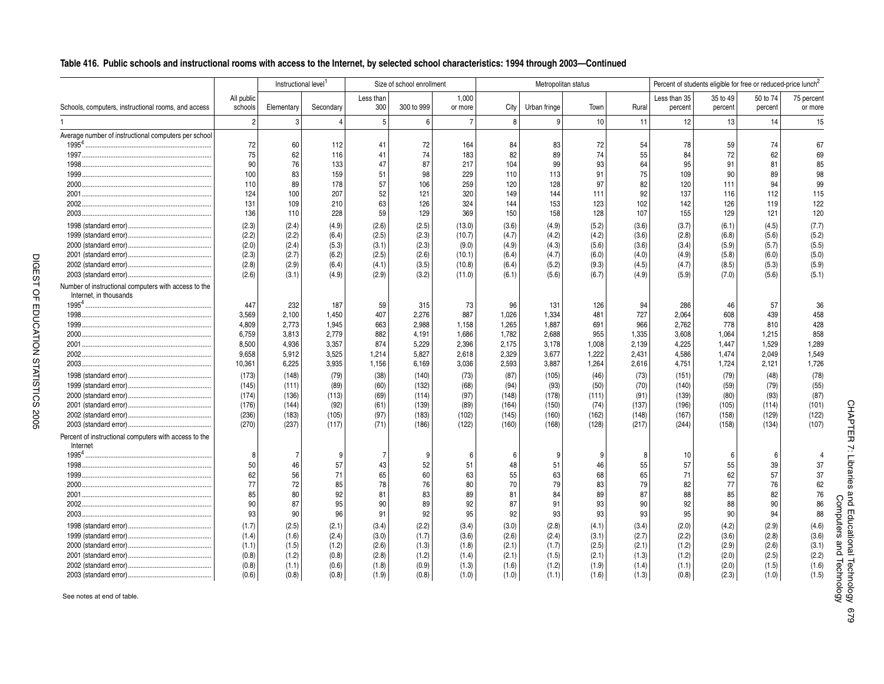### Table 416. Public schools and instructional rooms with access to the Internet, by selected school characteristics: 1994 through 2003-Continued

|                                                                                |                       | Instructional level <sup>1</sup> |           |                  | Size of school enrollment |                  |       |              | Metropolitan status |       |                         | Percent of students eligible for free or reduced-price lunch <sup>2</sup> |                     |                       |
|--------------------------------------------------------------------------------|-----------------------|----------------------------------|-----------|------------------|---------------------------|------------------|-------|--------------|---------------------|-------|-------------------------|---------------------------------------------------------------------------|---------------------|-----------------------|
| Schools, computers, instructional rooms, and access                            | All public<br>schools | Elementary                       | Secondary | Less than<br>300 | 300 to 999                | 1,000<br>or more | City  | Urban fringe | Town                | Rural | Less than 35<br>percent | 35 to 49<br>percent                                                       | 50 to 74<br>percent | 75 percent<br>or more |
|                                                                                | 2                     | 3                                | $\Delta$  | 5                | 6                         | $\overline{7}$   | 8     | 9            | 10                  | 11    | 12                      | 13                                                                        | 14                  | 15                    |
| Average number of instructional computers per school                           |                       |                                  |           |                  |                           |                  |       |              |                     |       |                         |                                                                           |                     |                       |
|                                                                                | 72                    | 60                               | 112       | 41               | 72                        | 164              | 84    | 83           | 72                  | 54    | 78                      | 59                                                                        | 74                  | 67                    |
|                                                                                | 75                    | 62                               | 116       | 41               | 74                        | 183              | 82    | 89           | 74                  | 55    | 84                      | 72                                                                        | 62                  | 69                    |
|                                                                                | 90                    | 76                               | 133       | 47               | 87                        | 217              | 104   | 99           | 93                  | 64    | 95                      | 91                                                                        | 81                  | 85                    |
|                                                                                | 100                   | 83                               | 159       | 51               | 98                        | 229              | 110   | 113          | 91                  | 75    | 109                     | 90                                                                        | 89                  | 98                    |
|                                                                                | 110                   | 89                               | 178       | 57               | 106                       | 259              | 120   | 128          | 97                  | 82    | 120                     | 111                                                                       | 94                  | 99                    |
|                                                                                | 124                   | 100                              | 207       | 52               | 121                       | 320              | 149   | 144          | 111                 | 92    | 137                     | 116                                                                       | 112                 | 115                   |
|                                                                                | 131                   | 109                              | 210       | 63               | 126                       | 324              | 144   | 153          | 123                 | 102   | 142                     | 126                                                                       | 119                 | 122                   |
|                                                                                | 136                   | 110                              | 228       | 59               | 129                       | 369              | 150   | 158          | 128                 | 107   | 155                     | 129                                                                       | 121                 | 120                   |
|                                                                                | (2.3)                 | (2.4)                            | (4.9)     | (2.6)            | (2.5)                     | (13.0)           | (3.6) | (4.9)        | (5.2)               | (3.6) | (3.7)                   | (6.1)                                                                     | (4.5)               | (7.7)                 |
|                                                                                | (2.2)                 | (2.2)                            | (6.4)     | (2.5)            | (2.3)                     | (10.7)           | (4.7) | (4.2)        | (4.2)               | (3.6) | (2.8)                   | (6.8)                                                                     | (5.6)               | (5.2)                 |
|                                                                                | (2.0)                 | (2.4)                            | (5.3)     | (3.1)            | (2.3)                     | (9.0)            | (4.9) | (4.3)        | (5.6)               | (3.6) | (3.4)                   | (5.9)                                                                     | (5.7)               | (5.5)                 |
|                                                                                | (2.3)                 | (2.7)                            | (6.2)     | (2.5)            | (2.6)                     | (10.1)           | (6.4) | (4.7)        | (6.0)               | (4.0) | (4.9)                   | (5.8)                                                                     | (6.0)               | (5.0)                 |
|                                                                                | (2.8)                 | (2.9)                            | (6.4)     | (4.1)            | (3.5)                     | (10.8)           | (6.4) | (5.2)        | (9.3)               | (4.5) | (4.7)                   | (8.5)                                                                     | (5.3)               | (5.9)                 |
|                                                                                | (2.6)                 | (3.1)                            | (4.9)     | (2.9)            | (3.2)                     | (11.0)           | (6.1) | (5.6)        | (6.7)               | (4.9) | (5.9)                   | (7.0)                                                                     | (5.6)               | (5.1)                 |
| Number of instructional computers with access to the<br>Internet, in thousands |                       |                                  |           |                  |                           |                  |       |              |                     |       |                         |                                                                           |                     |                       |
|                                                                                | 447                   | 232                              | 187       | 59               | 315                       | 73               | 96    | 131          | 126                 | 94    | 286                     | 46                                                                        | 57                  | 36                    |
|                                                                                | 3.569                 |                                  | 1,450     | 407              | 2.276                     | 887              | 1.026 | 1,334        | 481                 | 727   | 2.064                   | 608                                                                       | 439                 | 458                   |
|                                                                                | 4,809                 | 2,100                            | 1,945     | 663              | 2,988                     | 1,158            | 1,265 | 1,887        | 691                 | 966   | 2,762                   | 778                                                                       | 810                 | 428                   |
|                                                                                |                       | 2,773                            |           | 882              |                           |                  |       |              |                     |       |                         |                                                                           |                     | 858                   |
|                                                                                | 6,759                 | 3,813                            | 2,779     |                  | 4,191                     | 1,686            | 1,782 | 2,688        | 955                 | 1,335 | 3,608                   | 1,064                                                                     | 1,215               |                       |
|                                                                                | 8,500                 | 4,936                            | 3,357     | 874              | 5,229                     | 2,396            | 2,175 | 3,178        | 1,008               | 2,139 | 4,225                   | 1,447                                                                     | 1,529               | 1,289                 |
|                                                                                | 9,658                 | 5,912                            | 3,525     | 1,214            | 5,827                     | 2,618            | 2,329 | 3,677        | 1,222               | 2,431 | 4,586                   | 1,474                                                                     | 2,049               | 1,549                 |
|                                                                                | 10,361                | 6,225                            | 3,935     | 1,156            | 6,169                     | 3,036            | 2,593 | 3,887        | 1,264               | 2,616 | 4,751                   | 1,724                                                                     | 2,121               | 1,726                 |
|                                                                                | (173)                 | (148)                            | (79)      | (38)             | (140)                     | (73)             | (87)  | (105)        | (46)                | (73)  | (151)                   | (79)                                                                      | (48)                | (78)                  |
|                                                                                | (145)                 | (111)                            | (89)      | (60)             | (132)                     | (68)             | (94)  | (93)         | (50)                | (70)  | (140)                   | (59)                                                                      | (79)                | (55)                  |
|                                                                                | (174)                 | (136)                            | (113)     | (69)             | (114)                     | (97)             | (148) | (178)        | (111)               | (91)  | (139)                   | (80)                                                                      | (93)                | (87)                  |
|                                                                                | (176)                 | (144)                            | (92)      | (61)             | (139)                     | (89)             | (164) | (150)        | (74)                | (137) | (196)                   | (105)                                                                     | (114)               | (101)                 |
|                                                                                | (236)                 | (183)                            | (105)     | (97)             | (183)                     | (102)            | (145) | (160)        | (162)               | (148) | (167)                   | (158)                                                                     | (129)               | (122)                 |
|                                                                                | (270)                 | (237)                            | (117)     | (71)             | (186)                     | (122)            | (160) | (168)        | (128)               | (217) | (244)                   | (158)                                                                     | (134)               | (107)                 |
| Percent of instructional computers with access to the<br>Internet              |                       |                                  |           |                  |                           |                  |       |              |                     |       |                         |                                                                           |                     |                       |
| 1995 <sup>4</sup>                                                              | 8                     | 7                                | 9         | 7                | 9                         | 6                | 6     | 9            | 9                   | 8     | 10                      | 6                                                                         | 6                   |                       |
|                                                                                | 50                    | 46                               | 57        | 43               | 52                        | 51               | 48    | 51           | 46                  | 55    | 57                      | 55                                                                        | 39                  | 37                    |
|                                                                                | 62                    | 56                               | 71        | 65               | 60                        | 63               | 55    | 63           | 68                  | 65    | 71                      | 62                                                                        | 57                  | 37                    |
|                                                                                | 77                    | 72                               | 85        | 78               | 76                        | 80               | 70    | 79           | 83                  | 79    | 82                      | 77                                                                        | 76                  | 62                    |
|                                                                                | 85                    | 80                               | 92        | 81               | 83                        | 89               | 81    | 84           | 89                  | 87    | 88                      | 85                                                                        | 82                  | 76                    |
|                                                                                | 90                    | 87                               | 95        | 90               | 89                        | 92               | 87    | 91           | 93                  | 90    | 92                      | 88                                                                        | 90                  | 86                    |
| 2003                                                                           | 93                    | 90                               | 96        | 91               | 92                        | 95               | 92    | 93           | 93                  | 93    | 95                      | 90                                                                        | 94                  | 88                    |
|                                                                                | (1.7)                 | (2.5)                            | (2.1)     | (3.4)            | (2.2)                     | (3.4)            | (3.0) | (2.8)        | (4.1)               | (3.4) | (2.0)                   | (4.2)                                                                     | (2.9)               | (4.6)                 |
|                                                                                | (1.4)                 | (1.6)                            | (2.4)     | (3.0)            | (1.7)                     | (3.6)            | (2.6) | (2.4)        | (3.1)               | (2.7) | (2.2)                   | (3.6)                                                                     | (2.8)               | (3.6)                 |
|                                                                                | (1.1)                 | (1.5)                            | (1.2)     | (2.6)            | (1.3)                     | (1.8)            | (2.1) | (1.7)        | (2.5)               | (2.1) | (1.2)                   | (2.9)                                                                     | (2.6)               | (3.1)                 |
|                                                                                | (0.8)                 | (1.2)                            | (0.8)     | (2.8)            | (1.2)                     | (1.4)            | (2.1) | (1.5)        | (2.1)               | (1.3) | (1.2)                   | (2.0)                                                                     | (2.5)               | (2.2)                 |
|                                                                                | (0.8)                 | (1.1)                            | (0.6)     | (1.8)            | (0.9)                     | (1.3)            | (1.6) | (1.2)        | (1.9)               | (1.4) | (1.1)                   | (2.0)                                                                     | (1.5)               | (1.6)                 |
|                                                                                | (0.6)                 | (0.8)                            | (0.8)     | (1.9)            | (0.8)                     | (1.0)            | (1.0) | (1.1)        | (1.6)               | (1.3) | (0.8)                   | (2.3)                                                                     | (1.0)               | (1.5)                 |

See notes at end of table.

DIGEST OF EDUCATION STATISTICS 2005

DIGEST OF EDUCATION STATISTICS 2005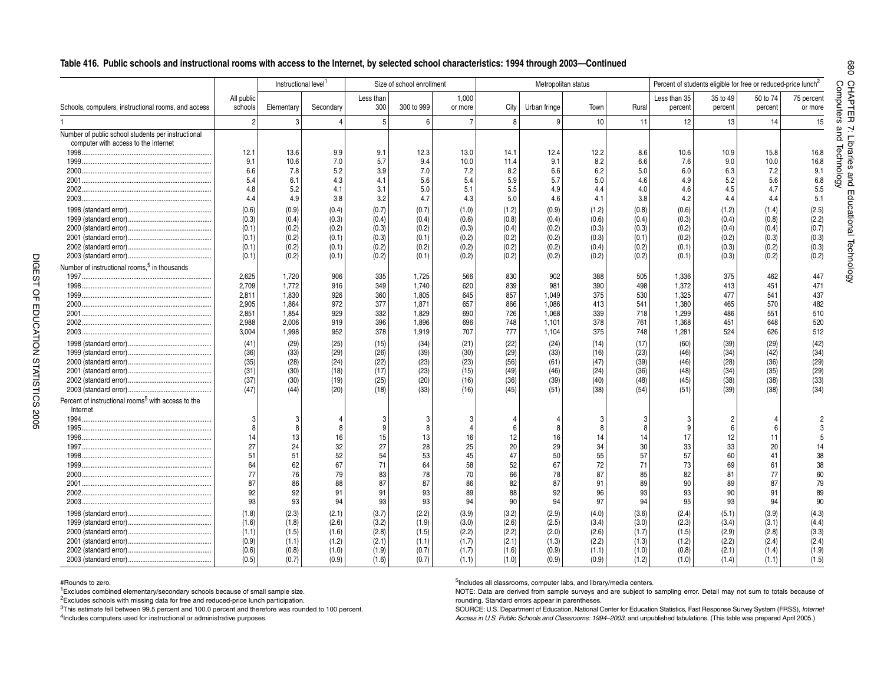#### **<sup>r</sup> <sup>e</sup> t upmoCTable 416. Public schools and instructional rooms with access to the Internet, by selected school characteristics: 1994 through 2003—Continued**

|                                                                                            |                       | Instructional level <sup>1</sup> |           |                  | Size of school enrollment |                  |       |                 | Metropolitan status |       |                         | Percent of students eligible for free or reduced-price lunch <sup>2</sup> |                     |                       |
|--------------------------------------------------------------------------------------------|-----------------------|----------------------------------|-----------|------------------|---------------------------|------------------|-------|-----------------|---------------------|-------|-------------------------|---------------------------------------------------------------------------|---------------------|-----------------------|
| Schools, computers, instructional rooms, and access                                        | All public<br>schools | Elementary                       | Secondary | Less than<br>300 | 300 to 999                | 1,000<br>or more | City  | Urban fringe    | Town                | Rural | Less than 35<br>percent | 35 to 49<br>percent                                                       | 50 to 74<br>percent | 75 percent<br>or more |
|                                                                                            | $\overline{c}$        | 3                                |           | 5                | 6                         | $\overline{7}$   | 8     | 9               | 10                  | 11    | 12                      | 13                                                                        | 14                  | 15                    |
| Number of public school students per instructional<br>computer with access to the Internet |                       |                                  |           |                  |                           |                  |       |                 |                     |       |                         |                                                                           |                     |                       |
| 1998.                                                                                      | 12.1                  | 13.6                             | 9.9       | 9.1              | 12.3                      | 13.0             | 14.1  | 12.4            | 12.2                | 8.6   | 10.6                    | 10.9                                                                      | 15.8                | 16.8                  |
| 1999.                                                                                      | 9.1                   | 10.6                             | 7.0       | 5.7              | 9.4                       | 10.0             | 11.4  | 9.1             | 8.2                 | 6.6   | 7.6                     | 9.0                                                                       | 10.0                | 16.8                  |
| 2000.                                                                                      | 6.6                   | 7.8                              | 5.2       | 3.9              | 7.0                       | 7.2              | 8.2   | 6.6             | 6.2                 | 5.0   | 6.0                     | 6.3                                                                       | 7.2                 | 9.1                   |
| 2001                                                                                       | 5.4                   | 6.1                              | 4.3       | 4.1              | 5.6                       | 5.4              | 5.9   | 5.7             | 5.0                 | 4.6   | 4.9                     | 5.2                                                                       | 5.6                 | 6.8                   |
| 2002.                                                                                      | 4.8                   | 5.2                              | 4.1       | 3.1              | 5.0                       | 5.1              | 5.5   | 4.9             | 4.4                 | 4.0   | 4.6                     | 4.5                                                                       | 4.7                 | 5.5                   |
| 2003.                                                                                      | 4.4                   | 4.9                              | 3.8       | 3.2              | 4.7                       | 4.3              | 5.0   | 4.6             | 4.1                 | 3.8   | 4.2                     | 4.4                                                                       | 4.4                 | 5.1                   |
|                                                                                            | (0.6)                 | (0.9)                            | (0.4)     | (0.7)            | (0.7)                     | (1.0)            | (1.2) | (0.9)           | (1.2)               | (0.8) | (0.6)                   | (1.2)                                                                     | (1.4)               | (2.5)                 |
|                                                                                            | (0.3)                 | (0.4)                            | (0.3)     | (0.4)            | (0.4)                     | (0.6)            | (0.8) | (0.4)           | (0.6)               | (0.4) | (0.3)                   | (0.4)                                                                     | (0.8)               | (2.2)                 |
|                                                                                            | (0.1)                 | (0.2)                            | (0.2)     | (0.3)            | (0.2)                     | (0.3)            | (0.4) | (0.2)           | (0.3)               | (0.3) | (0.2)                   | (0.4)                                                                     | (0.4)               | (0.7)                 |
|                                                                                            | (0.1)                 | (0.2)                            | (0.1)     | (0.3)            | (0.1)                     | (0.2)            | (0.2) | (0.2)           | (0.3)               | (0.1) | (0.2)                   | (0.2)                                                                     | (0.3)               | (0.3)                 |
|                                                                                            | (0.1)                 | (0.2)                            | (0.1)     | (0.2)            | (0.2)                     | (0.2)            | (0.2) | (0.2)           | (0.4)               | (0.2) | (0.1)                   | (0.3)                                                                     | (0.2)               | (0.3)                 |
|                                                                                            | (0.1)                 | (0.2)                            | (0.1)     | (0.2)            | (0.1)                     | (0.2)            | (0.2) | (0.2)           | (0.2)               | (0.2) | (0.1)                   | (0.3)                                                                     | (0.2)               | (0.2)                 |
| Number of instructional rooms, <sup>5</sup> in thousands                                   |                       |                                  |           |                  |                           |                  |       |                 |                     |       |                         |                                                                           |                     |                       |
|                                                                                            | 2,625                 | 1,720                            | 906       | 335              | 1,725                     | 566              | 830   | 902             | 388                 | 505   | 1,336                   | 375                                                                       | 462                 | 447                   |
| 1998.                                                                                      | 2,709                 | 1,772                            | 916       | 349              | 1.740                     | 620              | 839   | 981             | 390                 | 498   | 1,372                   | 413                                                                       | 451                 | 471                   |
| 1999.                                                                                      | 2,811                 | 1,830                            | 926       | 360              | 1,805                     | 645              | 857   | 1,049           | 375                 | 530   | 1,325                   | 477                                                                       | 541                 | 437                   |
|                                                                                            | 2,905                 | 1,864                            | 972       | 377              | 1.871                     | 657              | 866   | 1,086           | 413                 | 541   | 1,380                   | 465                                                                       | 570                 | 482                   |
|                                                                                            | 2,851                 | 1,854                            | 929       | 332              | 1,829                     | 690              | 726   | 1,068           | 339                 | 718   | 1,299                   | 486                                                                       | 551                 | 510                   |
| 2002.                                                                                      | 2,988                 | 2,006                            | 919       | 396              | 1,896                     | 696              | 748   | 1,101           | 378                 | 761   | 1,368                   | 451                                                                       | 648                 | 520                   |
| 2003.                                                                                      | 3,004                 | 1,998                            | 952       | 378              | 1,919                     | 707              | 777   | 1,104           | 375                 | 748   | 1,281                   | 524                                                                       | 626                 | 512                   |
|                                                                                            | (41)                  | (29)                             | (25)      | (15)             | (34)                      | (21)             | (22)  | (24)            | (14)                | (17)  | (60)                    | (39)                                                                      | (29)                | (42)                  |
|                                                                                            | (36)                  | (33)                             | (29)      | (26)             | (39)                      | (30)             | (29)  | (33)            | (16)                | (23)  | (46)                    | (34)                                                                      | (42)                | (34)                  |
|                                                                                            | (35)                  | (28)                             | (24)      | (22)             | (23)                      | (23)             | (56)  | (61)            | (47)                | (39)  | (46)                    | (28)                                                                      | (36)                | (29)                  |
|                                                                                            | (31)                  | (30)                             | (18)      | (17)             | (23)                      | (15)             | (49)  | (46)            | (24)                | (36)  | (48)                    | (34)                                                                      | (35)                | (29)                  |
|                                                                                            | (37)                  | (30)                             | (19)      | (25)             | (20)                      | (16)             | (36)  | (39)            | (40)                | (48)  | (45)                    | (38)                                                                      | (38)                | (33)                  |
|                                                                                            | (47)                  | (44)                             | (20)      | (18)             | (33)                      | (16)             | (45)  | (51)            | (38)                | (54)  | (51)                    | (39)                                                                      | (38)                | (34)                  |
| Percent of instructional rooms <sup>5</sup> with access to the<br>Internet                 |                       |                                  |           |                  |                           |                  |       |                 |                     |       |                         |                                                                           |                     |                       |
|                                                                                            | 3                     | 3                                |           |                  |                           | 3                |       |                 |                     |       | 3                       |                                                                           |                     |                       |
| 1995.                                                                                      | 8                     | 8                                |           | 9                |                           | $\overline{4}$   |       | 8               | ε                   | 8     | 9                       | 6                                                                         | 6                   |                       |
| 1996.                                                                                      | 14                    | 13                               | 16        | 15               | 13                        | 16               | 12    | 16 <sub>1</sub> | 14                  | 14    | 17                      | 12                                                                        | 11                  |                       |
|                                                                                            | 27                    | 24                               | 32        | 27               | 28                        | 25               | 20    | 29              | 34                  | 30    | 33                      | 33                                                                        | 20                  | 14                    |
|                                                                                            | 51                    | 51                               | 52        | 54               | 53                        | 45               | 47    | 50              | 55                  | 57    | 57                      | 60                                                                        | 41                  | 38                    |
|                                                                                            | 64                    | 62                               | 67        | 71               | 64                        | 58               | 52    | 67              | 72                  | 71    | 73                      | 69                                                                        | 61                  | 38                    |
| 2000.                                                                                      | 77                    | 76                               | 79        | 83               | 78                        | 70               | 66    | 78              | 87                  | 85    | 82                      | 81                                                                        | 77                  | 60                    |
|                                                                                            | 87                    | 86                               | 88        | 87               | 87                        | 86               | 82    | 87              | 91                  | 89    | 90                      | 89                                                                        | 87                  | 79                    |
|                                                                                            | 92                    | 92                               | 91        | 91               | 93                        | 89               | 88    | 92              | 96                  | 93    | 93                      | 90                                                                        | 91                  | 89                    |
| 2003.                                                                                      | 93                    | 93                               | 94        | 93               | 93                        | 94               | 90    | 94              | 97                  | 94    | 95                      | 93                                                                        | 94                  | 90                    |
|                                                                                            | (1.8)                 | (2.3)                            | (2.1)     | (3.7)            | (2.2)                     | (3.9)            | (3.2) | (2.9)           | (4.0)               | (3.6) | (2.4)                   | (5.1)                                                                     | (3.9)               | (4.3)                 |
|                                                                                            | (1.6)                 | (1.8)                            | (2.6)     | (3.2)            | (1.9)                     | (3.0)            | (2.6) | (2.5)           | (3.4)               | (3.0) | (2.3)                   | (3.4)                                                                     | (3.1)               | (4.4)                 |
|                                                                                            | (1.1)                 | (1.5)                            | (1.6)     | (2.8)            | (1.5)                     | (2.2)            | (2.2) | (2.0)           | (2.6)               | (1.7) | (1.5)                   | (2.9)                                                                     | (2.8)               | (3.3)                 |
|                                                                                            | (0.9)                 | (1.1)                            | (1.2)     | (2.1)            | (1.1)                     | (1.7)            | (2.1) | (1.3)           | (2.2)               | (1.3) | (1.2)                   | (2.2)                                                                     | (2.4)               | (2.4)                 |
|                                                                                            | (0.6)                 | (0.8)                            | (1.0)     | (1.9)            | (0.7)                     | (1.7)            | (1.6) | (0.9)           | (1.1)               | (1.0) | (0.8)                   | (2.1)                                                                     | (1.4)               | (1.9)                 |
|                                                                                            | (0.5)                 | (0.7)                            | (0.9)     | (1.6)            | (0.7)                     | (1.1)            | (1.0) | (0.9)           | (0.9)               | (1.2) | (1.0)                   | (1.4)                                                                     | (1.1)               | (1.5)                 |

#Rounds to zero.

<sup>1</sup>Excludes combined elementary/secondary schools because of small sample size.

2Excludes schools with missing data for free and reduced-price lunch participation.

<sup>3</sup>This estimate fell between 99.5 percent and 100.0 percent and therefore was rounded to 100 percent.

4Includes computers used for instructional or administrative purposes.

5Includes all classrooms, computer labs, and library/media centers.

NOTE: Data are derived from sample surveys and are subject to sampling error. Detail may not sum to totals because of rounding. Standard errors appear in parentheses.

SOURCE: U.S. Department of Education, National Center for Education Statistics, Fast Response Survey System (FRSS), *Internet Access in U.S. Public Schools and Classrooms: 1994–2003*; and unpublished tabulations. (This table was prepared April 2005.)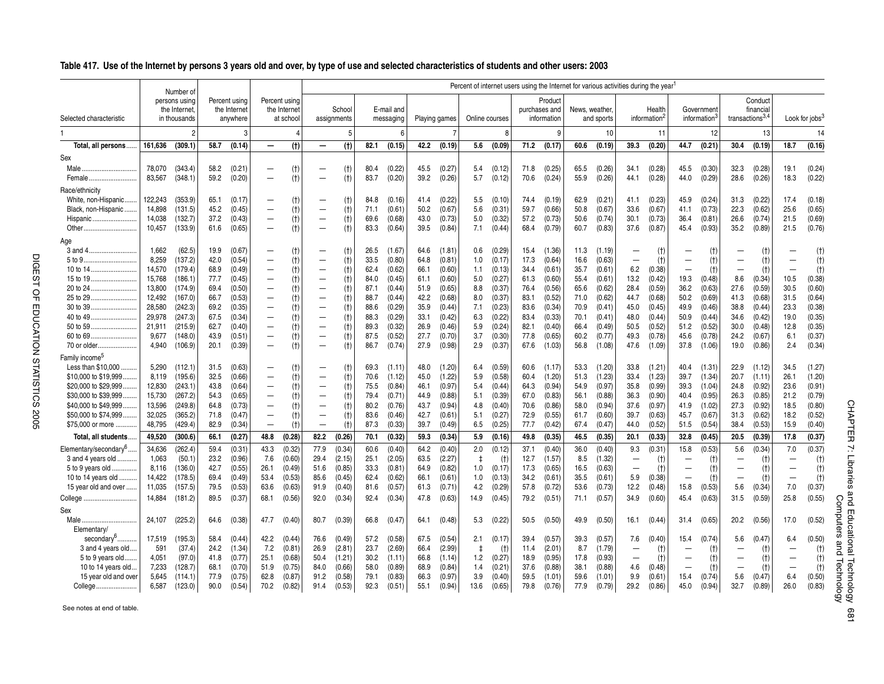|                                       |                  | Number of                                     |              |                                           |                                                      |                                            |                                                      |                       |              |                         |              |                  | Percent of internet users using the Internet for various activities during the year <sup>1</sup> |                  |              |                                         |                |                  |                                                      |                                    |                                  |                                        |                                 |                                            |                                 |                            |
|---------------------------------------|------------------|-----------------------------------------------|--------------|-------------------------------------------|------------------------------------------------------|--------------------------------------------|------------------------------------------------------|-----------------------|--------------|-------------------------|--------------|------------------|--------------------------------------------------------------------------------------------------|------------------|--------------|-----------------------------------------|----------------|------------------|------------------------------------------------------|------------------------------------|----------------------------------|----------------------------------------|---------------------------------|--------------------------------------------|---------------------------------|----------------------------|
| Selected characteristic               |                  | persons using<br>the Internet<br>in thousands |              | Percent using<br>the Internet<br>anywhere |                                                      | Percent usina<br>the Internet<br>at school |                                                      | School<br>assignments |              | E-mail and<br>messaging |              | Playing games    | Online courses                                                                                   |                  |              | Product<br>purchases and<br>information | News, weather. | and sports       |                                                      | Health<br>information <sup>2</sup> |                                  | Government<br>information <sup>3</sup> |                                 | Conduct<br>financial<br>transactions $3,4$ |                                 | Look for jobs <sup>3</sup> |
|                                       |                  | 2                                             |              | 3                                         |                                                      |                                            |                                                      | .5                    |              | 6                       |              | -7               |                                                                                                  | 8                |              | g                                       |                | 10               |                                                      | 11                                 |                                  | 12                                     |                                 | 13                                         |                                 | 14                         |
| Total, all persons.                   | 161,636          | (309.1)                                       | 58.7         | (0.14)                                    | $\overline{\phantom{0}}$                             | (t)                                        | $\overline{\phantom{m}}$                             | (t)                   | 82.1         | (0.15)                  | 42.2         | (0.19)           | 5.6                                                                                              | (0.09)           | 71.2         | (0.17)                                  | 60.6           | (0.19)           | 39.3                                                 | (0.20)                             | 44.7                             | (0.21)                                 | 30.4                            | (0.19)                                     | 18.7                            | (0.16)                     |
| Sex                                   |                  |                                               |              |                                           |                                                      |                                            |                                                      |                       |              |                         |              |                  |                                                                                                  |                  |              |                                         |                |                  |                                                      |                                    |                                  |                                        |                                 |                                            |                                 |                            |
|                                       | 78,070           | (343.4)                                       | 58.2         | (0.21)                                    | —                                                    | (t)                                        |                                                      | (t)                   | 80.4         | (0.22)                  | 45.5         | (0.27)           | 5.4                                                                                              | (0.12)           | 71.8         | (0.25)                                  | 65.5           | (0.26)           | 34.1                                                 | (0.28)                             | 45.5                             | (0.30)                                 | 32.3                            | (0.28)                                     | 19.1                            | (0.24)                     |
| Female                                | 83,567           | (348.1)                                       | 59.2         | (0.20)                                    | -                                                    | (t)                                        | $\overline{\phantom{0}}$                             | (t)                   | 83.7         | (0.20)                  | 39.2         | (0.26)           | 5.7                                                                                              | (0.12)           | 70.6         | (0.24)                                  | 55.9           | (0.26)           | 44.1                                                 | (0.28)                             | 44.0                             | (0.29)                                 | 28.6                            | (0.26)                                     | 18.3                            | (0.22)                     |
| Race/ethnicity                        |                  |                                               |              |                                           |                                                      |                                            |                                                      |                       |              |                         |              |                  |                                                                                                  |                  |              |                                         |                |                  |                                                      |                                    |                                  |                                        |                                 |                                            |                                 |                            |
| White, non-Hispanic                   | 122,243          | (353.9)                                       | 65.1         | (0.17)                                    | —                                                    | (t)                                        | $\overline{\phantom{0}}$                             | (t)                   | 84.8         | (0.16)                  | 41.4         | (0.22)           | 5.5                                                                                              | (0.10)           | 74.4         | (0.19)                                  | 62.9           | (0.21)           | 41.1                                                 | (0.23)                             | 45.9                             | (0.24)                                 | 31.3                            | (0.22)                                     | 17.4                            | (0.18)                     |
| Black, non-Hispanic                   | 14,898           | (131.5)                                       | 45.2         | (0.45)                                    | $\overline{\phantom{0}}$                             | (t)                                        | $\overline{\phantom{0}}$                             | (t)                   | 71.1         | (0.61)                  | 50.2         | (0.67)           | 5.6                                                                                              | (0.31)           | 59.7         | (0.66)                                  | 50.8           | (0.67)           | 33.6                                                 | (0.67)                             | 41.1                             | (0.73)                                 | 22.3                            | (0.62)                                     | 25.6                            | (0.65)                     |
| Hispanic                              | 14,038           | (132.7)                                       | 37.2         | (0.43)                                    | $\qquad \qquad -$                                    | (t)                                        | $\overline{\phantom{m}}$                             | (t)                   | 69.6         | (0.68)                  | 43.0         | (0.73)           | 5.0                                                                                              | (0.32)           | 57.2         | (0.73)                                  | 50.6           | (0.74)           | 30.1                                                 | (0.73)                             | 36.4                             | (0.81)                                 | 26.6                            | (0.74)                                     | 21.5                            | (0.69)                     |
| Other                                 | 10,457           | (133.9)                                       | 61.6         | (0.65)                                    | $\qquad \qquad -$                                    | (t)                                        | $\overline{\phantom{0}}$                             | (t)                   | 83.3         | (0.64)                  | 39.5         | (0.84)           | 7.1                                                                                              | (0.44)           | 68.4         | (0.79)                                  | 60.7           | (0.83)           | 37.6                                                 | (0.87)                             | 45.4                             | (0.93)                                 | 35.2                            | (0.89)                                     | 21.5                            | (0.76)                     |
| Age                                   |                  |                                               |              |                                           |                                                      |                                            |                                                      |                       |              |                         |              |                  |                                                                                                  |                  |              |                                         |                |                  |                                                      |                                    |                                  |                                        |                                 |                                            |                                 |                            |
| 3 and 4                               | 1,662            | (62.5)                                        | 19.9         | (0.67)                                    | -                                                    | (t)                                        | $\overbrace{\phantom{1232211}}$                      | (t)                   | 26.5         | (1.67)                  | 64.6         | (1.81)           | 0.6                                                                                              | (0.29)           | 15.4         | (1.36)                                  | 11.3           | (1.19)           |                                                      | (t)                                | -                                | (t)                                    |                                 | (t)                                        |                                 | $(+)$                      |
| 5 to 9.                               | 8,259            | (137.2)                                       | 42.0         | (0.54)                                    |                                                      | (t)                                        |                                                      | (t)                   | 33.5         | (0.80)                  | 64.8         | (0.81)           | 1.0                                                                                              | (0.17)           | 17.3         | (0.64)                                  | 16.6           | (0.63)           | $\qquad \qquad -$                                    | (t)                                | $\overline{\phantom{0}}$         | (t)                                    | $\qquad \qquad -$               | (t)                                        | $\overline{\phantom{0}}$        | (t)                        |
| 10 to 14                              | 14.570           | (179.4)                                       | 68.9         | (0.49)                                    |                                                      | (t)                                        | $\overline{\phantom{0}}$                             | (t)                   | 62.4         | (0.62)                  | 66.1         | (0.60)           | 1.1                                                                                              | (0.13)           | 34.4         | (0.61)                                  | 35.7           | (0.61)           | 6.2                                                  | (0.38)                             | $\overline{\phantom{0}}$         | (t)                                    | $\overline{\phantom{0}}$        | (t)                                        |                                 | (t)                        |
| 15 to 19                              | 15,768           | (186.1)                                       | 77.7         | (0.45)                                    | $\overline{\phantom{0}}$                             | (t)                                        | $\overline{\phantom{m}}$                             | (t)                   | 84.0         | (0.45)                  | 61.1         | (0.60)           | 5.0                                                                                              | (0.27)           | 61.3         | (0.60)                                  | 55.4           | (0.61)           | 13.2                                                 | (0.42)                             | 19.3                             | (0.48)                                 | 8.6                             | (0.34)                                     | 10.5                            | (0.38)                     |
| 20 to 24                              | 13,800           | (174.9)                                       | 69.4         | (0.50)                                    | $\overline{\phantom{0}}$<br>$\overline{\phantom{0}}$ | (t)                                        | $\qquad \qquad -$                                    | (t)                   | 87.1         | (0.44)                  | 51.9         | (0.65)           | 8.8                                                                                              | (0.37)           | 76.4         | (0.56)                                  | 65.6           | (0.62)           | 28.4                                                 | (0.59)                             | 36.2<br>50.2                     | (0.63)                                 | 27.6                            | (0.59)                                     | 30.5                            | (0.60)                     |
| 25 to 29<br>30 to 39                  | 12,492<br>28.580 | (167.0)<br>(242.3)                            | 66.7<br>69.2 | (0.53)<br>(0.35)                          | $\overline{\phantom{0}}$                             | (t)<br>(t)                                 | $\overline{\phantom{m}}$<br>$\overline{\phantom{m}}$ | (t)<br>(t)            | 88.7<br>88.6 | (0.44)<br>(0.29)        | 42.2<br>35.9 | (0.68)<br>(0.44) | 8.0<br>7.1                                                                                       | (0.37)<br>(0.23) | 83.1<br>83.6 | (0.52)<br>(0.34)                        | 71.0<br>70.9   | (0.62)<br>(0.41) | 44.7<br>45.0                                         | (0.68)<br>(0.45)                   | 49.9                             | (0.69)<br>(0.46)                       | 41.3<br>38.8                    | (0.68)<br>(0.44)                           | 31.5<br>23.3                    | (0.64)<br>(0.38)           |
| 40 to 49                              | 29.978           | (247.3)                                       | 67.5         | (0.34)                                    | $\overline{\phantom{0}}$                             | (t)                                        | $\overline{\phantom{0}}$                             | (t)                   | 88.3         | (0.29)                  | 33.1         | (0.42)           | 6.3                                                                                              | (0.22)           | 83.4         | (0.33)                                  | 70.1           | (0.41)           | 48.0                                                 | (0.44)                             | 50.9                             | (0.44)                                 | 34.6                            | (0.42)                                     | 19.0                            | (0.35)                     |
|                                       | 21,911           | (215.9)                                       | 62.7         | (0.40)                                    | $\overline{\phantom{0}}$                             | (t)                                        | $\overline{\phantom{m}}$                             | (t)                   | 89.3         | (0.32)                  | 26.9         | (0.46)           | 5.9                                                                                              | (0.24)           | 82.1         | (0.40)                                  | 66.4           | (0.49)           | 50.5                                                 | (0.52)                             | 51.2                             | (0.52)                                 | 30.0                            | (0.48)                                     | 12.8                            | (0.35)                     |
|                                       | 9.677            | (148.0)                                       | 43.9         | (0.51)                                    | $\overline{\phantom{0}}$                             | (t)                                        | $\overline{\phantom{0}}$                             | (t)                   | 87.5         | (0.52)                  | 27.7         | (0.70)           | 3.7                                                                                              | (0.30)           | 77.8         | (0.65)                                  | 60.2           | (0.77)           | 49.3                                                 | (0.78)                             | 45.6                             | (0.78)                                 | 24.2                            | (0.67)                                     | 6.1                             | (0.37)                     |
| 70 or older                           | 4.940            | (106.9)                                       | 20.1         | (0.39)                                    | $\overline{\phantom{0}}$                             | (t)                                        | $\overline{\phantom{0}}$                             | (t)                   | 86.7         | (0.74)                  | 27.9         | (0.98)           | 2.9                                                                                              | (0.37)           | 67.6         | (1.03)                                  | 56.8           | (1.08)           | 47.6                                                 | (1.09)                             | 37.8                             | (1.06)                                 | 19.0                            | (0.86)                                     | 2.4                             | (0.34)                     |
| Family income <sup>5</sup>            |                  |                                               |              |                                           |                                                      |                                            |                                                      |                       |              |                         |              |                  |                                                                                                  |                  |              |                                         |                |                  |                                                      |                                    |                                  |                                        |                                 |                                            |                                 |                            |
| Less than \$10,000                    | 5,290            | (112.1)                                       | 31.5         | (0.63)                                    | —                                                    | (t)                                        |                                                      | (t)                   | 69.3         | (1.11)                  | 48.0         | (1.20)           | 6.4                                                                                              | (0.59)           | 60.6         | (1.17)                                  | 53.3           | (1.20)           | 33.8                                                 | (1.21)                             | 40.4                             | (1.31)                                 | 22.9                            | (1.12)                                     | 34.5                            | (1.27)                     |
| \$10,000 to \$19,999                  | 8.119            | (195.6)                                       | 32.5         | (0.66)                                    | —                                                    | (t)                                        | $\overline{\phantom{0}}$                             | (t)                   | 70.6         | (1.12)                  | 45.0         | (1.22)           | 5.9                                                                                              | (0.58)           | 60.4         | (1.20)                                  | 51.3           | (1.23)           | 33.4                                                 | (1.23)                             | 39.7                             | (1.34)                                 | 20.7                            | (1.11)                                     | 26.1                            | (1.20)                     |
| \$20,000 to \$29,999                  | 12,830           | (243.1)                                       | 43.8         | (0.64)                                    | $\overline{\phantom{0}}$                             | (t)                                        | $\overline{\phantom{0}}$                             | (t)                   | 75.5         | (0.84)                  | 46.1         | (0.97)           | 5.4                                                                                              | (0.44)           | 64.3         | (0.94)                                  | 54.9           | (0.97)           | 35.8                                                 | (0.99)                             | 39.3                             | (1.04)                                 | 24.8                            | (0.92)                                     | 23.6                            | (0.91)                     |
| \$30,000 to \$39,999                  | 15,730           | (267.2)                                       | 54.3         | (0.65)                                    | $\qquad \qquad -$                                    | (t)                                        | $\overline{\phantom{m}}$                             | $(+)$                 | 79.4         | (0.71)                  | 44.9         | (0.88)           | 5.1                                                                                              | (0.39)           | 67.0         | (0.83)                                  | 56.1           | (0.88)           | 36.3                                                 | (0.90)                             | 40.4                             | (0.95)                                 | 26.3                            | (0.85)                                     | 21.2                            | (0.79)                     |
| \$40,000 to \$49,999                  | 13,596           | (249.8)                                       | 64.8         | (0.73)                                    | $\overline{\phantom{0}}$                             | (t)                                        | $\overline{\phantom{0}}$                             | (f)                   | 80.2         | (0.76)                  | 43.7         | (0.94)           | 4.8                                                                                              | (0.40)           | 70.6         | (0.86)                                  | 58.0           | (0.94)           | 37.6                                                 | (0.97)                             | 41.9                             | (1.02)                                 | 27.3                            | (0.92)                                     | 18.5                            | (0.80)                     |
| \$50,000 to \$74,999                  | 32.025           | (365.2)                                       | 71.8         | (0.47)                                    |                                                      | (t)                                        | $\overline{\phantom{m}}$                             | (t)                   | 83.6         | (0.46)                  | 42.7         | (0.61)           | 5.1                                                                                              | (0.27)           | 72.9         | (0.55)                                  | 61.7           | (0.60)           | 39.7                                                 | (0.63)                             | 45.7                             | (0.67)                                 | 31.3                            | (0.62)                                     | 18.2                            | (0.52)                     |
| \$75,000 or more                      | 48,795           | (429.4)                                       | 82.9         | (0.34)                                    | $\qquad \qquad -$                                    | (t)                                        | $\overline{\phantom{m}}$                             | (t)                   | 87.3         | (0.33)                  | 39.7         | (0.49)           | 6.5                                                                                              | (0.25)           | 77.7         | (0.42)                                  | 67.4           | (0.47)           | 44.0                                                 | (0.52)                             | 51.5                             | (0.54)                                 | 38.4                            | (0.53)                                     | 15.9                            | (0.40)                     |
| Total, all students.                  | 49,520           | (300.6)                                       | 66.1         | (0.27)                                    | 48.8                                                 | (0.28)                                     | 82.2                                                 | (0.26)                | 70.1         | (0.32)                  | 59.3         | (0.34)           | 5.9                                                                                              | (0.16)           | 49.8         | (0.35)                                  | 46.5           | (0.35)           | 20.1                                                 | (0.33)                             | 32.8                             | (0.45)                                 | 20.5                            | (0.39)                                     | 17.8                            | (0.37)                     |
| Elementary/secondary <sup>6</sup>     | 34,636           | (262.4)                                       | 59.4         | (0.31)                                    | 43.3                                                 | (0.32)                                     | 77.9                                                 | (0.34)                | 60.6         | (0.40)                  | 64.2         | (0.40)           | 2.0                                                                                              | (0.12)           | 37.1         | (0.40)                                  | 36.0           | (0.40)           | 9.3                                                  | (0.31)                             | 15.8                             | (0.53)                                 | 5.6                             | (0.34)                                     | 7.0                             | (0.37)                     |
| 3 and 4 years old                     | 1,063            | (50.1)                                        | 23.2         | (0.96)                                    | 7.6                                                  | (0.60)                                     | 29.4                                                 | (2.15)                | 25.1         | (2.05)                  | 63.5         | (2.27)           | $\ddagger$                                                                                       | (t)              | 12.7         | (1.57)                                  | 8.5            | (1.32)           | $\qquad \qquad -$                                    | (t)                                | $\overline{\phantom{0}}$         | $(+)$                                  | $\overline{\phantom{0}}$        | (t)                                        | $\overline{\phantom{0}}$        | (t)                        |
| 5 to 9 years old                      | 8.116            | (136.0)                                       | 42.7         | (0.55)                                    | 26.1                                                 | (0.49)                                     | 51.6                                                 | (0.85)                | 33.3         | (0.81)                  | 64.9         | (0.82)           | 1.0                                                                                              | (0.17)           | 17.3         | (0.65)                                  | 16.5           | (0.63)           | $\overline{\phantom{m}}$                             | (t)                                | $\overline{\phantom{0}}$         | (t)                                    | $\overline{\phantom{0}}$        | (t)                                        | $\overline{\phantom{0}}$        | (t)                        |
| 10 to 14 years old.                   | 14,422           | (178.5)                                       | 69.4         | (0.49)                                    | 53.4                                                 | (0.53)                                     | 85.6                                                 | (0.45)                | 62.4         | (0.62)                  | 66.1         | (0.61)           | 1.0                                                                                              | (0.13)           | 34.2         | (0.61)                                  | 35.5           | (0.61)           | 5.9                                                  | (0.38)                             | $\overline{\phantom{0}}$         | (t)                                    | $\overline{\phantom{m}}$        | (t)                                        | $\equiv$                        | (t)                        |
| 15 year old and over                  | 11,035           | (157.5)                                       | 79.5         | (0.53)                                    | 63.6                                                 | (0.63)                                     | 91.9                                                 | (0.40)                | 81.6         | (0.57)                  | 61.3         | (0.71)           | 4.2                                                                                              | (0.29)           | 57.8         | (0.72)                                  | 53.6           | (0.73)           | 12.2                                                 | (0.48)                             | 15.8                             | (0.53)                                 | 5.6                             | (0.34)                                     | 7.0                             | (0.37)                     |
| College                               | 14,884           | (181.2)                                       | 89.5         | (0.37)                                    | 68.1                                                 | (0.56)                                     | 92.0                                                 | (0.34)                | 92.4         | (0.34)                  | 47.8         | (0.63)           | 14.9                                                                                             | (0.45)           | 79.2         | (0.51)                                  | 71.1           | (0.57)           | 34.9                                                 | (0.60)                             | 45.4                             | (0.63)                                 | 31.5                            | (0.59)                                     | 25.8                            | (0.55)                     |
| Sex                                   |                  |                                               |              |                                           |                                                      |                                            |                                                      |                       |              |                         |              |                  |                                                                                                  |                  |              |                                         |                |                  |                                                      |                                    |                                  |                                        |                                 |                                            |                                 |                            |
| Male                                  | 24,107           | (225.2)                                       | 64.6         | (0.38)                                    | 47.7                                                 | (0.40)                                     | 80.7                                                 | (0.39)                | 66.8         | (0.47)                  | 64.1         | (0.48)           | 5.3                                                                                              | (0.22)           | 50.5         | (0.50)                                  | 49.9           | (0.50)           | 16.1                                                 | (0.44)                             | 31.4                             | (0.65)                                 | 20.2                            | (0.56)                                     | 17.0                            | (0.52)                     |
| Elementary/                           |                  |                                               |              |                                           |                                                      |                                            |                                                      |                       |              |                         |              |                  |                                                                                                  |                  |              |                                         |                |                  |                                                      |                                    |                                  |                                        |                                 |                                            |                                 |                            |
| secondary <sup>6</sup>                | 17,519<br>591    | (195.3)                                       | 58.4         | (0.44)                                    | 42.2<br>7.2                                          | (0.44)                                     | 76.6                                                 | (0.49)<br>(2.81)      | 57.2         | (0.58)                  | 67.5         | (0.54)<br>(2.99) | 2.1                                                                                              | (0.17)           | 39.4         | (0.57)                                  | 39.3<br>8.7    | (0.57)           | 7.6                                                  | (0.40)                             | 15.4<br>$\overline{\phantom{0}}$ | (0.74)                                 | 5.6<br>$\overline{\phantom{0}}$ | (0.47)                                     | 6.4<br>$\overline{\phantom{0}}$ | (0.50)                     |
| 3 and 4 years old<br>5 to 9 years old | 4,051            | (37.4)<br>(97.0)                              | 24.2<br>41.8 | (1.34)<br>(0.77)                          | 25.1                                                 | (0.81)<br>(0.68)                           | 26.9<br>50.4                                         | (1.21)                | 23.7<br>30.2 | (2.69)<br>(1.11)        | 66.4<br>66.8 | (1.14)           | $\ddagger$<br>1.2                                                                                | $(+)$<br>(0.27)  | 11.4<br>18.9 | (2.01)<br>(0.95)                        | 17.8           | (1.79)<br>(0.93) | $\overline{\phantom{m}}$<br>$\overline{\phantom{0}}$ | (t)<br>(t)                         |                                  | (t)<br>(t)                             | $\overline{\phantom{0}}$        | (t)                                        |                                 | (t)                        |
| 10 to 14 years old.                   | 7.233            | (128.7)                                       | 68.1         | (0.70)                                    | 51.9                                                 | (0.75)                                     | 84.0                                                 | (0.66)                | 58.0         | (0.89)                  | 68.9         | (0.84)           | 1.4                                                                                              | (0.21)           | 37.6         | (0.88)                                  | 38.1           | (0.88)           | 4.6                                                  | (0.48)                             | $\overline{\phantom{0}}$         | (t)                                    | $\overline{\phantom{0}}$        | (t)<br>(t)                                 |                                 | (t)<br>(t)                 |
| 15 year old and over                  | 5,645            | (114.1)                                       | 77.9         | (0.75)                                    | 62.8                                                 | (0.87)                                     | 91.2                                                 | (0.58)                | 79.1         | (0.83)                  | 66.3         | (0.97)           | 3.9                                                                                              | (0.40)           | 59.5         | (1.01)                                  | 59.6           | (1.01)           | 9.9                                                  | (0.61)                             | 15.4                             | (0.74)                                 | 5.6                             | (0.47)                                     | 6.4                             | (0.50)                     |
| College                               | 6,587            | (123.0)                                       | 90.0         | (0.54)                                    | 70.2                                                 | (0.82)                                     | 91.4                                                 | (0.53)                | 92.3         | (0.51)                  | 55.1         | (0.94)           | 13.6                                                                                             | (0.65)           | 79.8         | (0.76)                                  | 77.9           | (0.79)           | 29.2                                                 | (0.86)                             | 45.0                             | (0.94)                                 | 32.7                            | (0.89)                                     | 26.0                            | (0.83)                     |
|                                       |                  |                                               |              |                                           |                                                      |                                            |                                                      |                       |              |                         |              |                  |                                                                                                  |                  |              |                                         |                |                  |                                                      |                                    |                                  |                                        |                                 |                                            |                                 |                            |

CHAPTER 7: Libraries and Educational Technology 681<br>Computers and Technology CHAPTER 7: [Libraries and Educational Technology](#page-0-0) 681 Computers and Technology

See notes at end of table.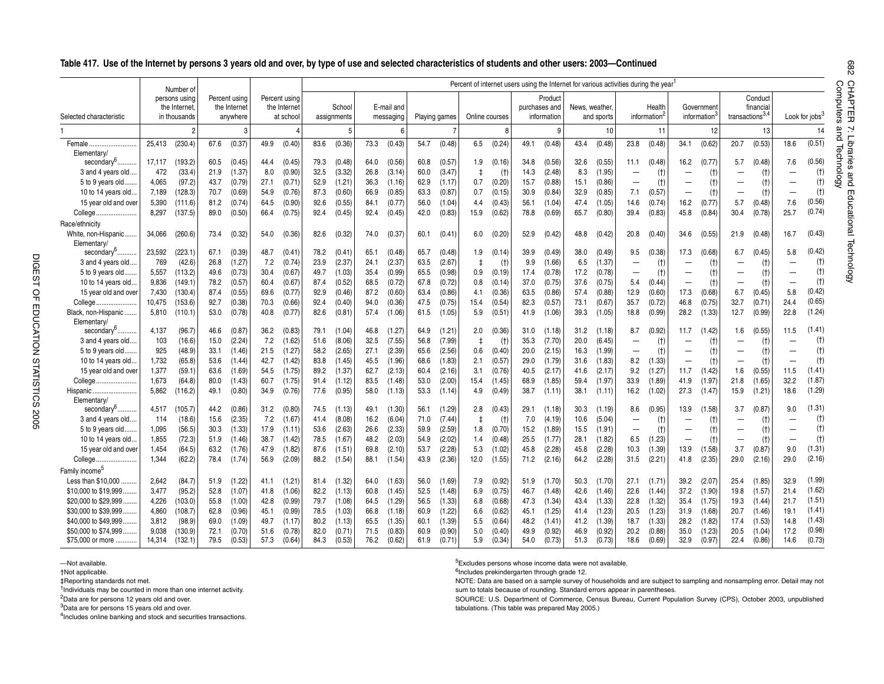### **Table 417. Use of the Internet by persons 3 years old and over, by type of use and selected characteristics of students and other users: 2003—Continued**

|                                         |                | Number of                                     |              |                                           |              |                                            |              |                       |              |                         |               |                  |                |                  | Percent of internet users using the Internet for various activities during the year <sup>1</sup> |                                         |               |                  |                          |                                    |                          |                           |                             |                      |                          |                            |
|-----------------------------------------|----------------|-----------------------------------------------|--------------|-------------------------------------------|--------------|--------------------------------------------|--------------|-----------------------|--------------|-------------------------|---------------|------------------|----------------|------------------|--------------------------------------------------------------------------------------------------|-----------------------------------------|---------------|------------------|--------------------------|------------------------------------|--------------------------|---------------------------|-----------------------------|----------------------|--------------------------|----------------------------|
| Selected characteristic                 |                | persons using<br>the Internet<br>in thousands |              | Percent using<br>the Internet<br>anywhere |              | Percent using<br>the Internet<br>at school |              | School<br>assignments |              | E-mail and<br>messaging | Playing games |                  | Online courses |                  |                                                                                                  | Product<br>purchases and<br>information | News, weather | and sports       |                          | Health<br>information <sup>4</sup> |                          | Government<br>information | transactions <sup>3,4</sup> | Conduct<br>financial |                          | Look for iobs <sup>3</sup> |
|                                         |                |                                               |              |                                           |              |                                            |              | 5                     |              | 6                       |               | 7                |                | 8                |                                                                                                  | q                                       |               | 10               |                          | 11                                 |                          | 12                        |                             | 13                   |                          | 14                         |
| Female<br>Elementary/                   | 25.413         | (230.4)                                       | 67.6         | (0.37)                                    | 49.9         | (0.40)                                     | 83.6         | (0.36)                | 73.3         | (0.43)                  | 54.7          | (0.48)           | 6.5            | (0.24)           | 49.1                                                                                             | (0.48)                                  | 43.4          | (0.48)           | 23.8                     | (0.48)                             | 34.1                     | (0.62)                    | 20.7                        | (0.53)               | 18.6                     | (0.51)                     |
| secondary <sup>6</sup>                  | 17.117         | (193.2)                                       | 60.5         | (0.45)                                    | 44.4         | (0.45)                                     | 79.3         | (0.48)                | 64.0         | (0.56)                  | 60.8          | (0.57)           | 1.9            | (0.16)           | 34.8                                                                                             | (0.56)                                  | 32.6          | (0.55)           | 11.1                     | (0.48)                             | 16.2                     | (0.77)                    | 5.7                         | (0.48)               | 7.6                      | (0.56)                     |
| 3 and 4 years old.                      | 472            | (33.4)                                        | 21.9         | (1.37)                                    | 8.0          | (0.90)                                     | 32.5         | (3.32)                | 26.8         | (3.14)                  | 60.0          | (3.47)           | $\ddagger$     | (t)              | 14.3                                                                                             | (2.48)                                  | 8.3           | (1.95)           | $\overline{\phantom{0}}$ | (t)                                |                          | (t)                       |                             | (t)                  |                          | (t)                        |
| 5 to 9 years old                        | 4,065          | (97.2)                                        | 43.7         | (0.79)                                    | 27.1         | (0.71)                                     | 52.9         | (1.21)                | 36.3         | (1.16)                  | 62.9          | (1.17)           | 0.7            | (0.20)           | 15.7                                                                                             | (0.88)                                  | 15.1          | (0.86)           | -                        | (t)                                | -                        | (t)                       | $\overline{\phantom{0}}$    | (t)                  | $\overline{\phantom{0}}$ | (t)                        |
| 10 to 14 years old.                     | 7.189          | (128.3)                                       | 70.7         | (0.69)                                    | 54.9         | (0.76)                                     | 87.3         | (0.60)                | 66.9         | (0.85)                  | 63.3          | (0.87)           | 0.7            | (0.15)           | 30.9                                                                                             | (0.84)                                  | 32.9          | (0.85)           | 7.1                      | (0.57)                             | —                        | (t)                       | $\overline{\phantom{0}}$    | (t)                  |                          | (t)                        |
| 15 year old and over                    | 5,390          | (111.6)                                       | 81.2         | (0.74)                                    | 64.5         | (0.90)                                     | 92.6         | (0.55)                | 84.1         | (0.77)                  | 56.0          | (1.04)           | 4.4            | (0.43)           | 56.1                                                                                             | (1.04)                                  | 47.4          | (1.05)           | 14.6                     | (0.74)                             | 16.2                     | (0.77)                    | 5.7                         | (0.48)               | 7.6                      | (0.56)                     |
| College.<br>.                           | 8,297          | (137.5)                                       | 89.0         | (0.50)                                    | 66.4         | (0.75)                                     | 92.4         | (0.45)                | 92.4         | (0.45)                  | 42.0          | (0.83)           | 15.9           | (0.62)           | 78.8                                                                                             | (0.69)                                  | 65.7          | (0.80)           | 39.4                     | (0.83)                             | 45.8                     | (0.84)                    | 30.4                        | (0.78)               | 25.7                     | (0.74)                     |
| Race/ethnicitv                          |                |                                               |              |                                           |              |                                            |              |                       |              |                         |               |                  |                |                  |                                                                                                  |                                         |               |                  |                          |                                    |                          |                           |                             |                      |                          |                            |
| White, non-Hispanic<br>Elementary       | 34,066         | (260.6)                                       | 73.4         | (0.32)                                    | 54.0         | (0.36)                                     | 82.6         | (0.32)                | 74.0         | (0.37)                  | 60.1          | (0.41)           | 6.0            | (0.20)           | 52.9                                                                                             | (0.42)                                  | 48.8          | (0.42)           | 20.8                     | (0.40)                             | 34.6                     | (0.55)                    | 21.9                        | (0.48)               | 16.7                     | (0.43)                     |
| secondary <sup>6</sup>                  | 23,592         | (223.1)                                       | 67.1         | (0.39)                                    | 48.7         | (0.41)                                     | 78.2         | (0.41)                | 65.1         | (0.48)                  | 65.7          | (0.48)           | 1.9            | (0.14)           | 39.9                                                                                             | (0.49)                                  | 38.0          | (0.49)           | 9.5                      | (0.38)                             | 17.3                     | (0.68)                    | 6.7                         | (0.45)               | 5.8                      | (0.42)                     |
| 3 and 4 years old.                      | 769            | (42.6)                                        | 26.8         | (1.27)                                    | 7.2          | (0.74)                                     | 23.9         | (2.37)                | 24.1         | (2.37)                  | 63.5          | (2.67)           | $\ddagger$     | (t)              | 9.9                                                                                              | (1.66)                                  | 6.5           | (1.37)           | $\overline{\phantom{0}}$ | (t)                                | -                        | (t)                       | $\overline{\phantom{0}}$    | (t)                  | $\overline{\phantom{0}}$ | (t)                        |
| 5 to 9 years old                        | 5,557          | (113.2)                                       | 49.6         | (0.73)                                    | 30.4         | (0.67)                                     | 49.7         | (1.03)                | 35.4         | (0.99)                  | 65.5          | (0.98)           | 0.9            | (0.19)           | 17.4                                                                                             | (0.78)                                  | 17.2          | (0.78)           | $\overline{\phantom{0}}$ | (t)                                | $\overline{\phantom{0}}$ | (t)                       | $\overline{\phantom{0}}$    | (t)                  | $\overline{\phantom{0}}$ | (t)                        |
| 10 to 14 years old.                     | 9.836          | (149.1)                                       | 78.2         | (0.57)                                    | 60.4         | (0.67)                                     | 87.4         | (0.52)                | 68.5         | (0.72)                  | 67.8          | (0.72)           | 0.8            | (0.14)           | 37.0                                                                                             | (0.75)                                  | 37.6          | (0.75)           | 5.4                      | (0.44)                             | —                        | (t)                       |                             | (t)                  |                          | (t)                        |
| 15 year old and over                    | 7,430          | (130.4)                                       | 87.4         | (0.55)                                    | 69.6         | (0.77)                                     | 92.9         | (0.46)                | 87.2         | (0.60)                  | 63.4          | (0.86)           | 4.1            | (0.36)           | 63.5                                                                                             | (0.86)                                  | 57.4          | (0.88)           | 12.9                     | (0.60)                             | 17.3                     | (0.68)                    | 6.7                         | (0.45)               | 5.8                      | (0.42)                     |
| College                                 | 10.475         | (153.6)                                       | 92.7         | (0.38)                                    | 70.3         | (0.66)                                     | 92.4         | (0.40)                | 94.0         | (0.36)                  | 47.5          | (0.75)           | 15.4           | (0.54)           | 82.3                                                                                             | (0.57)                                  | 73.1          | (0.67)           | 35.7                     | (0.72)                             | 46.8                     | (0.75)                    | 32.7                        | (0.71)               | 24.4                     | (0.65)                     |
| Black, non-Hispanic                     | 5,810          | (110.1)                                       | 53.0         | (0.78)                                    | 40.8         | (0.77)                                     | 82.6         | (0.81)                | 57.4         | (1.06)                  | 61.5          | (1.05)           | 5.9            | (0.51)           | 41.9                                                                                             | (1.06)                                  | 39.3          | (1.05)           | 18.8                     | (0.99)                             | 28.2                     | (1.33)                    | 12.7                        | (0.99)               | 22.8                     | (1.24)                     |
| Elementary                              |                |                                               |              |                                           |              |                                            |              |                       |              |                         |               |                  |                |                  |                                                                                                  |                                         |               |                  |                          |                                    |                          |                           |                             |                      |                          | (1.41)                     |
| secondary <sup>6</sup>                  | 4,137          | (96.7)                                        | 46.6         | (0.87)                                    | 36.2         | (0.83)                                     | 79.1         | (1.04)                | 46.8         | (1.27)                  | 64.9          | (1.21)           | 2.0            | (0.36)           | 31.0                                                                                             | (1.18)                                  | 31.2          | (1.18)           | 8.7                      | (0.92)                             | 11.7                     | (1.42)                    | 1.6                         | (0.55)               | 11.5                     |                            |
| 3 and 4 years old.                      | 103<br>925     | (16.6)                                        | 15.0         | (2.24)<br>(1.46)                          | 7.2          | (1.62)                                     | 51.6         | (8.06)<br>(2.65)      | 32.5         | (7.55)                  | 56.8          | (7.99)<br>(2.56) | $\ddagger$     | (t)              | 35.3                                                                                             | (7.70)                                  | 20.0          | (6.45)           | $\overline{\phantom{0}}$ | (t)                                | -                        | (t)                       | $\overline{\phantom{0}}$    | (t)                  | $\overline{\phantom{0}}$ | (t)<br>(t)                 |
| 5 to 9 years old                        |                | (48.9)<br>(65.8)                              | 33.1<br>53.6 |                                           | 21.5         | (1.27)                                     | 58.2         |                       | 27.1         | (2.39)                  | 65.6          |                  | 0.6            | (0.40)           | 20.0<br>29.0                                                                                     | (2.15)<br>(1.79)                        | 16.3          | (1.99)           | $\overline{\phantom{0}}$ | (t)<br>(1.33)                      | -                        | (t)                       | $\overline{\phantom{0}}$    | (t)                  | $\overline{\phantom{0}}$ | (t)                        |
| 10 to 14 years old.                     | 1,732<br>1.377 |                                               |              | (1.44)                                    | 42.7         | (1.42)                                     | 83.8         | (1.45)                | 45.5         | (1.96)                  | 68.6          | (1.83)<br>(2.16) | 2.1<br>3.1     | (0.57)<br>(0.76) | 40.5                                                                                             |                                         | 31.6          | (1.83)           | 8.2<br>9.2               |                                    | —                        | (t)<br>(1.42)             |                             | (t)<br>(0.55)        |                          | (1.41)                     |
| 15 year old and over                    |                | (59.1)                                        | 63.6         | (1.69)                                    | 54.5         | (1.75)                                     | 89.2         | (1.37)                | 62.7         | (2.13)                  | 60.4<br>53.0  |                  |                |                  |                                                                                                  | (2.17)                                  | 41.6<br>59.4  | (2.17)           |                          | (1.27)                             | 11.7                     |                           | 1.6                         |                      | 11.5<br>32.2             | (1.87)                     |
| College<br>Hispanic                     | 1,673<br>5.862 | (64.8)<br>(116.2)                             | 80.0<br>49.1 | (1.43)<br>(0.80)                          | 60.7<br>34.9 | (1.75)<br>(0.76)                           | 91.4<br>77.6 | (1.12)<br>(0.95)      | 83.5<br>58.0 | (1.48)                  | 53.3          | (2.00)           | 15.4           | (1.45)<br>(0.49) | 68.9<br>38.7                                                                                     | (1.85)                                  | 38.1          | (1.97)           | 33.9<br>16.2             | (1.89)<br>(1.02)                   | 41.9<br>27.3             | (1.97)                    | 21.8<br>15.9                | (1.65)               | 18.6                     | (1.29)                     |
| Elementary/<br>secondary <sup>6</sup> . | 4.517          | (105.7)                                       | 44.2         | (0.86)                                    | 31.2         | (0.80)                                     | 74.5         | (1.13)                | 49.1         | (1.13)<br>(1.30)        | 56.1          | (1.14)<br>(1.29) | 4.9<br>2.8     | (0.43)           | 29.1                                                                                             | (1.11)<br>(1.18)                        | 30.3          | (1.11)<br>(1.19) | 8.6                      | (0.95)                             | 13.9                     | (1.47)<br>(1.58)          | 3.7                         | (1.21)<br>(0.87)     | 9.0                      | (1.31)                     |
| 3 and 4 years old.                      | 114            | (18.6)                                        | 15.6         | (2.35)                                    | 7.2          | (1.67)                                     | 41.4         | (8.08)                | 16.2         | (6.04)                  | 71.0          | (7.44)           | $\ddagger$     | (t)              | 7.0                                                                                              | (4.19)                                  | 10.6          | (5.04)           | $\overline{\phantom{0}}$ | (t)                                | -                        |                           |                             |                      |                          | (t)                        |
| 5 to 9 years old                        | 1.095          | (56.5)                                        | 30.3         | (1.33)                                    | 17.9         | (1.11)                                     | 53.6         | (2.63)                | 26.6         | (2.33)                  | 59.9          | (2.59)           | 1.8            | (0.70)           | 15.2                                                                                             | (1.89)                                  | 15.5          | (1.91)           | $\overline{\phantom{0}}$ | (t)                                | -                        | (t)<br>(t)                | $\overline{\phantom{0}}$    | (t)<br>(t)           | $\overline{\phantom{0}}$ | (t)                        |
| 10 to 14 years old.                     | 1,855          | (72.3)                                        | 51.9         | (1.46)                                    | 38.7         | (1.42)                                     | 78.5         | (1.67)                | 48.2         | (2.03)                  | 54.9          | (2.02)           | 1.4            | (0.48)           | 25.5                                                                                             | (1.77)                                  | 28.1          | (1.82)           | 6.5                      | (1.23)                             | —                        | (t)                       | $\overline{\phantom{0}}$    | (t)                  | $\overline{\phantom{0}}$ | (t)                        |
| 15 year old and over                    | 1,454          | (64.5)                                        | 63.2         | (1.76)                                    | 47.9         | (1.82)                                     | 87.6         | (1.51)                | 69.8         | (2.10)                  | 53.7          | (2.28)           | 5.3            | (1.02)           | 45.8                                                                                             | (2.28)                                  | 45.8          | (2.28)           | 10.3                     | (1.39)                             | 13.9                     | (1.58)                    | 3.7                         | (0.87)               | 9.0                      | (1.31)                     |
| College<br>.                            | 1.344          | (62.2)                                        | 78.4         | (1.74)                                    | 56.9         | (2.09)                                     | 88.2         | (1.54)                | 88.1         | (1.54)                  | 43.9          | (2.36)           | 12.0           | (1.55)           | 71.2                                                                                             | (2.16)                                  | 64.2          | (2.28)           | 31.5                     | (2.21)                             | 41.8                     | (2.35)                    | 29.0                        | (2.16)               | 29.0                     | (2.16)                     |
| Family income <sup>5</sup>              |                |                                               |              |                                           |              |                                            |              |                       |              |                         |               |                  |                |                  |                                                                                                  |                                         |               |                  |                          |                                    |                          |                           |                             |                      |                          |                            |
| Less than \$10,000                      | 2.642          | (84.7)                                        |              | (1.22)                                    | 41.1         |                                            | 81.4         | (1.32)                |              | (1.63)                  | 56.0          |                  |                | (0.92)           |                                                                                                  |                                         |               |                  | 27.1                     |                                    | 39.2                     | (2.07)                    |                             |                      | 32.9                     | (1.99)                     |
| \$10,000 to \$19.999.                   | 3.477          | (95.2)                                        | 51.9<br>52.8 | (1.07)                                    | 41.8         | (1.21)<br>(1.06)                           | 82.2         | (1.13)                | 64.0<br>60.8 | (1.45)                  | 52.5          | (1.69)<br>(1.48) | 7.9<br>6.9     | (0.75)           | 51.9<br>46.7                                                                                     | (1.70)<br>(1.48)                        | 50.3<br>42.6  | (1.70)<br>(1.46) | 22.6                     | (1.71)<br>(1.44)                   | 37.2                     | (1.90)                    | 25.4<br>19.8                | (1.85)<br>(1.57)     | 21.4                     | (1.62)                     |
| \$20,000 to \$29,999                    | 4,226          | (103.0)                                       | 55.8         | (1.00)                                    | 42.8         | (0.99)                                     | 79.7         | (1.08)                | 64.5         | (1.29)                  | 56.5          | (1.33)           | 6.8            | (0.68)           | 47.3                                                                                             | (1.34)                                  | 43.4          | (1.33)           | 22.8                     | (1.32)                             | 35.4                     | (1.75)                    | 19.3                        | (1.44)               | 21.7                     | (1.51)                     |
| \$30,000 to \$39,999.                   | 4.860          | (108.7)                                       | 62.8         | (0.96)                                    | 45.1         | (0.99)                                     | 78.5         | (1.03)                | 66.8         | (1.18)                  | 60.9          | (1.22)           | 6.6            | (0.62)           | 45.1                                                                                             | (1.25)                                  | 41.4          | (1.23)           | 20.5                     | (1.23)                             | 31.9                     | (1.68)                    | 20.7                        | (1.46)               | 19.1                     | (1.41)                     |
| \$40,000 to \$49,999                    | 3,812          | (98.9)                                        | 69.0         | (1.09)                                    | 49.7         | (1.17)                                     | 80.2         | (1.13)                | 65.5         | (1.35)                  | 60.1          | (1.39)           | 5.5            | (0.64)           | 48.2                                                                                             | (1.41)                                  | 41.2          | (1.39)           | 18.7                     | (1.33)                             | 28.2                     | (1.82)                    | 17.4                        | (1.53)               | 14.8                     | (1.43)                     |
| \$50,000 to \$74.999                    | 9.038          | (130.9)                                       | 72.1         | (0.70)                                    | 51.6         | (0.78)                                     | 82.0         | (0.71)                | 71.5         | (0.83)                  | 60.9          | (0.90)           | 5.0            | (0.40)           | 49.9                                                                                             | (0.92)                                  | 46.9          | (0.92)           | 20.2                     | (0.88)                             | 35.0                     | (1.23)                    | 20.5                        | (1.04)               | 17.2                     | (0.98)                     |
| \$75,000 or more                        | 14,314         | 132.1                                         | 79.5         | (0.53)                                    | 57.3         | (0.64)                                     | 84.3         | (0.53)                | 76.2         | (0.62)                  | 61.9          | (0.71)           | 5.9            | (0.34)           | 54.0                                                                                             | (0.73)                                  | 51.3          | (0.73)           | 18.6                     | (0.69)                             | 32.9                     | (0.97)                    | 22.4                        | (0.86)               | 14.6                     | (0.73)                     |

—Not available.

†Not applicable.

‡Reporting standards not met.

<sup>1</sup>Individuals may be counted in more than one internet activity.

2Data are for persons 12 years old and over.

3Data are for persons 15 years old and over.

4Includes online banking and stock and securities transactions.

5Excludes persons whose income data were not available.

 $6$ Includes prekindergarten through grade 12.

NOTE: Data are based on a sample survey of households and are subject to sampling and nonsampling error. Detail may not sum to totals because of rounding. Standard errors appear in parentheses.

SOURCE: U.S. Department of Commerce, Census Bureau, Current Population Survey (CPS), October 2003, unpublished tabulations. (This table was prepared May 2005.)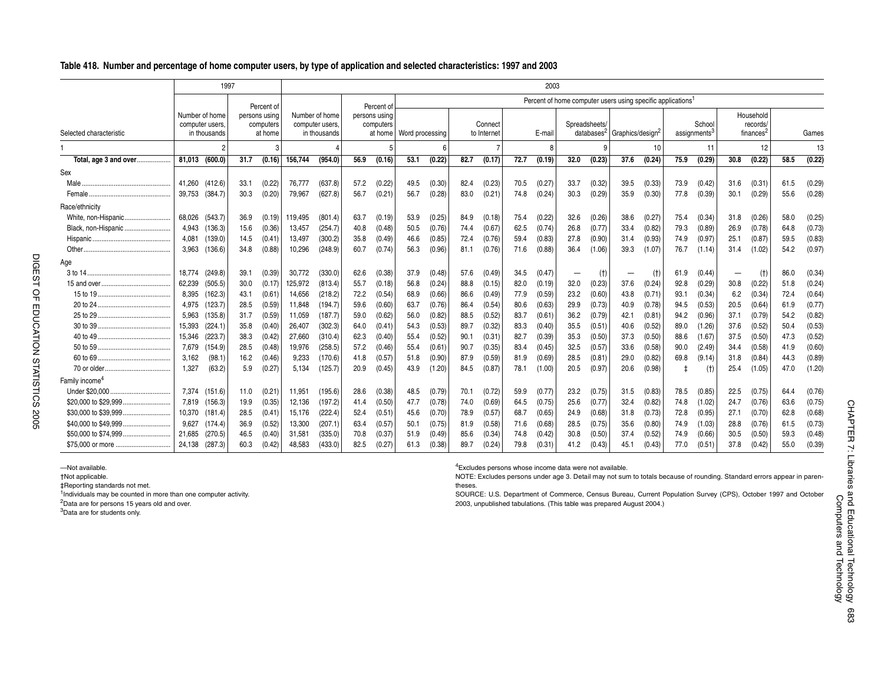#### **Table 418. Number and percentage of home computer users, by type of application and selected characteristics: 1997 and 2003**

|                            |        | 1997                                              |      |                                       |         |                                                   |      |                            |                           |        |      |                        |      | 2003   |      |               |                                                                         |        |            |                                    |      |                                                |      |        |
|----------------------------|--------|---------------------------------------------------|------|---------------------------------------|---------|---------------------------------------------------|------|----------------------------|---------------------------|--------|------|------------------------|------|--------|------|---------------|-------------------------------------------------------------------------|--------|------------|------------------------------------|------|------------------------------------------------|------|--------|
|                            |        |                                                   |      | Percent of                            |         |                                                   |      | Percent of                 |                           |        |      |                        |      |        |      |               | Percent of home computer users using specific applications <sup>1</sup> |        |            |                                    |      |                                                |      |        |
| Selected characteristic    |        | Number of home<br>computer users.<br>in thousands |      | persons using<br>computers<br>at home |         | Number of home<br>computer users,<br>in thousands |      | persons using<br>computers | at home   Word processing |        |      | Connect<br>to Internet |      | E-mail |      | Spreadsheets/ | databases <sup>2</sup> Graphics/design <sup>2</sup>                     |        |            | School<br>assignments <sup>3</sup> |      | Household<br>records/<br>finances <sup>2</sup> |      | Games  |
|                            |        |                                                   |      |                                       |         |                                                   |      |                            |                           |        |      |                        |      |        |      |               |                                                                         | 10     |            | 11                                 |      | 12                                             |      | 13     |
| Total, age 3 and over      | 81.013 | (600.0)                                           | 31.7 | (0.16)                                | 156,744 | (954.0)                                           | 56.9 | (0.16)                     | 53.1                      | (0.22) | 82.7 | (0.17)                 | 72.7 | (0.19) | 32.0 | (0.23)        | 37.6                                                                    | (0.24) | 75.9       | (0.29)                             | 30.8 | (0.22)                                         | 58.5 | (0.22) |
| Sex                        |        |                                                   |      |                                       |         |                                                   |      |                            |                           |        |      |                        |      |        |      |               |                                                                         |        |            |                                    |      |                                                |      |        |
| Male.                      | 41,260 | (412.6)                                           | 33.1 | (0.22)                                | 76,777  | (637.8)                                           | 57.2 | (0.22)                     | 49.5                      | (0.30) | 82.4 | (0.23)                 | 70.5 | (0.27) | 33.7 | (0.32)        | 39.5                                                                    | (0.33) | 73.9       | (0.42)                             | 31.6 | (0.31)                                         | 61.5 | (0.29) |
|                            | 39,753 | (384.7)                                           | 30.3 | (0.20)                                | 79,967  | (627.8)                                           | 56.7 | (0.21)                     | 56.7                      | (0.28) | 83.0 | (0.21)                 | 74.8 | (0.24) | 30.3 | (0.29)        | 35.9                                                                    | (0.30) | 77.8       | (0.39)                             | 30.1 | (0.29)                                         | 55.6 | (0.28) |
| Race/ethnicity             |        |                                                   |      |                                       |         |                                                   |      |                            |                           |        |      |                        |      |        |      |               |                                                                         |        |            |                                    |      |                                                |      |        |
| White, non-Hispanic        | 68,026 | (543.7)                                           | 36.9 | (0.19)                                | 119,495 | (801.4)                                           | 63.7 | (0.19)                     | 53.9                      | (0.25) | 84.9 | (0.18)                 | 75.4 | (0.22) | 32.6 | (0.26)        | 38.6                                                                    | (0.27) | 75.4       | (0.34)                             | 31.8 | (0.26)                                         | 58.0 | (0.25) |
| Black, non-Hispanic        | 4.943  | (136.3)                                           | 15.6 | (0.36)                                | 13,457  | (254.7)                                           | 40.8 | (0.48)                     | 50.5                      | (0.76) | 74.4 | (0.67)                 | 62.5 | (0.74) | 26.8 | (0.77)        | 33.4                                                                    | (0.82) | 79.3       | (0.89)                             | 26.9 | (0.78)                                         | 64.8 | (0.73) |
|                            | 4,081  | (139.0)                                           | 14.5 | (0.41)                                | 13,497  | (300.2)                                           | 35.8 | (0.49)                     | 46.6                      | (0.85) | 72.4 | (0.76)                 | 59.4 | (0.83) | 27.8 | (0.90)        | 31.4                                                                    | (0.93) | 74.9       | (0.97)                             | 25.1 | (0.87)                                         | 59.5 | (0.83) |
| Other                      | 3,963  | (136.6)                                           | 34.8 | (0.88)                                | 10,296  | (248.9)                                           | 60.7 | (0.74)                     | 56.3                      | (0.96) | 81.1 | (0.76)                 | 71.6 | (0.88) | 36.4 | (1.06)        | 39.3                                                                    | (1.07) | 76.7       | (1.14)                             | 31.4 | (1.02)                                         | 54.2 | (0.97) |
| Age                        |        |                                                   |      |                                       |         |                                                   |      |                            |                           |        |      |                        |      |        |      |               |                                                                         |        |            |                                    |      |                                                |      |        |
|                            | 18,774 | (249.8)                                           | 39.1 | (0.39)                                | 30,772  | (330.0)                                           | 62.6 | (0.38)                     | 37.9                      | (0.48) | 57.6 | (0.49)                 | 34.5 | (0.47) |      | (t)           |                                                                         | (t)    | 61.9       | (0.44)                             |      | (t)                                            | 86.0 | (0.34) |
|                            | 62,239 | (505.5)                                           | 30.0 | (0.17)                                | 125,972 | (813.4)                                           | 55.7 | (0.18)                     | 56.8                      | (0.24) | 88.8 | (0.15)                 | 82.0 | (0.19) | 32.0 | (0.23)        | 37.6                                                                    | (0.24) | 92.8       | (0.29)                             | 30.8 | (0.22)                                         | 51.8 | (0.24) |
|                            | 8,395  | (162.3)                                           | 43.1 | (0.61)                                | 14,656  | (218.2)                                           | 72.2 | (0.54)                     | 68.9                      | (0.66) | 86.6 | (0.49)                 | 77.9 | (0.59) | 23.2 | (0.60)        | 43.8                                                                    | (0.71) | 93.1       | (0.34)                             | 6.2  | (0.34)                                         | 72.4 | (0.64) |
|                            | 4,975  | (123.7)                                           | 28.5 | (0.59)                                | 11,848  | (194.7)                                           | 59.6 | (0.60)                     | 63.7                      | (0.76) | 86.4 | (0.54)                 | 80.6 | (0.63) | 29.9 | (0.73)        | 40.9                                                                    | (0.78) | 94.5       | (0.53)                             | 20.5 | (0.64)                                         | 61.9 | (0.77) |
|                            | 5,963  | (135.8)                                           | 31.7 | (0.59)                                | 11,059  | (187.7)                                           | 59.0 | (0.62)                     | 56.0                      | (0.82) | 88.5 | (0.52)                 | 83.7 | (0.61) | 36.2 | (0.79)        | 42.1                                                                    | (0.81) | 94.2       | (0.96)                             | 37.1 | (0.79)                                         | 54.2 | (0.82) |
|                            | 15,393 | (224.1)                                           | 35.8 | (0.40)                                | 26,407  | (302.3)                                           | 64.0 | (0.41)                     | 54.3                      | (0.53) | 89.7 | (0.32)                 | 83.3 | (0.40) | 35.5 | (0.51)        | 40.6                                                                    | (0.52) | 89.0       | (1.26)                             | 37.6 | (0.52)                                         | 50.4 | (0.53) |
|                            | 15,346 | (223.7)                                           | 38.3 | (0.42)                                | 27,660  | (310.4)                                           | 62.3 | (0.40)                     | 55.4                      | (0.52) | 90.1 | (0.31)                 | 82.7 | (0.39) | 35.3 | (0.50)        | 37.3                                                                    | (0.50) | 88.6       | (1.67)                             | 37.5 | (0.50)                                         | 47.3 | (0.52) |
|                            | 7,679  | (154.9)                                           | 28.5 | (0.48)                                | 19,976  | (258.5)                                           | 57.2 | (0.46)                     | 55.4                      | (0.61) | 90.7 | (0.35)                 | 83.4 | (0.45) | 32.5 | (0.57)        | 33.6                                                                    | (0.58) | 90.0       | (2.49)                             | 34.4 | (0.58)                                         | 41.9 | (0.60) |
|                            | 3,162  | (98.1)                                            | 16.2 | (0.46)                                | 9,233   | (170.6)                                           | 41.8 | (0.57)                     | 51.8                      | (0.90) | 87.9 | (0.59)                 | 81.9 | (0.69) | 28.5 | (0.81)        | 29.0                                                                    | (0.82) | 69.8       | (9.14)                             | 31.8 | (0.84)                                         | 44.3 | (0.89) |
|                            | 1,327  | (63.2)                                            | 5.9  | (0.27)                                | 5,134   | (125.7)                                           | 20.9 | (0.45)                     | 43.9                      | (1.20) | 84.5 | (0.87)                 | 78.1 | (1.00) | 20.5 | (0.97)        | 20.6                                                                    | (0.98) | $\ddagger$ | (t)                                | 25.4 | (1.05)                                         | 47.0 | (1.20) |
| Family income <sup>4</sup> |        |                                                   |      |                                       |         |                                                   |      |                            |                           |        |      |                        |      |        |      |               |                                                                         |        |            |                                    |      |                                                |      |        |
|                            | 7.374  | (151.6)                                           | 11.0 | (0.21)                                | 11,951  | (195.6)                                           | 28.6 | (0.38)                     | 48.5                      | (0.79) | 70.1 | (0.72)                 | 59.9 | (0.77) | 23.2 | (0.75)        | 31.5                                                                    | (0.83) | 78.5       | (0.85)                             | 22.5 | (0.75)                                         | 64.4 | (0.76) |
| \$20,000 to \$29,999       | 7,819  | (156.3)                                           | 19.9 | (0.35)                                | 12,136  | (197.2)                                           | 41.4 | (0.50)                     | 47.7                      | (0.78) | 74.0 | (0.69)                 | 64.5 | (0.75) | 25.6 | (0.77)        | 32.4                                                                    | (0.82) | 74.8       | (1.02)                             | 24.7 | (0.76)                                         | 63.6 | (0.75) |
|                            | 10,370 | (181.4)                                           | 28.5 | (0.41)                                | 15,176  | (222.4)                                           | 52.4 | (0.51)                     | 45.6                      | (0.70) | 78.9 | (0.57)                 | 68.7 | (0.65) | 24.9 | (0.68)        | 31.8                                                                    | (0.73) | 72.8       | (0.95)                             | 27.1 | (0.70)                                         | 62.8 | (0.68) |
|                            | 9,627  | (174.4)                                           | 36.9 | (0.52)                                | 13,300  | (207.1)                                           | 63.4 | (0.57)                     | 50.1                      | (0.75) | 81.9 | (0.58)                 | 71.6 | (0.68) | 28.5 | (0.75)        | 35.6                                                                    | (0.80) | 74.9       | (1.03)                             | 28.8 | (0.76)                                         | 61.5 | (0.73) |
|                            | 21,685 | (270.5)                                           | 46.5 | (0.40)                                | 31,581  | (335.0)                                           | 70.8 | (0.37)                     | 51.9                      | (0.49) | 85.6 | (0.34)                 | 74.8 | (0.42) | 30.8 | (0.50)        | 37.4                                                                    | (0.52) | 74.9       | (0.66)                             | 30.5 | (0.50)                                         | 59.3 | (0.48) |
| \$75,000 or more           | 24,138 | (287.3)                                           | 60.3 | (0.42)                                | 48,583  | (433.0)                                           | 82.5 | (0.27)                     | 61.3                      | (0.38) | 89.7 | (0.24)                 | 79.8 | (0.31) | 41.2 | (0.43)        | 45.1                                                                    | (0.43) | 77.0       | (0.51)                             | 37.8 | (0.42)                                         | 55.0 | (0.39) |

—Not available.

†Not applicable.

‡Reporting standards not met.

<sup>1</sup>Individuals may be counted in more than one computer activity.

2Data are for persons 15 years old and over.

3Data are for students only.

4Excludes persons whose income data were not available.

NOTE: Excludes persons under age 3. Detail may not sum to totals because of rounding. Standard errors appear in parentheses.

SOURCE: U.S. Department of Commerce, Census Bureau, Current Population Survey (CPS), October 1997 and October 2003, unpublished tabulations. (This table was prepared August 2004.)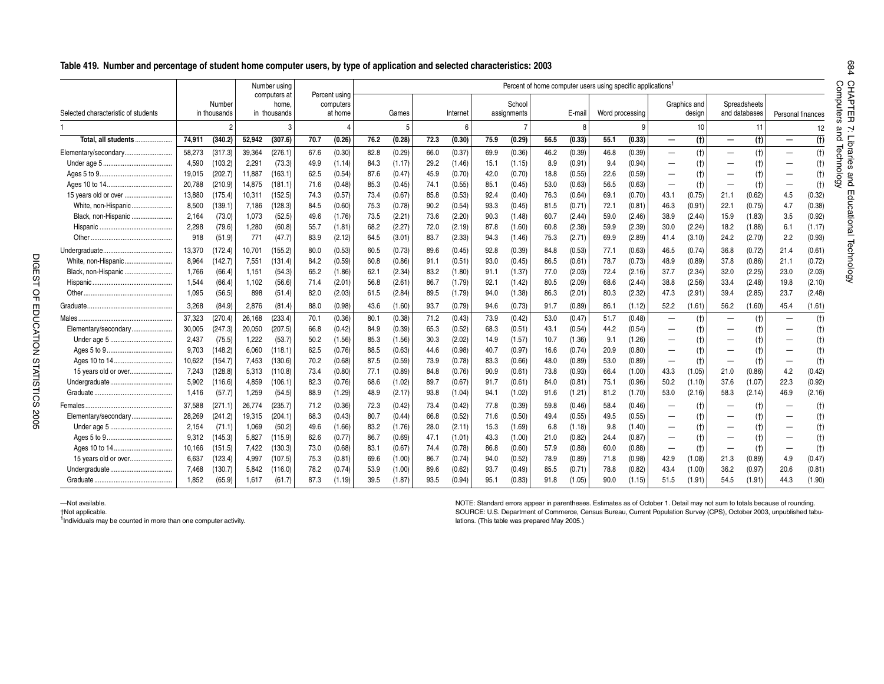#### **Table 419. Number and percentage of student home computer users, by type of application and selected characteristics: 2003**

|                                     |        |                        |        | Number using                          |      |                                       |      |        |      |          |      |                       | Percent of home computer users using specific applications <sup>1</sup> |        |                 |        |      |                        |                          |                               |                          |        |
|-------------------------------------|--------|------------------------|--------|---------------------------------------|------|---------------------------------------|------|--------|------|----------|------|-----------------------|-------------------------------------------------------------------------|--------|-----------------|--------|------|------------------------|--------------------------|-------------------------------|--------------------------|--------|
| Selected characteristic of students |        | Number<br>in thousands |        | computers at<br>home.<br>in thousands |      | Percent using<br>computers<br>at home |      | Games  |      | Internet |      | School<br>assignments |                                                                         | E-mai  | Word processing |        |      | Graphics and<br>design |                          | Spreadsheets<br>and databases | Personal finances        |        |
|                                     |        |                        |        |                                       |      |                                       |      |        |      | 6        |      |                       |                                                                         |        |                 |        |      | 10                     |                          | 11                            |                          | 12     |
| Total, all students                 | 74,911 | (340.2)                | 52,942 | (307.6)                               | 70.7 | (0.26)                                | 76.2 | (0.28) | 72.3 | (0.30)   | 75.9 | (0.29)                | 56.5                                                                    | (0.33) | 55.1            | (0.33) |      | (f)                    | $\overline{\phantom{0}}$ | (t)                           |                          | (t)    |
| Elementary/secondary                | 58,273 | (317.3)                | 39,364 | (276.1)                               | 67.6 | (0.30)                                | 82.8 | (0.29) | 66.0 | (0.37)   | 69.9 | (0.36)                | 46.2                                                                    | (0.39) | 46.8            | (0.39) |      | (t)                    |                          | (t)                           |                          | (t)    |
|                                     | 4,590  | (103.2)                | 2.291  | (73.3)                                | 49.9 | (1.14)                                | 84.3 | (1.17) | 29.2 | (1.46)   | 15.1 | (1.15)                | 8.9                                                                     | (0.91) | 9.4             | (0.94) |      | (t)                    |                          | (t)                           |                          | $(+)$  |
|                                     | 19,015 | (202.7)                | 11,887 | (163.1)                               | 62.5 | (0.54)                                | 87.6 | (0.47) | 45.9 | (0.70)   | 42.0 | (0.70)                | 18.8                                                                    | (0.55) | 22.6            | (0.59) |      | (t)                    |                          | (t)                           |                          | (t)    |
|                                     | 20,788 | (210.9)                | 14.875 | (181.1)                               | 71.6 | (0.48)                                | 85.3 | (0.45) | 74.1 | (0.55)   | 85.1 | (0.45)                | 53.0                                                                    | (0.63) | 56.5            | (0.63) |      | (t)                    |                          | (t)                           | $\overline{\phantom{0}}$ | (t)    |
| 15 years old or over                | 13,880 | (175.4)                | 10,311 | (152.5)                               | 74.3 | (0.57)                                | 73.4 | (0.67) | 85.8 | (0.53)   | 92.4 | (0.40)                | 76.3                                                                    | (0.64) | 69.1            | (0.70) | 43.1 | (0.75)                 | 21.1                     | (0.62)                        | 4.5                      | (0.32) |
| White, non-Hispanic                 | 8,500  | (139.1)                | 7,186  | (128.3)                               | 84.5 | (0.60)                                | 75.3 | (0.78) | 90.2 | (0.54)   | 93.3 | (0.45)                | 81.5                                                                    | (0.71) | 72.1            | (0.81) | 46.3 | (0.91)                 | 22.1                     | (0.75)                        | 4.7                      | (0.38) |
| Black, non-Hispanic                 | 2,164  | (73.0)                 | 1,073  | (52.5)                                | 49.6 | (1.76)                                | 73.5 | (2.21) | 73.6 | (2.20)   | 90.3 | (1.48)                | 60.7                                                                    | (2.44) | 59.0            | (2.46) | 38.9 | (2.44)                 | 15.9                     | (1.83)                        | 3.5                      | (0.92) |
|                                     | 2,298  | (79.6)                 | 1,280  | (60.8)                                | 55.7 | (1.81)                                | 68.2 | (2.27) | 72.0 | (2.19)   | 87.8 | (1.60)                | 60.8                                                                    | (2.38) | 59.9            | (2.39) | 30.0 | (2.24)                 | 18.2                     | (1.88)                        | 6.1                      | (1.17) |
|                                     | 918    | (51.9)                 | 771    | (47.7)                                | 83.9 | (2.12)                                | 64.5 | (3.01) | 83.7 | (2.33)   | 94.3 | (1.46)                | 75.3                                                                    | (2.71) | 69.9            | (2.89) | 41.4 | (3.10)                 | 24.2                     | (2.70)                        | 2.2                      | (0.93) |
|                                     | 13,370 | (172.4)                | 10.701 | (155.2)                               | 80.0 | (0.53)                                | 60.5 | (0.73) | 89.6 | (0.45)   | 92.8 | (0.39)                | 84.8                                                                    | (0.53) | 77.1            | (0.63) | 46.5 | (0.74)                 | 36.8                     | (0.72)                        | 21.4                     | (0.61) |
| White, non-Hispanic                 | 8,964  | (142.7)                | 7.551  | (131.4)                               | 84.2 | (0.59)                                | 60.8 | (0.86) | 91.1 | (0.51)   | 93.0 | (0.45)                | 86.5                                                                    | (0.61) | 78.7            | (0.73) | 48.9 | (0.89)                 | 37.8                     | (0.86)                        | 21.1                     | (0.72) |
| Black, non-Hispanic                 | 1.766  | (66.4)                 | 1.151  | (54.3)                                | 65.2 | (1.86)                                | 62.1 | (2.34) | 83.2 | (1.80)   | 91.1 | (1.37)                | 77.0                                                                    | (2.03) | 72.4            | (2.16) | 37.7 | (2.34)                 | 32.0                     | (2.25)                        | 23.0                     | (2.03) |
|                                     | 1,544  | (66.4)                 | 1,102  | (56.6)                                | 71.4 | (2.01)                                | 56.8 | (2.61) | 86.7 | (1.79)   | 92.  | (1.42)                | 80.5                                                                    | (2.09) | 68.6            | (2.44) | 38.8 | (2.56)                 | 33.4                     | (2.48)                        | 19.8                     | (2.10) |
|                                     | 1,095  | (56.5)                 | 898    | (51.4)                                | 82.0 | (2.03)                                | 61.5 | (2.84) | 89.5 | (1.79)   | 94.0 | (1.38)                | 86.3                                                                    | (2.01) | 80.3            | (2.32) | 47.3 | (2.91)                 | 39.4                     | (2.85)                        | 23.7                     | (2.48) |
|                                     | 3,268  | (84.9)                 | 2,876  | (81.4)                                | 88.0 | (0.98)                                | 43.6 | (1.60) | 93.7 | (0.79)   | 94.6 | (0.73)                | 91.7                                                                    | (0.89) | 86.1            | (1.12) | 52.2 | (1.61)                 | 56.2                     | (1.60)                        | 45.4                     | (1.61) |
|                                     | 37,323 | (270.4)                | 26,168 | (233.4)                               | 70.1 | (0.36)                                | 80.1 | (0.38) | 71.2 | (0.43)   | 73.9 | (0.42)                | 53.0                                                                    | (0.47) | 51.7            | (0.48) |      | (t)                    |                          | (t)                           |                          | (t)    |
| Elementary/secondary                | 30,005 | (247.3)                | 20,050 | (207.5)                               | 66.8 | (0.42)                                | 84.9 | (0.39) | 65.3 | (0.52)   | 68.3 | (0.51)                | 43.1                                                                    | (0.54) | 44.2            | (0.54) |      | (t)                    |                          | (t)                           |                          | $(+)$  |
|                                     | 2,437  | (75.5)                 | 1.222  | (53.7)                                | 50.2 | (1.56)                                | 85.3 | (1.56) | 30.3 | (2.02)   | 14.9 | (1.57)                | 10.7                                                                    | (1.36) | 9.1             | (1.26) |      | (t)                    |                          | (t)                           |                          | (†)    |
|                                     | 9,703  | (148.2)                | 6,060  | (118.1)                               | 62.5 | (0.76)                                | 88.5 | (0.63) | 44.6 | (0.98)   | 40.7 | (0.97)                | 16.6                                                                    | (0.74) | 20.9            | (0.80) |      | (t)                    |                          | (t)                           |                          | (t)    |
|                                     | 10,622 | (154.7)                | 7.453  | (130.6)                               | 70.2 | (0.68)                                | 87.5 | (0.59) | 73.9 | (0.78)   | 83.3 | (0.66)                | 48.0                                                                    | (0.89) | 53.0            | (0.89) |      | (t)                    |                          | (t)                           | $\overline{\phantom{0}}$ | (t)    |
| 15 years old or over                | 7,243  | (128.8)                | 5,313  | (110.8)                               | 73.4 | (0.80)                                | 77.1 | (0.89) | 84.8 | (0.76)   | 90.9 | (0.61)                | 73.8                                                                    | (0.93) | 66.4            | (1.00) | 43.3 | (1.05)                 | 21.0                     | (0.86)                        | 4.2                      | (0.42) |
|                                     | 5.902  | (116.6)                | 4.859  | (106.1)                               | 82.3 | (0.76)                                | 68.6 | (1.02) | 89.7 | (0.67)   | 91.7 | (0.61)                | 84.0                                                                    | (0.81) | 75.1            | (0.96) | 50.2 | (1.10)                 | 37.6                     | (1.07)                        | 22.3                     | (0.92) |
|                                     | 1,416  | (57.7)                 | 1,259  | (54.5)                                | 88.9 | (1.29)                                | 48.9 | (2.17) | 93.8 | (1.04)   | 94.1 | (1.02)                | 91.6                                                                    | (1.21) | 81.2            | (1.70) | 53.0 | (2.16)                 | 58.3                     | (2.14)                        | 46.9                     | (2.16) |
|                                     | 37,588 | (271.1)                | 26,774 | (235.7)                               | 71.2 | (0.36)                                | 72.3 | (0.42) | 73.4 | (0.42)   | 77.8 | (0.39)                | 59.8                                                                    | (0.46) | 58.4            | (0.46) |      | (t)                    |                          | (t)                           |                          | (t)    |
| Elementary/secondary                | 28,269 | (241.2)                | 19,315 | (204.1)                               | 68.3 | (0.43)                                | 80.7 | (0.44) | 66.8 | (0.52)   | 71.6 | (0.50)                | 49.4                                                                    | (0.55) | 49.5            | (0.55) |      | (t)                    |                          | (t)                           |                          | (t)    |
|                                     | 2,154  | (71.1)                 | 1,069  | (50.2)                                | 49.6 | (1.66)                                | 83.2 | (1.76) | 28.0 | (2.11)   | 15.3 | (1.69)                | 6.8                                                                     | (1.18) | 9.8             | (1.40) |      | (t)                    |                          | (t)                           |                          | $(+)$  |
|                                     | 9,312  | (145.3)                | 5,827  | (115.9)                               | 62.6 | (0.77)                                | 86.7 | (0.69) | 47.1 | (1.01)   | 43.3 | (1.00)                | 21.0                                                                    | (0.82) | 24.4            | (0.87) |      | (t)                    |                          | (t)                           |                          | (t)    |
|                                     | 10,166 | (151.5)                | 7.422  | (130.3)                               | 73.0 | (0.68)                                | 83.1 | (0.67) | 74.4 | (0.78)   | 86.8 | (0.60)                | 57.9                                                                    | (0.88) | 60.0            | (0.88) |      | (t)                    |                          | (t)                           | $\overline{\phantom{0}}$ | (t)    |
| 15 years old or over                | 6,637  | (123.4)                | 4,997  | (107.5)                               | 75.3 | (0.81)                                | 69.6 | (1.00) | 86.7 | (0.74)   | 94.0 | (0.52)                | 78.9                                                                    | (0.89) | 71.8            | (0.98) | 42.9 | (1.08)                 | 21.3                     | (0.89)                        | 4.9                      | (0.47) |
|                                     | 7,468  | (130.7)                | 5.842  | (116.0)                               | 78.2 | (0.74)                                | 53.9 | (1.00) | 89.6 | (0.62)   | 93.7 | (0.49)                | 85.5                                                                    | (0.71) | 78.8            | (0.82) | 43.4 | (1.00)                 | 36.2                     | (0.97)                        | 20.6                     | (0.81) |
|                                     | 1,852  | (65.9)                 | 1,617  | (61.7)                                | 87.3 | (1.19)                                | 39.5 | (1.87) | 93.5 | (0.94)   | 95.1 | (0.83)                | 91.8                                                                    | (1.05) | 90.0            | (1.15) | 51.5 | (1.91)                 | 54.5                     | (1.91)                        | 44.3                     | (1.90) |

—Not available.

†Not applicable.

<sup>1</sup>Individuals may be counted in more than one computer activity.

NOTE: Standard errors appear in parentheses. Estimates as of October 1. Detail may not sum to totals because of rounding. SOURCE: U.S. Department of Commerce, Census Bureau, Current Population Survey (CPS), October 2003, unpublished tabulations. (This table was prepared May 2005.)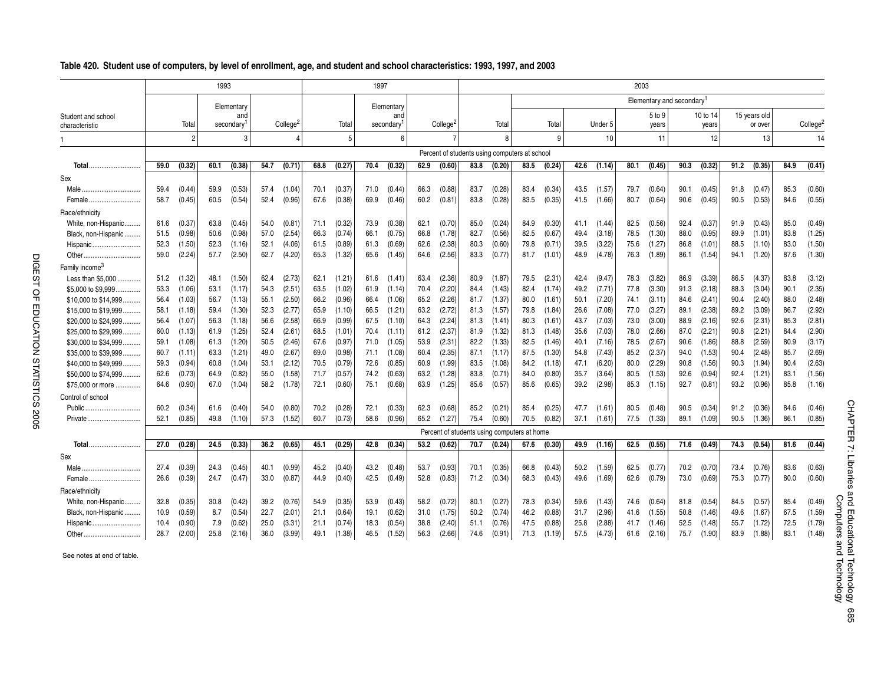|                                      |      |                | 1993 |                  |      |                      |      |        | 1997 |                  |      |                      |      |        |                                               |        |      |                  | 2003 |                                       |      |                   |      |                         |      |                      |
|--------------------------------------|------|----------------|------|------------------|------|----------------------|------|--------|------|------------------|------|----------------------|------|--------|-----------------------------------------------|--------|------|------------------|------|---------------------------------------|------|-------------------|------|-------------------------|------|----------------------|
|                                      |      |                |      | Elementary       |      |                      |      |        |      | Elementary       |      |                      |      |        |                                               |        |      |                  |      | Elementary and secondary <sup>1</sup> |      |                   |      |                         |      |                      |
| Student and school<br>characteristic |      | Total          |      | and<br>secondary |      | College <sup>2</sup> |      | Total  |      | and<br>secondary |      | College <sup>2</sup> |      | Total  |                                               | Total  |      | Under 5          |      | 5 to 9<br>years                       |      | 10 to 14<br>years |      | 15 years old<br>or over |      | College <sup>2</sup> |
|                                      |      | $\overline{2}$ |      | 3                |      |                      |      | 5      |      | 6                |      | $\overline{7}$       |      | R      |                                               | 9      |      | 10 <sup>10</sup> |      | 11                                    |      | 12                |      | 13                      |      | 14                   |
|                                      |      |                |      |                  |      |                      |      |        |      |                  |      |                      |      |        | Percent of students using computers at school |        |      |                  |      |                                       |      |                   |      |                         |      |                      |
| Total                                | 59.0 | (0.32)         | 60.1 | (0.38)           | 54.7 | (0.71)               | 68.8 | (0.27) | 70.4 | (0.32)           | 62.9 | (0.60)               | 83.8 | (0.20) | 83.5                                          | (0.24) | 42.6 | (1.14)           | 80.1 | (0.45)                                | 90.3 | (0.32)            | 91.2 | (0.35)                  | 84.9 | (0.41)               |
| Sex                                  |      |                |      |                  |      |                      |      |        |      |                  |      |                      |      |        |                                               |        |      |                  |      |                                       |      |                   |      |                         |      |                      |
|                                      | 59.4 | (0.44)         | 59.9 | (0.53)           | 57.4 | (1.04)               | 70.1 | (0.37) | 71.0 | (0.44)           | 66.3 | (0.88)               | 83.7 | (0.28) | 83.4                                          | (0.34) | 43.5 | (1.57)           | 79.7 | (0.64)                                | 90.1 | (0.45)            | 91.8 | (0.47)                  | 85.3 | (0.60)               |
| Female                               | 58.7 | (0.45)         | 60.5 | (0.54)           | 52.4 | (0.96)               | 67.6 | (0.38) | 69.9 | (0.46)           | 60.2 | (0.81)               | 83.8 | (0.28) | 83.5                                          | (0.35) | 41.5 | (1.66)           | 80.7 | (0.64)                                | 90.6 | (0.45)            | 90.5 | (0.53)                  | 84.6 | (0.55)               |
| Race/ethnicity                       |      |                |      |                  |      |                      |      |        |      |                  |      |                      |      |        |                                               |        |      |                  |      |                                       |      |                   |      |                         |      |                      |
| White, non-Hispanic                  | 61.6 | (0.37)         | 63.8 | (0.45)           | 54.0 | (0.81)               | 71.1 | (0.32) | 73.9 | (0.38)           | 62.1 | (0.70)               | 85.0 | (0.24) | 84.9                                          | (0.30) | 41.1 | (1.44)           | 82.5 | (0.56)                                | 92.4 | (0.37)            | 91.9 | (0.43)                  | 85.0 | (0.49)               |
| Black, non-Hispanic                  | 51.5 | (0.98)         | 50.6 | (0.98)           | 57.0 | (2.54)               | 66.3 | (0.74) | 66.1 | (0.75)           | 66.8 | (1.78)               | 82.7 | (0.56) | 82.5                                          | (0.67) | 49.4 | (3.18)           | 78.5 | (1.30)                                | 88.0 | (0.95)            | 89.9 | (1.01)                  | 83.8 | (1.25)               |
| Hispanic                             | 52.3 | (1.50)         | 52.3 | (1.16)           | 52.1 | (4.06)               | 61.5 | (0.89) | 61.3 | (0.69)           | 62.6 | (2.38)               | 80.3 | (0.60) | 79.8                                          | (0.71) | 39.5 | (3.22)           | 75.6 | (1.27)                                | 86.8 | (1.01)            | 88.5 | (1.10)                  | 83.0 | (1.50)               |
| Other                                | 59.0 | (2.24)         | 57.7 | (2.50)           | 62.7 | (4.20)               | 65.3 | (1.32) | 65.6 | (1.45)           | 64.6 | (2.56)               | 83.3 | (0.77) | 81.7                                          | (1.01) | 48.9 | (4.78)           | 76.3 | (1.89)                                | 86.1 | (1.54)            | 94.1 | (1.20)                  | 87.6 | (1.30)               |
| Family income <sup>3</sup>           |      |                |      |                  |      |                      |      |        |      |                  |      |                      |      |        |                                               |        |      |                  |      |                                       |      |                   |      |                         |      |                      |
| Less than \$5,000                    | 51.2 | (1.32)         | 48.1 | (1.50)           | 62.4 | (2.73)               | 62.1 | (1.21) | 61.6 | (1.41)           | 63.4 | (2.36)               | 80.9 | (1.87) | 79.5                                          | (2.31) | 42.4 | (9.47)           | 78.3 | (3.82)                                | 86.9 | (3.39)            | 86.5 | (4.37)                  | 83.8 | (3.12)               |
| \$5,000 to \$9,999                   | 53.3 | (1.06)         | 53.1 | (1.17)           | 54.3 | (2.51)               | 63.5 | (1.02) | 61.9 | (1.14)           | 70.4 | (2.20)               | 84.4 | (1.43) | 82.4                                          | (1.74) | 49.2 | (7.71)           | 77.8 | (3.30)                                | 91.3 | (2.18)            | 88.3 | (3.04)                  | 90.1 | (2.35)               |
| \$10,000 to \$14,999                 | 56.4 | (1.03)         | 56.7 | (1.13)           | 55.1 | (2.50)               | 66.2 | (0.96) | 66.4 | (1.06)           | 65.2 | (2.26)               | 81.7 | (1.37) | 80.0                                          | (1.61) | 50.1 | (7.20)           | 74.1 | (3.11)                                | 84.6 | (2.41)            | 90.4 | (2.40)                  | 88.0 | (2.48)               |
| \$15,000 to \$19,999                 | 58.1 | (1.18)         | 59.4 | (1.30)           | 52.3 | (2.77)               | 65.9 | (1.10) | 66.5 | (1.21)           | 63.2 | (2.72)               | 81.3 | (1.57) | 79.8                                          | (1.84) | 26.6 | (7.08)           | 77.0 | (3.27)                                | 89.1 | (2.38)            | 89.2 | (3.09)                  | 86.7 | (2.92)               |
| \$20,000 to \$24,999                 | 56.4 | (1.07)         | 56.3 | (1.18)           | 56.6 | (2.58)               | 66.9 | (0.99) | 67.5 | (1.10)           | 64.3 | (2.24)               | 81.3 | (1.41) | 80.3                                          | (1.61) | 43.7 | (7.03)           | 73.0 | (3.00)                                | 88.9 | (2.16)            | 92.6 | (2.31)                  | 85.3 | (2.81)               |
| \$25,000 to \$29,999                 | 60.0 | (1.13)         | 61.9 | (1.25)           | 52.4 | (2.61)               | 68.5 | (1.01) | 70.4 | (1.11)           | 61.2 | (2.37)               | 81.9 | (1.32) | 81.3                                          | (1.48) | 35.6 | (7.03)           | 78.0 | (2.66)                                | 87.0 | (2.21)            | 90.8 | (2.21)                  | 84.4 | (2.90)               |
| \$30,000 to \$34,999                 | 59.1 | (1.08)         | 61.3 | (1.20)           | 50.5 | (2.46)               | 67.6 | (0.97) | 71.0 | (1.05)           | 53.9 | (2.31)               | 82.2 | (1.33) | 82.5                                          | (1.46) | 40.1 | (7.16)           | 78.5 | (2.67)                                | 90.6 | (1.86)            | 88.8 | (2.59)                  | 80.9 | (3.17)               |
| \$35,000 to \$39,999                 | 60.7 | (1.11)         | 63.3 | (1.21)           | 49.0 | (2.67)               | 69.0 | (0.98) | 71.1 | (1.08)           | 60.4 | (2.35)               | 87.1 | (1.17) | 87.5                                          | (1.30) | 54.8 | (7.43)           | 85.2 | (2.37)                                | 94.0 | (1.53)            | 90.4 | (2.48)                  | 85.7 | (2.69)               |
| \$40,000 to \$49,999                 | 59.3 | (0.94)         | 60.8 | (1.04)           | 53.1 | (2.12)               | 70.5 | (0.79) | 72.6 | (0.85)           | 60.9 | (1.99)               | 83.5 | (1.08) | 84.2                                          | (1.18) | 47.1 | (6.20)           | 80.0 | (2.29)                                | 90.8 | (1.56)            | 90.3 | (1.94)                  | 80.4 | (2.63)               |
| \$50,000 to \$74,999                 | 62.6 | (0.73)         | 64.9 | (0.82)           | 55.0 | (1.58)               | 71.7 | (0.57) | 74.2 | (0.63)           | 63.2 | (1.28)               | 83.8 | (0.71) | 84.0                                          | (0.80) | 35.7 | (3.64)           | 80.5 | (1.53)                                | 92.6 | (0.94)            | 92.4 | (1.21)                  | 83.1 | (1.56)               |
| \$75,000 or more                     | 64.6 | (0.90)         | 67.0 | (1.04)           | 58.2 | (1.78)               | 72.1 | (0.60) | 75.1 | (0.68)           | 63.9 | (1.25)               | 85.6 | (0.57) | 85.6                                          | (0.65) | 39.2 | (2.98)           | 85.3 | (1.15)                                | 92.7 | (0.81)            | 93.2 | (0.96)                  | 85.8 | (1.16)               |
| Control of school                    |      |                |      |                  |      |                      |      |        |      |                  |      |                      |      |        |                                               |        |      |                  |      |                                       |      |                   |      |                         |      |                      |
| Public                               | 60.2 | (0.34)         | 61.6 | (0.40)           | 54.0 | (0.80)               | 70.2 | (0.28) | 72.1 | (0.33)           | 62.3 | (0.68)               | 85.2 | (0.21) | 85.4                                          | (0.25) | 47.7 | (1.61)           | 80.5 | (0.48)                                | 90.5 | (0.34)            | 91.2 | (0.36)                  | 84.6 | (0.46)               |
| Private                              | 52.1 | (0.85)         | 49.8 | (1.10)           | 57.3 | (1.52)               | 60.7 | (0.73) | 58.6 | (0.96)           | 65.2 | (1.27)               | 75.4 | (0.60) | 70.5                                          | (0.82) | 37.1 | (1.61)           | 77.5 | (1.33)                                | 89.1 | (1.09)            | 90.5 | (1.36)                  | 86.1 | (0.85)               |
|                                      |      |                |      |                  |      |                      |      |        |      |                  |      |                      |      |        | Percent of students using computers at home   |        |      |                  |      |                                       |      |                   |      |                         |      |                      |
| Total.                               | 27.0 | (0.28)         | 24.5 | (0.33)           | 36.2 | (0.65)               | 45.1 | (0.29) | 42.8 | (0.34)           | 53.2 | (0.62)               | 70.7 | (0.24) | 67.6                                          | (0.30) | 49.9 | (1.16)           | 62.5 | (0.55)                                | 71.6 | (0.49)            | 74.3 | (0.54)                  | 81.6 | (0.44)               |
| Sex                                  |      |                |      |                  |      |                      |      |        |      |                  |      |                      |      |        |                                               |        |      |                  |      |                                       |      |                   |      |                         |      |                      |
| Male                                 | 27.4 | (0.39)         | 24.3 | (0.45)           | 40.1 | (0.99)               | 45.2 | (0.40) | 43.2 | (0.48)           | 53.7 | (0.93)               | 70.1 | (0.35) | 66.8                                          | (0.43) | 50.2 | (1.59)           | 62.5 | (0.77)                                | 70.2 | (0.70)            | 73.4 | (0.76)                  | 83.6 | (0.63)               |
| Female                               | 26.6 | (0.39)         | 24.7 | (0.47)           | 33.0 | (0.87)               | 44.9 | (0.40) | 42.5 | (0.49)           | 52.8 | (0.83)               | 71.2 | (0.34) | 68.3                                          | (0.43) | 49.6 | (1.69)           | 62.6 | (0.79)                                | 73.0 | (0.69)            | 75.3 | (0.77)                  | 80.0 | (0.60)               |
| Race/ethnicity                       |      |                |      |                  |      |                      |      |        |      |                  |      |                      |      |        |                                               |        |      |                  |      |                                       |      |                   |      |                         |      |                      |
| White, non-Hispanic                  | 32.8 | (0.35)         | 30.8 | (0.42)           | 39.2 | (0.76)               | 54.9 | (0.35) | 53.9 | (0.43)           | 58.2 | (0.72)               | 80.1 | (0.27) | 78.3                                          | (0.34) | 59.6 | (1.43)           | 74.6 | (0.64)                                | 81.8 | (0.54)            | 84.5 | (0.57)                  | 85.4 | (0.49)               |
| Black, non-Hispanic                  | 10.9 | (0.59)         | 8.7  | (0.54)           | 22.7 | (2.01)               | 21.1 | (0.64) | 19.1 | (0.62)           | 31.0 | (1.75)               | 50.2 | (0.74) | 46.2                                          | (0.88) | 31.7 | (2.96)           | 41.6 | (1.55)                                | 50.8 | (1.46)            | 49.6 | (1.67)                  | 67.5 | (1.59)               |
|                                      | 10.4 | (0.90)         | 7.9  | (0.62)           | 25.0 | (3.31)               | 21.1 | (0.74) | 18.3 | (0.54)           | 38.8 | (2.40)               | 51.1 | (0.76) | 47.5                                          | (0.88) | 25.8 | (2.88)           | 41.7 | (1.46)                                | 52.5 | (1.48)            | 55.7 | (1.72)                  | 72.5 | (1.79)               |
| Hispanic                             | 28.7 | (2.00)         | 25.8 | (2.16)           | 36.0 | (3.99)               | 49.1 | (1.38) | 46.5 | (1.52)           | 56.3 | (2.66)               | 74.6 | (0.91) | 71.3                                          | (1.19) | 57.5 | (4.73)           | 61.6 | (2.16)                                | 75.7 | (1.90)            | 83.9 | (1.88)                  | 83.1 | (1.48)               |
|                                      |      |                |      |                  |      |                      |      |        |      |                  |      |                      |      |        |                                               |        |      |                  |      |                                       |      |                   |      |                         |      |                      |

See notes at end of table.

Computers and Technology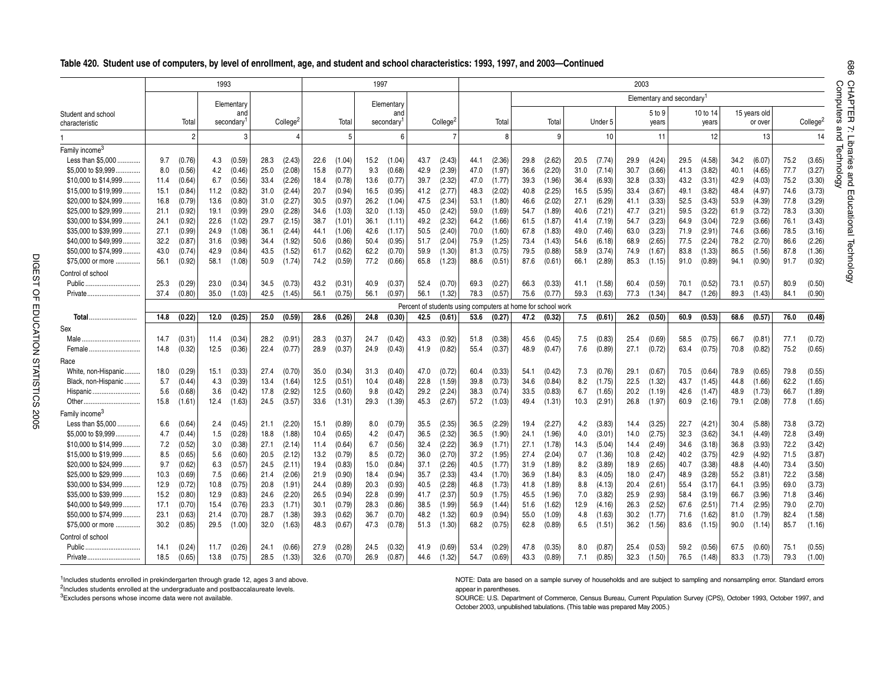|  |  |  |  |  | Table 420. Student use of computers, by level of enrollment, age, and student and school characteristics: 1993, 1997, and 2003—Continued |  |  |  |
|--|--|--|--|--|------------------------------------------------------------------------------------------------------------------------------------------|--|--|--|
|--|--|--|--|--|------------------------------------------------------------------------------------------------------------------------------------------|--|--|--|

|                            |      |                | 1993 |            |      |                |      |        | 1997 |            |      |                      |      |        |      |                                                             |      |         | 2003 |        |                                       |          |      |              |      |                      |
|----------------------------|------|----------------|------|------------|------|----------------|------|--------|------|------------|------|----------------------|------|--------|------|-------------------------------------------------------------|------|---------|------|--------|---------------------------------------|----------|------|--------------|------|----------------------|
|                            |      |                |      | Elementary |      |                |      |        |      | Elementary |      |                      |      |        |      |                                                             |      |         |      |        | Elementary and secondary <sup>1</sup> |          |      |              |      |                      |
| Student and school         |      |                |      | and        |      |                |      |        |      | and        |      |                      |      |        |      |                                                             |      |         |      | 5 to 9 |                                       | 10 to 14 |      | 15 years old |      |                      |
| characteristic             |      | Total          |      | secondary  |      | College        |      | Total  |      | secondary  |      | College <sup>2</sup> |      | Total  |      | Total                                                       |      | Under 5 |      | years  |                                       | years    |      | or over      |      | College <sup>2</sup> |
|                            |      | $\overline{c}$ |      | 3          |      | $\overline{4}$ |      | 5      |      | 6          |      | $\overline{7}$       |      | 8      |      | 9 <sup>1</sup>                                              |      | 10      |      | 11     |                                       | 12       |      | 13           |      | 14                   |
| Family income <sup>3</sup> |      |                |      |            |      |                |      |        |      |            |      |                      |      |        |      |                                                             |      |         |      |        |                                       |          |      |              |      |                      |
| Less than \$5,000          | 9.7  | (0.76)         | 4.3  | (0.59)     | 28.3 | (2.43)         | 22.6 | (1.04) | 15.2 | (1.04)     | 43.7 | (2.43)               | 44.1 | (2.36) | 29.8 | (2.62)                                                      | 20.5 | (7.74)  | 29.9 | (4.24) | 29.5                                  | (4.58)   | 34.2 | (6.07)       | 75.2 | (3.65)               |
| \$5,000 to \$9,999         | 8.0  | (0.56)         | 4.2  | (0.46)     | 25.0 | (2.08)         | 15.8 | (0.77) | 9.3  | (0.68)     | 42.9 | (2.39)               | 47.0 | (1.97) | 36.6 | (2.20)                                                      | 31.0 | (7.14)  | 30.7 | (3.66) | 41.3                                  | (3.82)   | 40.1 | (4.65)       | 77.7 | (3.27)               |
| \$10,000 to \$14,999       | 11.4 | (0.64)         | 6.7  | (0.56)     | 33.4 | (2.26)         | 18.4 | (0.78) | 13.6 | (0.77)     | 39.7 | (2.32)               | 47.0 | (1.77) | 39.3 | (1.96)                                                      | 36.4 | (6.93)  | 32.8 | (3.33) | 43.2                                  | (3.31)   | 42.9 | (4.03)       | 75.2 | (3.30)               |
| \$15,000 to \$19,999       | 15.1 | (0.84)         | 11.2 | (0.82)     | 31.0 | (2.44)         | 20.7 | (0.94) | 16.5 | (0.95)     | 41.2 | (2.77)               | 48.3 | (2.02) | 40.8 | (2.25)                                                      | 16.5 | (5.95)  | 33.4 | (3.67) | 49.1                                  | (3.82)   | 48.4 | (4.97)       | 74.6 | (3.73)               |
| \$20,000 to \$24,999       | 16.8 | (0.79)         | 13.6 | (0.80)     | 31.0 | (2.27)         | 30.5 | (0.97) | 26.2 | (1.04)     | 47.5 | (2.34)               | 53.1 | (1.80) | 46.6 | (2.02)                                                      | 27.1 | (6.29)  | 41.1 | (3.33) | 52.5                                  | (3.43)   | 53.9 | (4.39)       | 77.8 | (3.29)               |
| \$25,000 to \$29,999.      | 21.1 | (0.92)         | 19.1 | (0.99)     | 29.0 | (2.28)         | 34.6 | (1.03) | 32.0 | (1.13)     | 45.0 | (2.42)               | 59.0 | (1.69) | 54.7 | (1.89)                                                      | 40.6 | (7.21)  | 47.7 | (3.21) | 59.5                                  | (3.22)   | 61.9 | (3.72)       | 78.3 | (3.30)               |
| \$30,000 to \$34.999       | 24.1 | (0.92)         | 22.6 | (1.02)     | 29.7 | (2.15)         | 38.7 | (1.01) | 36.1 | (1.11)     | 49.2 | (2.32)               | 64.2 | (1.66) | 61.5 | (1.87)                                                      | 41.4 | (7.19)  | 54.7 | (3.23) | 64.9                                  | (3.04)   | 72.9 | (3.66)       | 76.1 | (3.43)               |
| \$35,000 to \$39,999.      | 27.1 | (0.99)         | 24.9 | (1.08)     | 36.1 | (2.44)         | 44.1 | (1.06) | 42.6 | (1.17)     | 50.5 | (2.40)               | 70.0 | (1.60) | 67.8 | (1.83)                                                      | 49.0 | (7.46)  | 63.0 | (3.23) | 71.9                                  | (2.91)   | 74.6 | (3.66)       | 78.5 | (3.16)               |
| \$40,000 to \$49,999.      | 32.2 | (0.87)         | 31.6 | (0.98)     | 34.4 | (1.92)         | 50.6 | (0.86) | 50.4 | (0.95)     | 51.7 | (2.04)               | 75.9 | (1.25) | 73.4 | (1.43)                                                      | 54.6 | (6.18)  | 68.9 | (2.65) | 77.5                                  | (2.24)   | 78.2 | (2.70)       | 86.6 | (2.26)               |
| \$50,000 to \$74,999       | 43.0 | (0.74)         | 42.9 | (0.84)     | 43.5 | (1.52)         | 61.7 | (0.62) | 62.2 | (0.70)     | 59.9 | (1.30)               | 81.3 | (0.75) | 79.5 | (0.88)                                                      | 58.9 | (3.74)  | 74.9 | (1.67) | 83.8                                  | (1.33)   | 86.5 | (1.56)       | 87.8 | (1.36)               |
| \$75,000 or more           | 56.1 | (0.92)         | 58.1 | (1.08)     | 50.9 | (1.74)         | 74.2 | (0.59) | 77.2 | (0.66)     | 65.8 | (1.23)               | 88.6 | (0.51) | 87.6 | (0.61)                                                      | 66.1 | (2.89)  | 85.3 | (1.15) | 91.0                                  | (0.89)   | 94.1 | (0.90)       | 91.7 | (0.92)               |
| Control of school          |      |                |      |            |      |                |      |        |      |            |      |                      |      |        |      |                                                             |      |         |      |        |                                       |          |      |              |      |                      |
| Public.                    | 25.3 | (0.29)         | 23.0 | (0.34)     | 34.5 | (0.73)         | 43.2 | (0.31) | 40.9 | (0.37)     | 52.4 | (0.70)               | 69.3 | (0.27) | 66.3 | (0.33)                                                      | 41.1 | (1.58)  | 60.4 | (0.59) | 70.1                                  | (0.52)   | 73.1 | (0.57)       | 80.9 | (0.50)               |
| Private.                   | 37.4 | (0.80)         | 35.0 | (1.03)     | 42.5 | (1.45)         | 56.1 | (0.75) | 56.1 | (0.97)     | 56.1 | (1.32)               | 78.3 | (0.57) | 75.6 | (0.77)                                                      | 59.3 | (1.63)  | 77.3 | (1.34) | 84.7                                  | (1.26)   | 89.3 | (1.43)       | 84.1 | (0.90)               |
|                            |      |                |      |            |      |                |      |        |      |            |      |                      |      |        |      | Percent of students using computers at home for school work |      |         |      |        |                                       |          |      |              |      |                      |
| Total                      | 14.8 | (0.22)         | 12.0 | (0.25)     | 25.0 | (0.59)         | 28.6 | (0.26) | 24.8 | (0.30)     | 42.5 | (0.61)               | 53.6 | (0.27) | 47.2 | (0.32)                                                      | 7.5  | (0.61)  | 26.2 | (0.50) | 60.9                                  | (0.53)   | 68.6 | (0.57)       | 76.0 | (0.48)               |
| Sex                        |      |                |      |            |      |                |      |        |      |            |      |                      |      |        |      |                                                             |      |         |      |        |                                       |          |      |              |      |                      |
| Male.                      | 14.7 | (0.31)         | 11.4 | (0.34)     | 28.2 | (0.91)         | 28.3 | (0.37) | 24.7 | (0.42)     | 43.3 | (0.92)               | 51.8 | (0.38) | 45.6 | (0.45)                                                      | 7.5  | (0.83)  | 25.4 | (0.69) | 58.5                                  | (0.75)   | 66.7 | (0.81)       | 77.1 | (0.72)               |
| Female                     | 14.8 | (0.32)         | 12.5 | (0.36)     | 22.4 | (0.77)         | 28.9 | (0.37) | 24.9 | (0.43)     | 41.9 | (0.82)               | 55.4 | (0.37) | 48.9 | (0.47)                                                      | 7.6  | (0.89)  | 27.1 | (0.72) | 63.4                                  | (0.75)   | 70.8 | (0.82)       | 75.2 | (0.65)               |
| Race                       |      |                |      |            |      |                |      |        |      |            |      |                      |      |        |      |                                                             |      |         |      |        |                                       |          |      |              |      |                      |
| White, non-Hispanic        | 18.0 | (0.29)         | 15.1 | (0.33)     | 27.4 | (0.70)         | 35.0 | (0.34) | 31.3 | (0.40)     | 47.0 | (0.72)               | 60.4 | (0.33) | 54.1 | (0.42)                                                      | 7.3  | (0.76)  | 29.1 | (0.67) | 70.5                                  | (0.64)   | 78.9 | (0.65)       | 79.8 | (0.55)               |
| Black, non-Hispanic        | 5.7  | (0.44)         | 4.3  | (0.39)     | 13.4 | (1.64)         | 12.5 | (0.51) | 10.4 | (0.48)     | 22.8 | (1.59)               | 39.8 | (0.73) | 34.6 | (0.84)                                                      | 8.2  | (1.75)  | 22.5 | (1.32) | 43.7                                  | (1.45)   | 44.8 | (1.66)       | 62.2 | (1.65)               |
| Hispanic                   | 5.6  | (0.68)         | 3.6  | (0.42)     | 17.8 | (2.92)         | 12.5 | (0.60) | 9.8  | (0.42)     | 29.2 | (2.24)               | 38.3 | (0.74) | 33.5 | (0.83)                                                      | 6.7  | (1.65)  | 20.2 | (1.19) | 42.6                                  | (1.47)   | 48.9 | (1.73)       | 66.7 | (1.89)               |
| Other                      | 15.8 | (1.61)         | 12.4 | (1.63)     | 24.5 | (3.57)         | 33.6 | (1.31) | 29.3 | (1.39)     | 45.3 | (2.67)               | 57.2 | (1.03) | 49.4 | (1.31)                                                      | 10.3 | (2.91)  | 26.8 | (1.97) | 60.9                                  | (2.16)   | 79.1 | (2.08)       | 77.8 | (1.65)               |
| Family income <sup>3</sup> |      |                |      |            |      |                |      |        |      |            |      |                      |      |        |      |                                                             |      |         |      |        |                                       |          |      |              |      |                      |
| Less than \$5,000          | 6.6  | (0.64)         | 2.4  | (0.45)     | 21.1 | (2.20)         | 15.1 | (0.89) | 8.0  | (0.79)     | 35.5 | (2.35)               | 36.5 | (2.29) | 19.4 | (2.27)                                                      | 4.2  | (3.83)  | 14.4 | (3.25) | 22.7                                  | (4.21)   | 30.4 | (5.88)       | 73.8 | (3.72)               |
| \$5,000 to \$9,999         | 4.7  | (0.44)         | 1.5  | (0.28)     | 18.8 | (1.88)         | 10.4 | (0.65) | 4.2  | (0.47)     | 36.5 | (2.32)               | 36.5 | (1.90) | 24.1 | (1.96)                                                      | 4.0  | (3.01)  | 14.0 | (2.75) | 32.3                                  | (3.62)   | 34.1 | (4.49)       | 72.8 | (3.49)               |
| \$10,000 to \$14,999       | 7.2  | (0.52)         | 3.0  | (0.38)     | 27.1 | (2.14)         | 11.4 | (0.64) | 6.7  | (0.56)     | 32.4 | (2.22)               | 36.9 | (1.71) | 27.1 | (1.78)                                                      | 14.3 | (5.04)  | 14.4 | (2.49) | 34.6                                  | (3.18)   | 36.8 | (3.93)       | 72.2 | (3.42)               |
| \$15,000 to \$19,999.      | 8.5  | (0.65)         | 5.6  | (0.60)     | 20.5 | (2.12)         | 13.2 | (0.79) | 8.5  | (0.72)     | 36.0 | (2.70)               | 37.2 | (1.95) | 27.4 | (2.04)                                                      | 0.7  | (1.36)  | 10.8 | (2.42) | 40.2                                  | (3.75)   | 42.9 | (4.92)       | 71.5 | (3.87)               |
| \$20,000 to \$24,999       | 9.7  | (0.62)         | 6.3  | (0.57)     | 24.5 | (2.11)         | 19.4 | (0.83) | 15.0 | (0.84)     | 37.1 | (2.26)               | 40.5 | (1.77) | 31.9 | (1.89)                                                      | 8.2  | (3.89)  | 18.9 | (2.65) | 40.7                                  | (3.38)   | 48.8 | (4.40)       | 73.4 | (3.50)               |
| \$25,000 to \$29,999       | 10.3 | (0.69)         | 7.5  | (0.66)     | 21.4 | (2.06)         | 21.9 | (0.90) | 18.4 | (0.94)     | 35.7 | (2.33)               | 43.4 | (1.70) | 36.9 | (1.84)                                                      | 8.3  | (4.05)  | 18.0 | (2.47) | 48.9                                  | (3.28)   | 55.2 | (3.81)       | 72.2 | (3.58)               |
| \$30,000 to \$34,999.      | 12.9 | (0.72)         | 10.8 | (0.75)     | 20.8 | (1.91)         | 24.4 | (0.89) | 20.3 | (0.93)     | 40.5 | (2.28)               | 46.8 | (1.73) | 41.8 | (1.89)                                                      | 8.8  | (4.13)  | 20.4 | (2.61) | 55.4                                  | (3.17)   | 64.1 | (3.95)       | 69.0 | (3.73)               |
| \$35,000 to \$39,999.      | 15.2 | (0.80)         | 12.9 | (0.83)     | 24.6 | (2.20)         | 26.5 | (0.94) | 22.8 | (0.99)     | 41.7 | (2.37)               | 50.9 | (1.75) | 45.5 | (1.96)                                                      | 7.0  | (3.82)  | 25.9 | (2.93) | 58.4                                  | (3.19)   | 66.7 | (3.96)       | 71.8 | (3.46)               |
| \$40,000 to \$49,999.      | 17.1 | (0.70)         | 15.4 | (0.76)     | 23.3 | (1.71)         | 30.1 | (0.79) | 28.3 | (0.86)     | 38.5 | (1.99)               | 56.9 | (1.44) | 51.6 | (1.62)                                                      | 12.9 | (4.16)  | 26.3 | (2.52) | 67.6                                  | (2.51)   | 71.4 | (2.95)       | 79.0 | (2.70)               |
| \$50,000 to \$74,999       | 23.1 | (0.63)         | 21.4 | (0.70)     | 28.7 | (1.38)         | 39.3 | (0.62) | 36.7 | (0.70)     | 48.2 | (1.32)               | 60.9 | (0.94) | 55.0 | (1.09)                                                      | 4.8  | (1.63)  | 30.2 | (1.77) | 71.6                                  | (1.62)   | 81.0 | (1.79)       | 82.4 | (1.58)               |
| \$75,000 or more           | 30.2 | (0.85)         | 29.5 | (1.00)     | 32.0 | (1.63)         | 48.3 | (0.67) | 47.3 | (0.78)     | 51.3 | (1.30)               | 68.2 | (0.75) | 62.8 | (0.89)                                                      | 6.5  | (1.51)  | 36.2 | (1.56) | 83.6                                  | (1.15)   | 90.0 | (1.14)       | 85.7 | (1.16)               |
| Control of school          |      |                |      |            |      |                |      |        |      |            |      |                      |      |        |      |                                                             |      |         |      |        |                                       |          |      |              |      |                      |
| Public                     | 14.1 | (0.24)         | 11.7 | (0.26)     | 24.1 | (0.66)         | 27.9 | (0.28) | 24.5 | (0.32)     | 41.9 | (0.69)               | 53.4 | (0.29) | 47.8 | (0.35)                                                      | 8.0  | (0.87)  | 25.4 | (0.53) | 59.2                                  | (0.56)   | 67.5 | (0.60)       | 75.1 | (0.55)               |
|                            | 18.5 | (0.65)         | 13.8 | (0.75)     | 28.5 | (1.33)         | 32.6 | (0.70) | 26.9 | (0.87)     | 44.6 | (1.32)               | 54.7 | (0.69) | 43.3 | (0.89)                                                      | 7.1  | (0.85)  | 32.3 | (1.50) | 76.5                                  | (1.48)   | 83.3 | (1.73)       | 79.3 | (1.00)               |

 $1$ Includes students enrolled in prekindergarten through grade 12, ages 3 and above.

<sup>2</sup>Includes students enrolled at the undergraduate and postbaccalaureate levels.

3Excludes persons whose income data were not available.

DIGEST OF EDUCATION STATISTICS 2005

DIGEST OF EDUCATION STATISTICS 2005

NOTE: Data are based on a sample survey of households and are subject to sampling and nonsampling error. Standard errors appear in parentheses.

SOURCE: U.S. Department of Commerce, Census Bureau, Current Population Survey (CPS), October 1993, October 1997, and October 2003, unpublished tabulations. (This table was prepared May 2005.)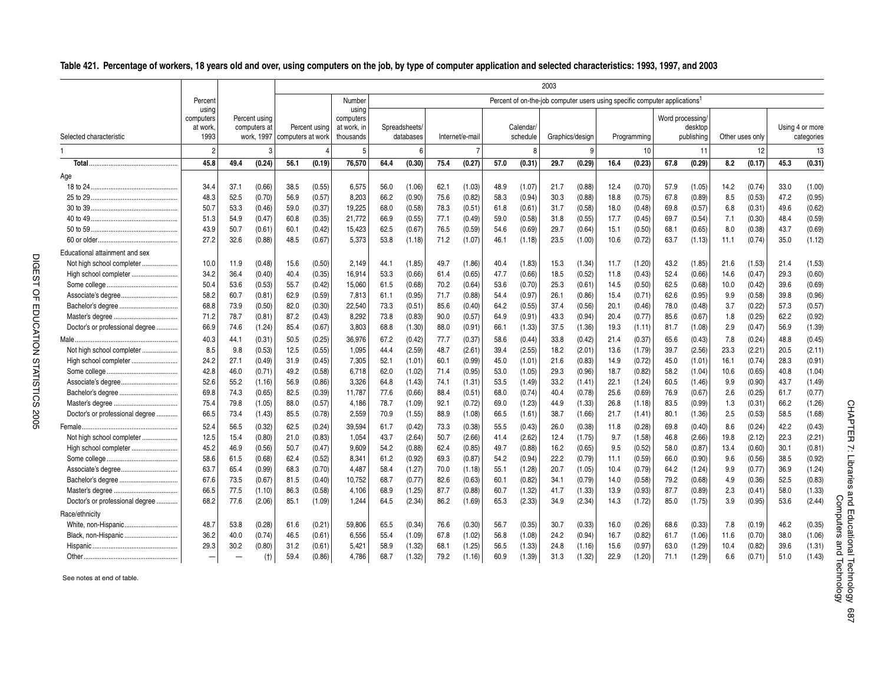.. **Table 421. Percentage of workers, 18 years old and over, using computers on the job, by type of computer application and selected characteristics: 1993, 1997, and 2003**

|                                 |                                       |      |                               |                              |               |                                                |      |                            |      |                 |      |                       | 2003            |        |                                                                                        |             |                  |                       |      |                 |      |                               |
|---------------------------------|---------------------------------------|------|-------------------------------|------------------------------|---------------|------------------------------------------------|------|----------------------------|------|-----------------|------|-----------------------|-----------------|--------|----------------------------------------------------------------------------------------|-------------|------------------|-----------------------|------|-----------------|------|-------------------------------|
|                                 | Percent                               |      |                               |                              |               | Number                                         |      |                            |      |                 |      |                       |                 |        | Percent of on-the-job computer users using specific computer applications <sup>1</sup> |             |                  |                       |      |                 |      |                               |
| Selected characteristic         | using<br>computers<br>at work<br>1993 |      | Percent using<br>computers at | work, 1997 computers at work | Percent using | using<br>computers<br>at work, in<br>thousands |      | Spreadsheets/<br>databases |      | Internet/e-mail |      | Calendar/<br>schedule | Graphics/design |        |                                                                                        | Programming | Word processing/ | desktop<br>publishing |      | Other uses only |      | Using 4 or more<br>categories |
|                                 | $\overline{2}$                        |      | 3                             |                              |               | 5                                              |      | 6                          |      |                 |      | 8                     |                 | 9      |                                                                                        | 10          |                  | 11                    |      | 12              |      | 13                            |
|                                 | 45.8                                  | 49.4 | (0.24)                        | 56.1                         | (0.19)        | 76,570                                         | 64.4 | (0.30)                     | 75.4 | (0.27)          | 57.0 | (0.31)                | 29.7            | (0.29) | 16.4                                                                                   | (0.23)      | 67.8             | (0.29)                | 8.2  | (0.17)          | 45.3 | (0.31)                        |
| Age                             |                                       |      |                               |                              |               |                                                |      |                            |      |                 |      |                       |                 |        |                                                                                        |             |                  |                       |      |                 |      |                               |
|                                 | 34.4                                  | 37.1 | (0.66)                        | 38.5                         | (0.55)        | 6,575                                          | 56.0 | (1.06)                     | 62.1 | (1.03)          | 48.9 | (1.07)                | 21.7            | (0.88) | 12.4                                                                                   | (0.70)      | 57.9             | (1.05)                | 14.2 | (0.74)          | 33.0 | (1.00)                        |
|                                 | 48.3                                  | 52.5 | (0.70)                        | 56.9                         | (0.57)        | 8.203                                          | 66.2 | (0.90)                     | 75.6 | (0.82)          | 58.3 | (0.94)                | 30.3            | (0.88) | 18.8                                                                                   | (0.75)      | 67.8             | (0.89)                | 8.5  | (0.53)          | 47.2 | (0.95)                        |
|                                 | 50.7                                  | 53.3 | (0.46)                        | 59.0                         | (0.37)        | 19,225                                         | 68.0 | (0.58)                     | 78.3 | (0.51)          | 61.8 | (0.61)                | 31.7            | (0.58) | 18.0                                                                                   | (0.48)      | 69.8             | (0.57)                | 6.8  | (0.31)          | 49.6 | (0.62)                        |
|                                 | 51.3                                  | 54.9 | (0.47)                        | 60.8                         | (0.35)        | 21,772                                         | 66.9 | (0.55)                     | 77.1 | (0.49)          | 59.0 | (0.58)                | 31.8            | (0.55) | 17.7                                                                                   | (0.45)      | 69.7             | (0.54)                | 7.1  | (0.30)          | 48.4 | (0.59)                        |
|                                 | 43.9                                  | 50.7 | (0.61)                        | 60.1                         | (0.42)        | 15.423                                         | 62.5 | (0.67)                     | 76.5 | (0.59)          | 54.6 | (0.69)                | 29.7            | (0.64) | 15.1                                                                                   | (0.50)      | 68.1             | (0.65)                | 8.0  | (0.38)          | 43.7 | (0.69)                        |
|                                 | 27.2                                  | 32.6 | (0.88)                        | 48.5                         | (0.67)        | 5,373                                          | 53.8 | (1.18)                     | 71.2 | (1.07)          | 46.1 | (1.18)                | 23.5            | (1.00) | 10.6                                                                                   | (0.72)      | 63.7             | (1.13)                | 11.1 | (0.74)          | 35.0 | (1.12)                        |
| Educational attainment and sex  |                                       |      |                               |                              |               |                                                |      |                            |      |                 |      |                       |                 |        |                                                                                        |             |                  |                       |      |                 |      |                               |
| Not high school completer       | 10.0                                  | 11.9 | (0.48)                        | 15.6                         | (0.50)        | 2,149                                          | 44.1 | (1.85)                     | 49.7 | (1.86)          | 40.4 | (1.83)                | 15.3            | (1.34) | 11.7                                                                                   | (1.20)      | 43.2             | (1.85)                | 21.6 | (1.53)          | 21.4 | (1.53)                        |
| High school completer           | 34.2                                  | 36.4 | (0.40)                        | 40.4                         | (0.35)        | 16,914                                         | 53.3 | (0.66)                     | 61.4 | (0.65)          | 47.7 | (0.66)                | 18.5            | (0.52) | 11.8                                                                                   | (0.43)      | 52.4             | (0.66)                | 14.6 | (0.47)          | 29.3 | (0.60)                        |
|                                 | 50.4                                  | 53.6 | (0.53)                        | 55.7                         | (0.42)        | 15,060                                         | 61.5 | (0.68)                     | 70.2 | (0.64)          | 53.6 | (0.70)                | 25.3            | (0.61) | 14.5                                                                                   | (0.50)      | 62.5             | (0.68)                | 10.0 | (0.42)          | 39.6 | (0.69)                        |
|                                 | 58.2                                  | 60.7 | (0.81)                        | 62.9                         | (0.59)        | 7.813                                          | 61.1 | (0.95)                     | 71.7 | (0.88)          | 54.4 | (0.97)                | 26.1            | (0.86) | 15.4                                                                                   | (0.71)      | 62.6             | (0.95)                | 9.9  | (0.58)          | 39.8 | (0.96)                        |
|                                 | 68.8                                  | 73.9 | (0.50)                        | 82.0                         | (0.30)        | 22,540                                         | 73.3 | (0.51)                     | 85.6 | (0.40)          | 64.2 | (0.55)                | 37.4            | (0.56) | 20.1                                                                                   | (0.46)      | 78.0             | (0.48)                | 3.7  | (0.22)          | 57.3 | (0.57)                        |
|                                 | 71.2                                  | 78.7 | (0.81)                        | 87.2                         | (0.43)        | 8,292                                          | 73.8 | (0.83)                     | 90.0 | (0.57)          | 64.9 | (0.91)                | 43.3            | (0.94) | 20.4                                                                                   | (0.77)      | 85.6             | (0.67)                | 1.8  | (0.25)          | 62.2 | (0.92)                        |
| Doctor's or professional degree | 66.9                                  | 74.6 | (1.24)                        | 85.4                         | (0.67)        | 3,803                                          | 68.8 | (1.30)                     | 88.0 | (0.91)          | 66.1 | (1.33)                | 37.5            | (1.36) | 19.3                                                                                   | (1.11)      | 81.7             | (1.08)                | 2.9  | (0.47)          | 56.9 | (1.39)                        |
|                                 | 40.3                                  | 44.1 | (0.31)                        | 50.5                         | (0.25)        | 36,976                                         | 67.2 | (0.42)                     | 77.7 | (0.37)          | 58.6 | (0.44)                | 33.8            | (0.42) | 21.4                                                                                   | (0.37)      | 65.6             | (0.43)                | 7.8  | (0.24)          | 48.8 | (0.45)                        |
| Not high school completer       | 8.5                                   | 9.8  | (0.53)                        | 12.5                         | (0.55)        | 1,095                                          | 44.4 | (2.59)                     | 48.7 | (2.61)          | 39.4 | (2.55)                | 18.2            | (2.01) | 13.6                                                                                   | (1.79)      | 39.7             | (2.56)                | 23.3 | (2.21)          | 20.5 | (2.11)                        |
| High school completer           | 24.2                                  | 27.1 | (0.49)                        | 31.9                         | (0.45)        | 7,305                                          | 52.1 | (1.01)                     | 60.1 | (0.99)          | 45.0 | (1.01)                | 21.6            | (0.83) | 14.9                                                                                   | (0.72)      | 45.0             | (1.01)                | 16.1 | (0.74)          | 28.3 | (0.91)                        |
|                                 | 42.8                                  | 46.0 | (0.71)                        | 49.2                         | (0.58)        | 6,718                                          | 62.0 | (1.02)                     | 71.4 | (0.95)          | 53.0 | (1.05)                | 29.3            | (0.96) | 18.7                                                                                   | (0.82)      | 58.2             | (1.04)                | 10.6 | (0.65)          | 40.8 | (1.04)                        |
| Associate's degree              | 52.6                                  | 55.2 | (1.16)                        | 56.9                         | (0.86)        | 3.326                                          | 64.8 | (1.43)                     | 74.1 | (1.31)          | 53.5 | (1.49)                | 33.2            | (1.41) | 22.1                                                                                   | (1.24)      | 60.5             | (1.46)                | 9.9  | (0.90)          | 43.7 | (1.49)                        |
|                                 | 69.8                                  | 74.3 | (0.65)                        | 82.5                         | (0.39)        | 11,787                                         | 77.6 | (0.66)                     | 88.4 | (0.51)          | 68.0 | (0.74)                | 40.4            | (0.78) | 25.6                                                                                   | (0.69)      | 76.9             | (0.67)                | 2.6  | (0.25)          | 61.7 | (0.77)                        |
|                                 | 75.4                                  | 79.8 | (1.05)                        | 88.0                         | (0.57)        | 4,186                                          | 78.7 | (1.09)                     | 92.1 | (0.72)          | 69.0 | (1.23)                | 44.9            | (1.33) | 26.8                                                                                   | (1.18)      | 83.5             | (0.99)                | 1.3  | (0.31)          | 66.2 | (1.26)                        |
| Doctor's or professional degree | 66.5                                  | 73.4 | (1.43)                        | 85.5                         | (0.78)        | 2,559                                          | 70.9 | (1.55)                     | 88.9 | (1.08)          | 66.5 | (1.61)                | 38.7            | (1.66) | 21.7                                                                                   | (1.41)      | 80.1             | (1.36)                | 2.5  | (0.53)          | 58.5 | (1.68)                        |
|                                 | 52.4                                  | 56.5 | (0.32)                        | 62.5                         | (0.24)        | 39,594                                         | 61.7 | (0.42)                     | 73.3 | (0.38)          | 55.5 | (0.43)                | 26.0            | (0.38) | 11.8                                                                                   | (0.28)      | 69.8             | (0.40)                | 8.6  | (0.24)          | 42.2 | (0.43)                        |
| Not high school completer       | 12.5                                  | 15.4 | (0.80)                        | 21.0                         | (0.83)        | 1,054                                          | 43.7 | (2.64)                     | 50.7 | (2.66)          | 41.4 | (2.62)                | 12.4            | (1.75) | 9.7                                                                                    | (1.58)      | 46.8             | (2.66)                | 19.8 | (2.12)          | 22.3 | (2.21)                        |
| High school completer           | 45.2                                  | 46.9 | (0.56)                        | 50.7                         | (0.47)        | 9,609                                          | 54.2 | (0.88)                     | 62.4 | (0.85)          | 49.7 | (0.88)                | 16.2            | (0.65) | 9.5                                                                                    | (0.52)      | 58.0             | (0.87)                | 13.4 | (0.60)          | 30.1 | (0.81)                        |
|                                 | 58.6                                  | 61.5 | (0.68)                        | 62.4                         | (0.52)        | 8,341                                          | 61.2 | (0.92)                     | 69.3 | (0.87)          | 54.2 | (0.94)                | 22.2            | (0.79) | 11.1                                                                                   | (0.59)      | 66.0             | (0.90)                | 9.6  | (0.56)          | 38.5 | (0.92)                        |
|                                 | 63.7                                  | 65.4 | (0.99)                        | 68.3                         | (0.70)        | 4,487                                          | 58.4 | (1.27)                     | 70.0 | (1.18)          | 55.1 | (1.28)                | 20.7            | (1.05) | 10.4                                                                                   | (0.79)      | 64.2             | (1.24)                | 9.9  | (0.77)          | 36.9 | (1.24)                        |
|                                 | 67.6                                  | 73.5 | (0.67)                        | 81.5                         | (0.40)        | 10,752                                         | 68.7 | (0.77)                     | 82.6 | (0.63)          | 60.1 | (0.82)                | 34.1            | (0.79) | 14.0                                                                                   | (0.58)      | 79.2             | (0.68)                | 4.9  | (0.36)          | 52.5 | (0.83)                        |
|                                 | 66.5                                  | 77.5 | (1.10)                        | 86.3                         | (0.58)        | 4,106                                          | 68.9 | (1.25)                     | 87.7 | (0.88)          | 60.7 | (1.32)                | 41.7            | (1.33) | 13.9                                                                                   | (0.93)      | 87.7             | (0.89)                | 2.3  | (0.41)          | 58.0 | (1.33)                        |
| Doctor's or professional degree | 68.2                                  | 77.6 | (2.06)                        | 85.1                         | (1.09)        | 1,244                                          | 64.5 | (2.34)                     | 86.2 | (1.69)          | 65.3 | (2.33)                | 34.9            | (2.34) | 14.3                                                                                   | (1.72)      | 85.0             | (1.75)                | 3.9  | (0.95)          | 53.6 | (2.44)                        |
| Race/ethnicity                  |                                       |      |                               |                              |               |                                                |      |                            |      |                 |      |                       |                 |        |                                                                                        |             |                  |                       |      |                 |      |                               |
| White, non-Hispanic             | 48.7                                  | 53.8 | (0.28)                        | 61.6                         | (0.21)        | 59,806                                         | 65.5 | (0.34)                     | 76.6 | (0.30)          | 56.7 | (0.35)                | 30.7            | (0.33) | 16.0                                                                                   | (0.26)      | 68.6             | (0.33)                | 7.8  | (0.19)          | 46.2 | (0.35)                        |
| Black, non-Hispanic             | 36.2                                  | 40.0 | (0.74)                        | 46.5                         | (0.61)        | 6,556                                          | 55.4 | (1.09)                     | 67.8 | (1.02)          | 56.8 | (1.08)                | 24.2            | (0.94) | 16.7                                                                                   | (0.82)      | 61.7             | (1.06)                | 11.6 | (0.70)          | 38.0 | (1.06)                        |
|                                 | 29.3                                  | 30.2 | (0.80)                        | 31.2                         | (0.61)        | 5,421                                          | 58.9 | (1.32)                     | 68.1 | (1.25)          | 56.5 | (1.33)                | 24.8            | (1.16) | 15.6                                                                                   | (0.97)      | 63.0             | (1.29)                | 10.4 | (0.82)          | 39.6 | (1.31)                        |
|                                 |                                       |      | (t)                           | 59.4                         | (0.86)        | 4,786                                          | 68.7 | (1.32)                     | 79.2 | (1.16)          | 60.9 | (1.39)                | 31.3            | (1.32) | 22.9                                                                                   | (1.20)      | 71.1             | (1.29)                | 6.6  | (0.71)          | 51.0 | (1.43)                        |

See notes at end of table.

DIGEST OF EDUCATION STATISTICS 2005

DIGEST OF EDUCATION STATISTICS 2005